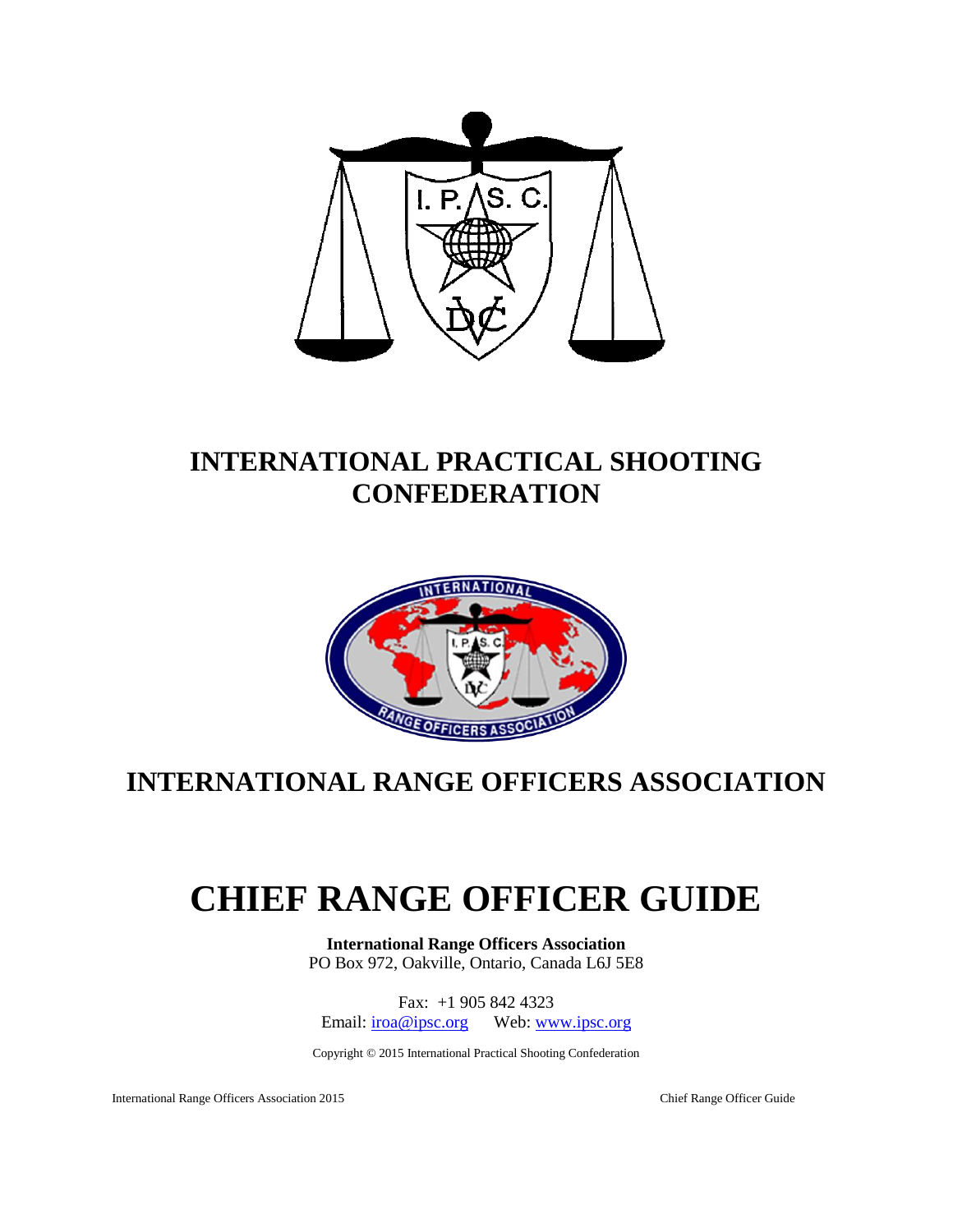

## **INTERNATIONAL PRACTICAL SHOOTING CONFEDERATION**



## **INTERNATIONAL RANGE OFFICERS ASSOCIATION**

# **CHIEF RANGE OFFICER GUIDE**

**International Range Officers Association** PO Box 972, Oakville, Ontario, Canada L6J 5E8

Fax: +1 905 842 4323 Email: [iroa@ipsc.org](mailto:iroa@ipsc.org) Web: [www.ipsc.org](http://www.ipsc.org/)

Copyright © 2015 International Practical Shooting Confederation

International Range Officers Association 2015 Chief Range Officer Guide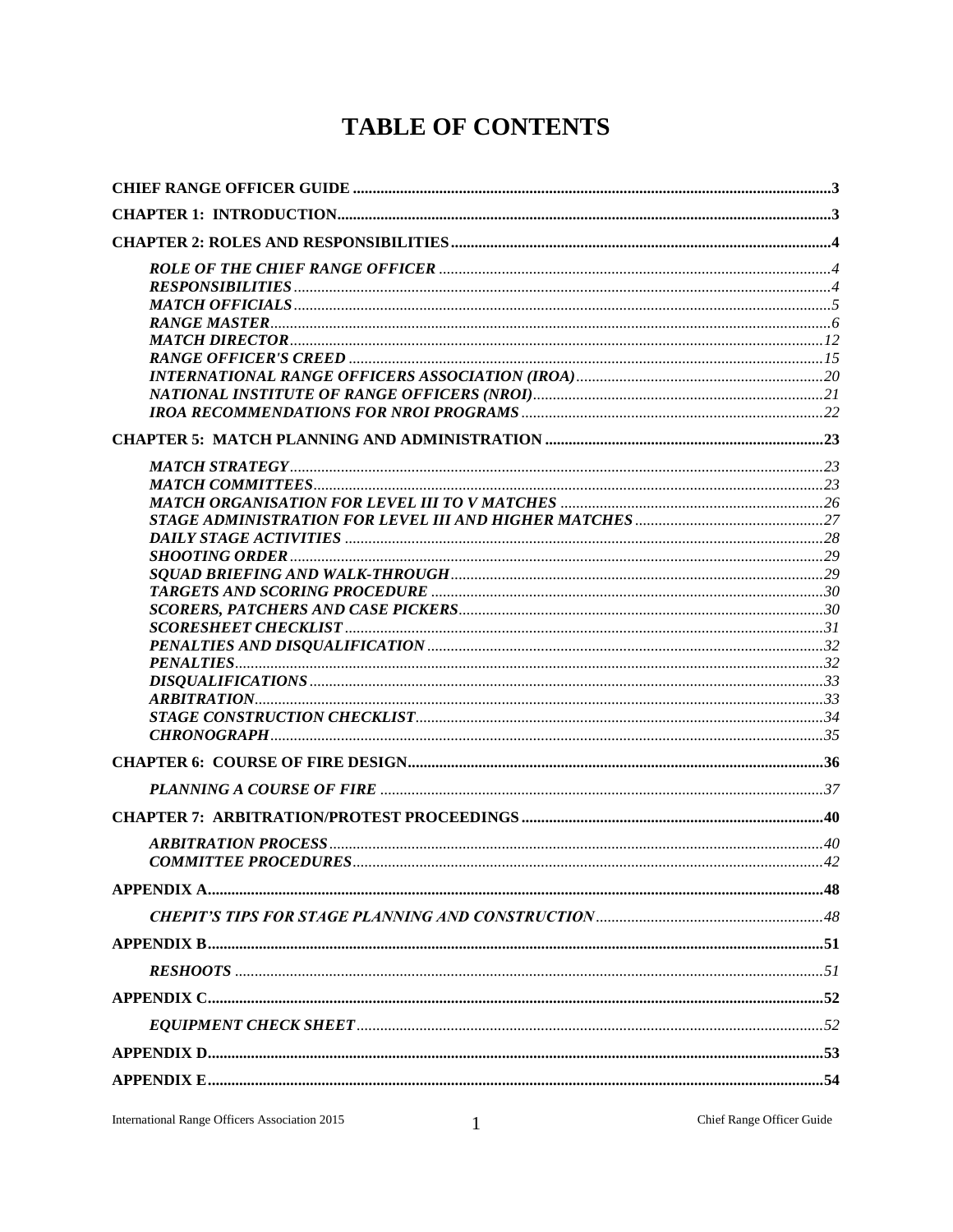## **TABLE OF CONTENTS**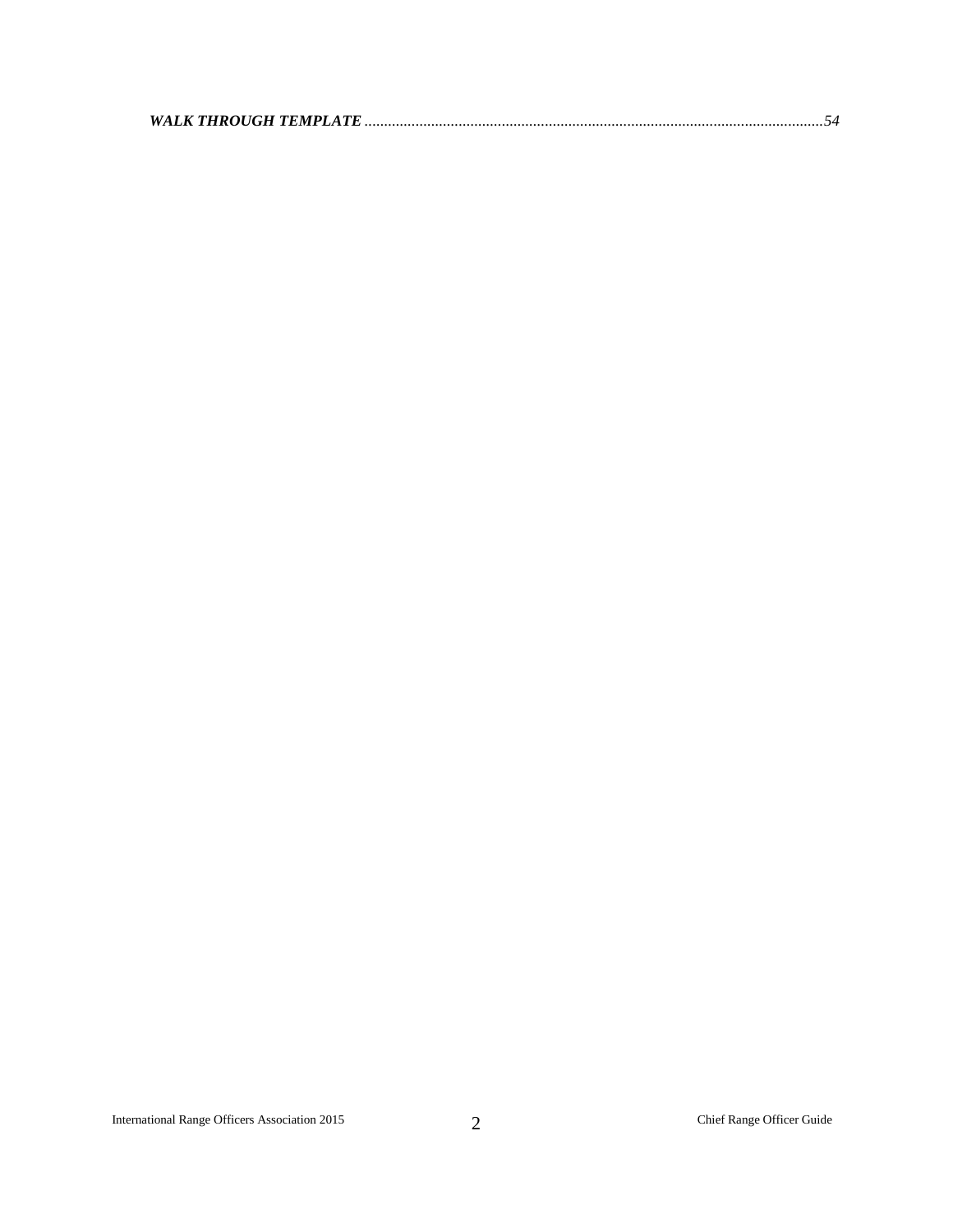|--|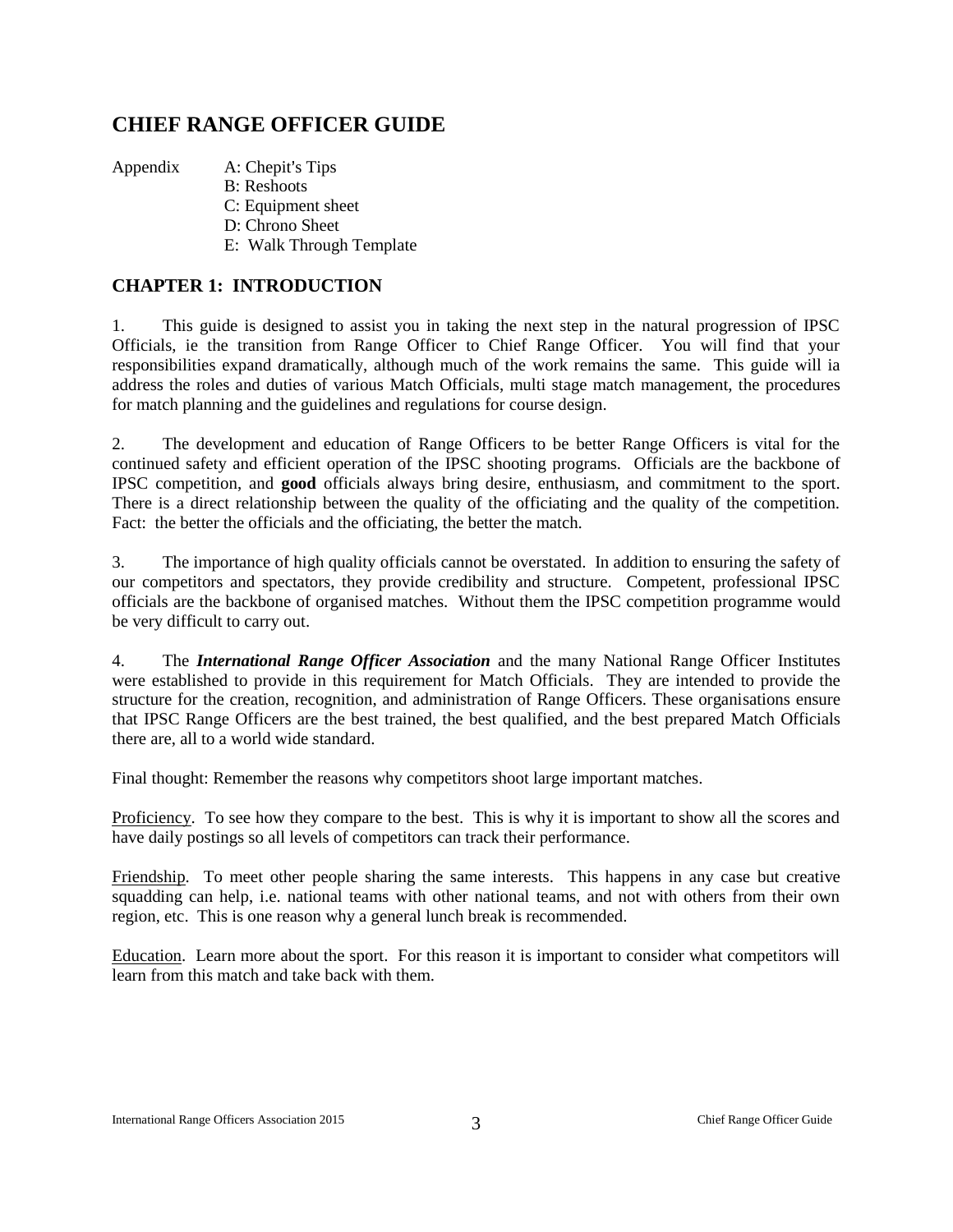## <span id="page-3-0"></span>**CHIEF RANGE OFFICER GUIDE**

Appendix A: Chepit's Tips

- B: Reshoots
- C: Equipment sheet
- D: Chrono Sheet
- E: Walk Through Template

## <span id="page-3-1"></span>**CHAPTER 1: INTRODUCTION**

1. This guide is designed to assist you in taking the next step in the natural progression of IPSC Officials, ie the transition from Range Officer to Chief Range Officer. You will find that your responsibilities expand dramatically, although much of the work remains the same. This guide will ia address the roles and duties of various Match Officials, multi stage match management, the procedures for match planning and the guidelines and regulations for course design.

2. The development and education of Range Officers to be better Range Officers is vital for the continued safety and efficient operation of the IPSC shooting programs. Officials are the backbone of IPSC competition, and **good** officials always bring desire, enthusiasm, and commitment to the sport. There is a direct relationship between the quality of the officiating and the quality of the competition. Fact: the better the officials and the officiating, the better the match.

3. The importance of high quality officials cannot be overstated. In addition to ensuring the safety of our competitors and spectators, they provide credibility and structure. Competent, professional IPSC officials are the backbone of organised matches. Without them the IPSC competition programme would be very difficult to carry out.

4. The *International Range Officer Association* and the many National Range Officer Institutes were established to provide in this requirement for Match Officials. They are intended to provide the structure for the creation, recognition, and administration of Range Officers. These organisations ensure that IPSC Range Officers are the best trained, the best qualified, and the best prepared Match Officials there are, all to a world wide standard.

Final thought: Remember the reasons why competitors shoot large important matches.

Proficiency. To see how they compare to the best. This is why it is important to show all the scores and have daily postings so all levels of competitors can track their performance.

Friendship. To meet other people sharing the same interests. This happens in any case but creative squadding can help, i.e. national teams with other national teams, and not with others from their own region, etc. This is one reason why a general lunch break is recommended.

Education. Learn more about the sport. For this reason it is important to consider what competitors will learn from this match and take back with them.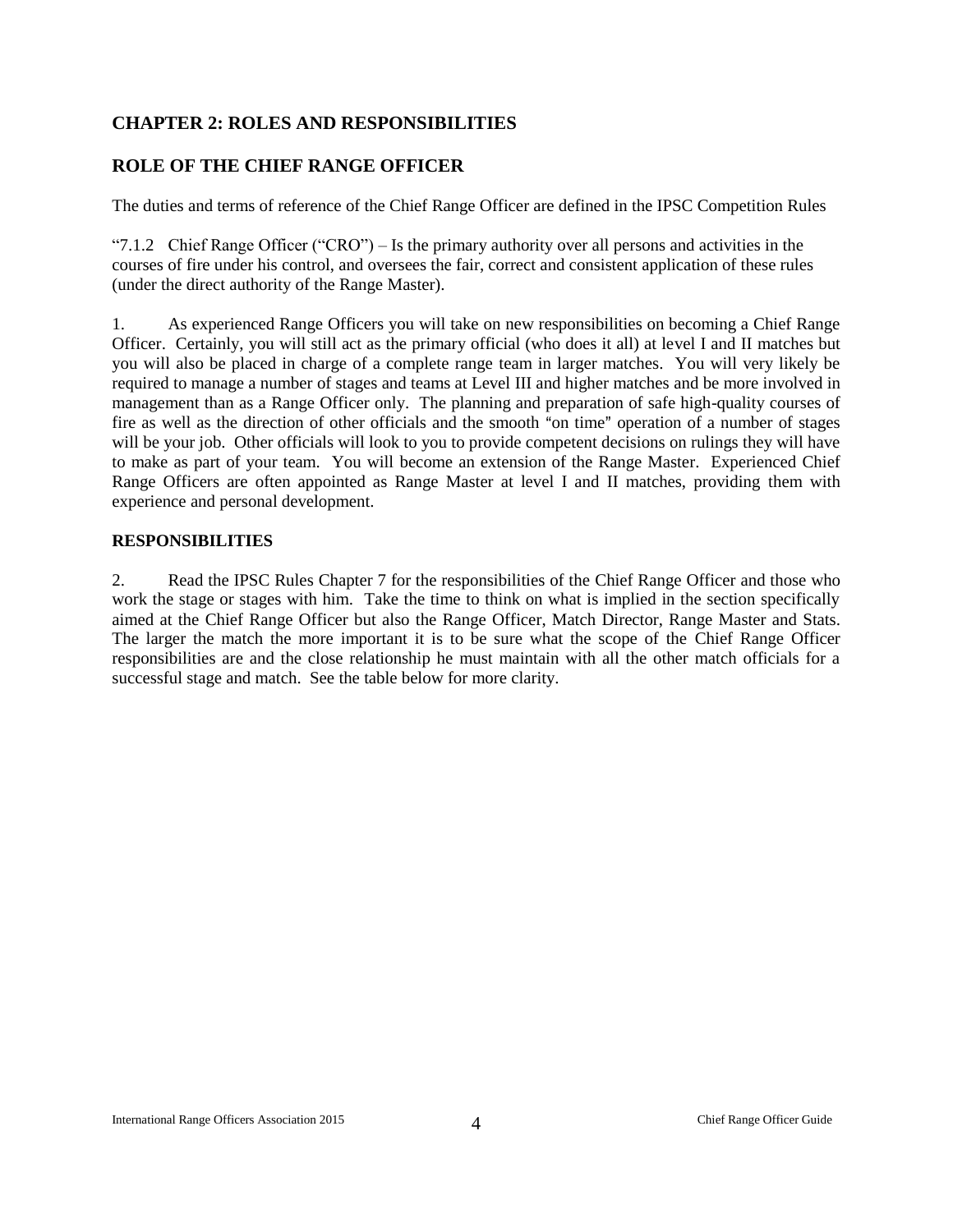## <span id="page-4-0"></span>**CHAPTER 2: ROLES AND RESPONSIBILITIES**

## <span id="page-4-1"></span>**ROLE OF THE CHIEF RANGE OFFICER**

The duties and terms of reference of the Chief Range Officer are defined in the IPSC Competition Rules

"7.1.2 Chief Range Officer ("CRO") – Is the primary authority over all persons and activities in the courses of fire under his control, and oversees the fair, correct and consistent application of these rules (under the direct authority of the Range Master).

1. As experienced Range Officers you will take on new responsibilities on becoming a Chief Range Officer. Certainly, you will still act as the primary official (who does it all) at level I and II matches but you will also be placed in charge of a complete range team in larger matches. You will very likely be required to manage a number of stages and teams at Level III and higher matches and be more involved in management than as a Range Officer only. The planning and preparation of safe high-quality courses of fire as well as the direction of other officials and the smooth "on time" operation of a number of stages will be your job. Other officials will look to you to provide competent decisions on rulings they will have to make as part of your team. You will become an extension of the Range Master. Experienced Chief Range Officers are often appointed as Range Master at level I and II matches, providing them with experience and personal development.

#### <span id="page-4-2"></span>**RESPONSIBILITIES**

2. Read the IPSC Rules Chapter 7 for the responsibilities of the Chief Range Officer and those who work the stage or stages with him. Take the time to think on what is implied in the section specifically aimed at the Chief Range Officer but also the Range Officer, Match Director, Range Master and Stats. The larger the match the more important it is to be sure what the scope of the Chief Range Officer responsibilities are and the close relationship he must maintain with all the other match officials for a successful stage and match. See the table below for more clarity.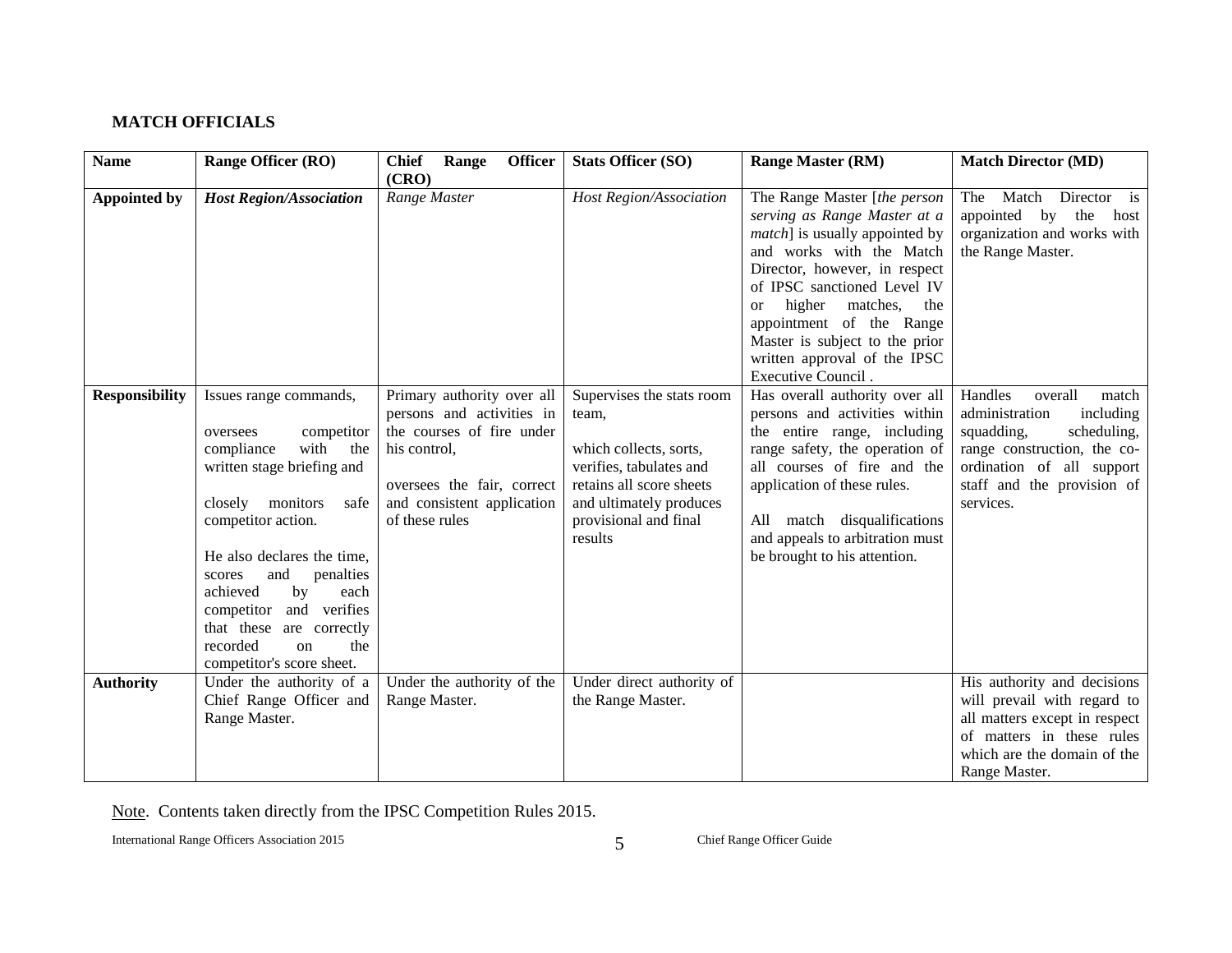## **MATCH OFFICIALS**

<span id="page-5-0"></span>

| <b>Name</b>           | Range Officer (RO)                                                                                                                                                                                                                                                                                                                                                     | <b>Officer</b><br><b>Chief</b><br>Range                                                                                                                                            | <b>Stats Officer (SO)</b>                                                                                                                                                          | <b>Range Master (RM)</b>                                                                                                                                                                                                                                                                                                                                         | <b>Match Director (MD)</b>                                                                                                                                                                     |
|-----------------------|------------------------------------------------------------------------------------------------------------------------------------------------------------------------------------------------------------------------------------------------------------------------------------------------------------------------------------------------------------------------|------------------------------------------------------------------------------------------------------------------------------------------------------------------------------------|------------------------------------------------------------------------------------------------------------------------------------------------------------------------------------|------------------------------------------------------------------------------------------------------------------------------------------------------------------------------------------------------------------------------------------------------------------------------------------------------------------------------------------------------------------|------------------------------------------------------------------------------------------------------------------------------------------------------------------------------------------------|
| <b>Appointed by</b>   | <b>Host Region/Association</b>                                                                                                                                                                                                                                                                                                                                         | (CRO)<br>Range Master                                                                                                                                                              | Host Region/Association                                                                                                                                                            | The Range Master [the person<br>serving as Range Master at a<br><i>match</i> ] is usually appointed by<br>and works with the Match<br>Director, however, in respect<br>of IPSC sanctioned Level IV<br>higher<br>matches,<br>the<br><b>or</b><br>appointment of the Range<br>Master is subject to the prior<br>written approval of the IPSC<br>Executive Council. | Match<br>Director is<br>The<br>appointed by the<br>host<br>organization and works with<br>the Range Master.                                                                                    |
| <b>Responsibility</b> | Issues range commands,<br>competitor<br>oversees<br>with<br>compliance<br>the<br>written stage briefing and<br>closely monitors<br>safe<br>competitor action.<br>He also declares the time,<br>penalties<br>and<br>scores<br>achieved<br>by<br>each<br>competitor and verifies<br>that these are correctly<br>recorded<br>the<br>$\alpha$<br>competitor's score sheet. | Primary authority over all<br>persons and activities in<br>the courses of fire under<br>his control,<br>oversees the fair, correct<br>and consistent application<br>of these rules | Supervises the stats room<br>team,<br>which collects, sorts,<br>verifies, tabulates and<br>retains all score sheets<br>and ultimately produces<br>provisional and final<br>results | Has overall authority over all<br>persons and activities within<br>the entire range, including<br>range safety, the operation of<br>all courses of fire and the<br>application of these rules.<br>All match disqualifications<br>and appeals to arbitration must<br>be brought to his attention.                                                                 | Handles<br>overall<br>match<br>administration<br>including<br>squadding,<br>scheduling,<br>range construction, the co-<br>ordination of all support<br>staff and the provision of<br>services. |
| <b>Authority</b>      | Under the authority of a<br>Chief Range Officer and<br>Range Master.                                                                                                                                                                                                                                                                                                   | Under the authority of the<br>Range Master.                                                                                                                                        | Under direct authority of<br>the Range Master.                                                                                                                                     |                                                                                                                                                                                                                                                                                                                                                                  | His authority and decisions<br>will prevail with regard to<br>all matters except in respect<br>of matters in these rules<br>which are the domain of the<br>Range Master.                       |

Note. Contents taken directly from the IPSC Competition Rules 2015.

International Range Officers Association 2015 5 Chief Range Officer Guide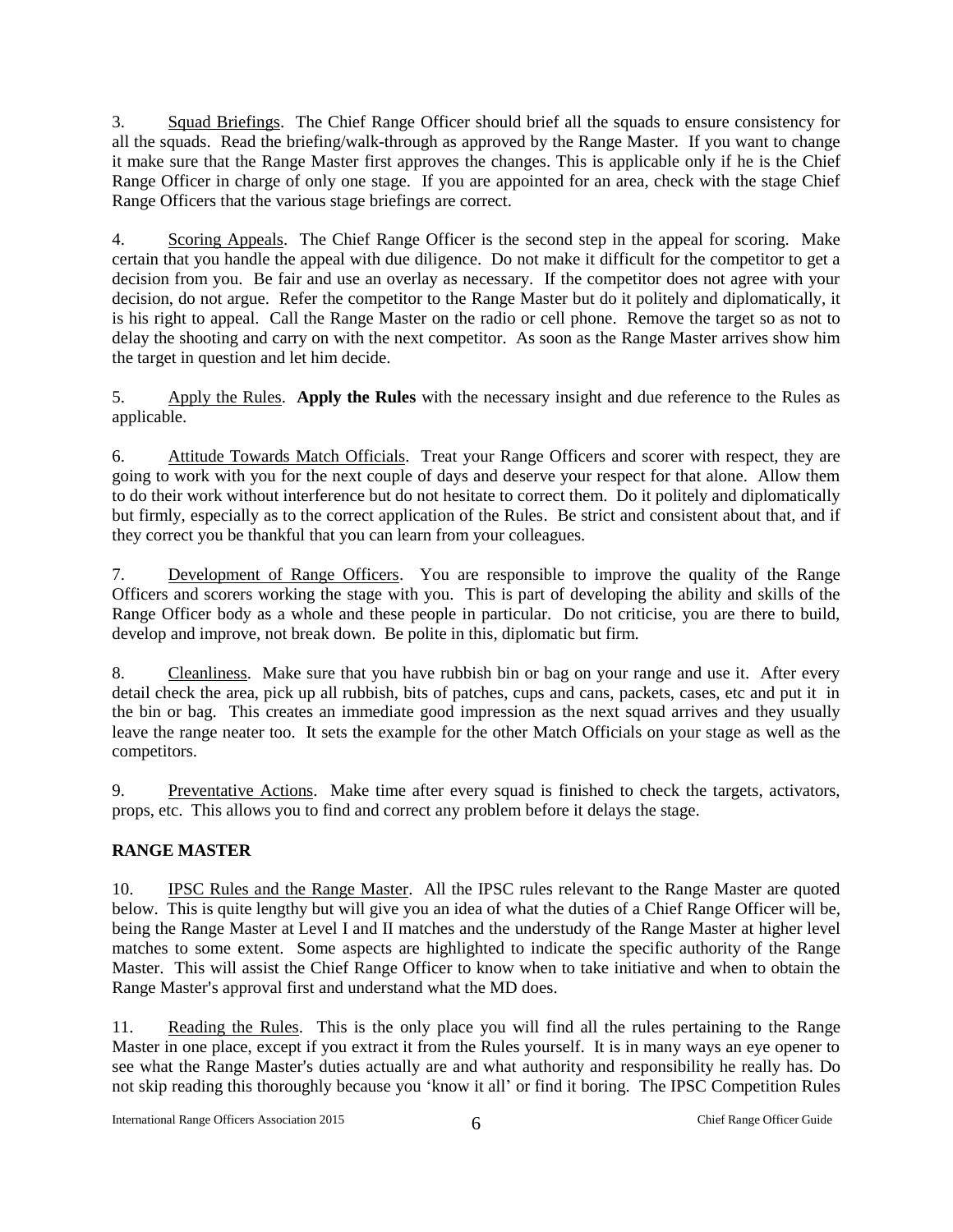3. Squad Briefings. The Chief Range Officer should brief all the squads to ensure consistency for all the squads. Read the briefing/walk-through as approved by the Range Master. If you want to change it make sure that the Range Master first approves the changes. This is applicable only if he is the Chief Range Officer in charge of only one stage. If you are appointed for an area, check with the stage Chief Range Officers that the various stage briefings are correct.

4. Scoring Appeals. The Chief Range Officer is the second step in the appeal for scoring. Make certain that you handle the appeal with due diligence. Do not make it difficult for the competitor to get a decision from you. Be fair and use an overlay as necessary. If the competitor does not agree with your decision, do not argue. Refer the competitor to the Range Master but do it politely and diplomatically, it is his right to appeal. Call the Range Master on the radio or cell phone. Remove the target so as not to delay the shooting and carry on with the next competitor. As soon as the Range Master arrives show him the target in question and let him decide.

5. Apply the Rules. **Apply the Rules** with the necessary insight and due reference to the Rules as applicable.

6. Attitude Towards Match Officials. Treat your Range Officers and scorer with respect, they are going to work with you for the next couple of days and deserve your respect for that alone. Allow them to do their work without interference but do not hesitate to correct them. Do it politely and diplomatically but firmly, especially as to the correct application of the Rules. Be strict and consistent about that, and if they correct you be thankful that you can learn from your colleagues.

7. Development of Range Officers. You are responsible to improve the quality of the Range Officers and scorers working the stage with you. This is part of developing the ability and skills of the Range Officer body as a whole and these people in particular. Do not criticise, you are there to build, develop and improve, not break down. Be polite in this, diplomatic but firm.

8. Cleanliness. Make sure that you have rubbish bin or bag on your range and use it. After every detail check the area, pick up all rubbish, bits of patches, cups and cans, packets, cases, etc and put it in the bin or bag. This creates an immediate good impression as the next squad arrives and they usually leave the range neater too. It sets the example for the other Match Officials on your stage as well as the competitors.

9. Preventative Actions. Make time after every squad is finished to check the targets, activators, props, etc. This allows you to find and correct any problem before it delays the stage.

## <span id="page-6-0"></span>**RANGE MASTER**

10. IPSC Rules and the Range Master. All the IPSC rules relevant to the Range Master are quoted below. This is quite lengthy but will give you an idea of what the duties of a Chief Range Officer will be, being the Range Master at Level I and II matches and the understudy of the Range Master at higher level matches to some extent. Some aspects are highlighted to indicate the specific authority of the Range Master. This will assist the Chief Range Officer to know when to take initiative and when to obtain the Range Master's approval first and understand what the MD does.

11. Reading the Rules. This is the only place you will find all the rules pertaining to the Range Master in one place, except if you extract it from the Rules yourself. It is in many ways an eye opener to see what the Range Master's duties actually are and what authority and responsibility he really has. Do not skip reading this thoroughly because you 'know it all' or find it boring. The IPSC Competition Rules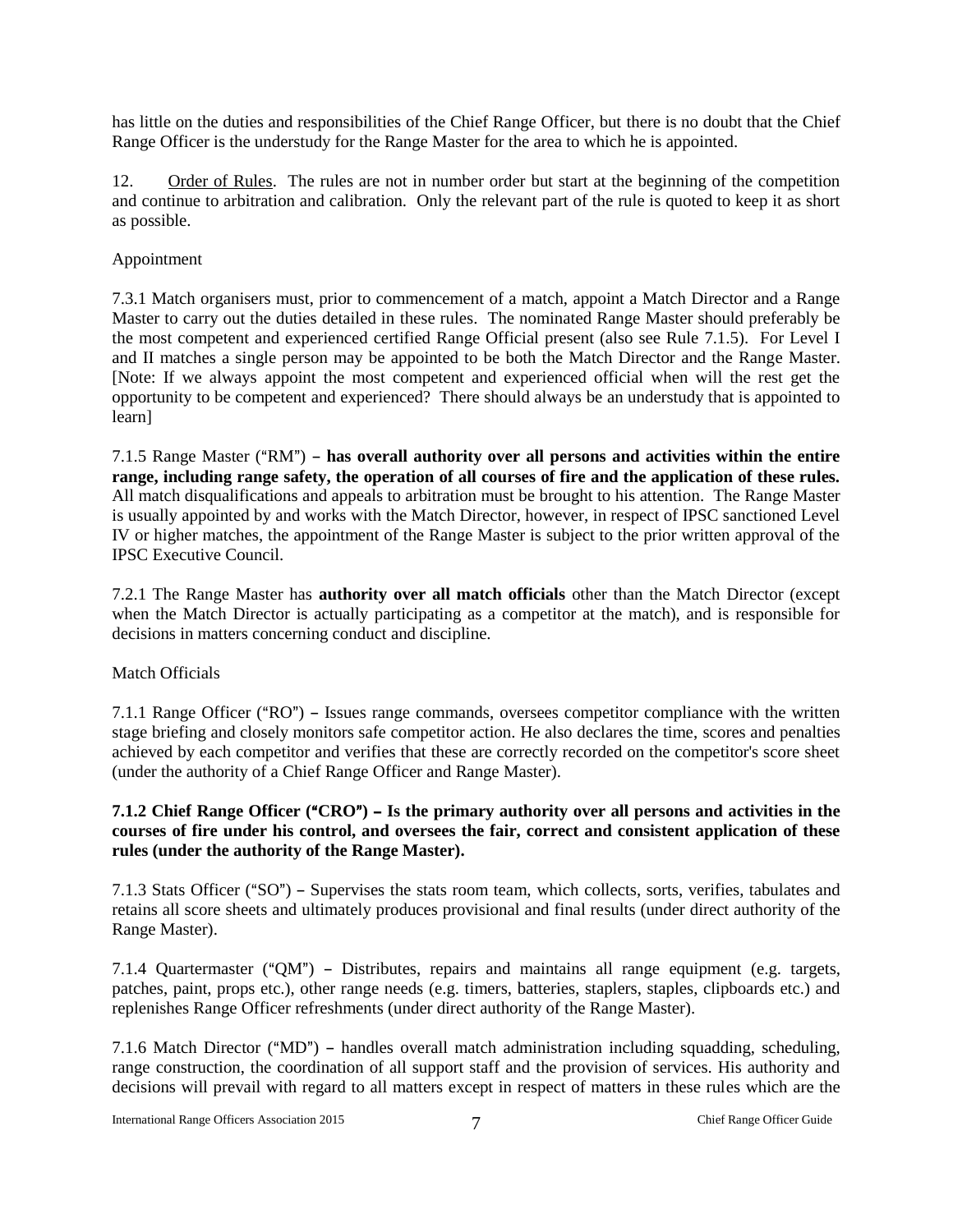has little on the duties and responsibilities of the Chief Range Officer, but there is no doubt that the Chief Range Officer is the understudy for the Range Master for the area to which he is appointed.

12. Order of Rules. The rules are not in number order but start at the beginning of the competition and continue to arbitration and calibration. Only the relevant part of the rule is quoted to keep it as short as possible.

#### Appointment

7.3.1 Match organisers must, prior to commencement of a match, appoint a Match Director and a Range Master to carry out the duties detailed in these rules. The nominated Range Master should preferably be the most competent and experienced certified Range Official present (also see Rule 7.1.5). For Level I and II matches a single person may be appointed to be both the Match Director and the Range Master. [Note: If we always appoint the most competent and experienced official when will the rest get the opportunity to be competent and experienced? There should always be an understudy that is appointed to learn]

7.1.5 Range Master ("RM") – has overall authority over all persons and activities within the entire **range, including range safety, the operation of all courses of fire and the application of these rules.** All match disqualifications and appeals to arbitration must be brought to his attention. The Range Master is usually appointed by and works with the Match Director, however, in respect of IPSC sanctioned Level IV or higher matches, the appointment of the Range Master is subject to the prior written approval of the IPSC Executive Council.

7.2.1 The Range Master has **authority over all match officials** other than the Match Director (except when the Match Director is actually participating as a competitor at the match), and is responsible for decisions in matters concerning conduct and discipline.

#### Match Officials

7.1.1 Range Officer ( $"RO"$ ) – Issues range commands, oversees competitor compliance with the written stage briefing and closely monitors safe competitor action. He also declares the time, scores and penalties achieved by each competitor and verifies that these are correctly recorded on the competitor's score sheet (under the authority of a Chief Range Officer and Range Master).

#### **7.1.2 Chief Range Officer ("CRO") – Is the primary authority over all persons and activities in the courses of fire under his control, and oversees the fair, correct and consistent application of these rules (under the authority of the Range Master).**

7.1.3 Stats Officer ("SO") - Supervises the stats room team, which collects, sorts, verifies, tabulates and retains all score sheets and ultimately produces provisional and final results (under direct authority of the Range Master).

7.1.4 Quartermaster (" $OM$ ") – Distributes, repairs and maintains all range equipment (e.g. targets, patches, paint, props etc.), other range needs (e.g. timers, batteries, staplers, staples, clipboards etc.) and replenishes Range Officer refreshments (under direct authority of the Range Master).

7.1.6 Match Director ("MD") - handles overall match administration including squadding, scheduling, range construction, the coordination of all support staff and the provision of services. His authority and decisions will prevail with regard to all matters except in respect of matters in these rules which are the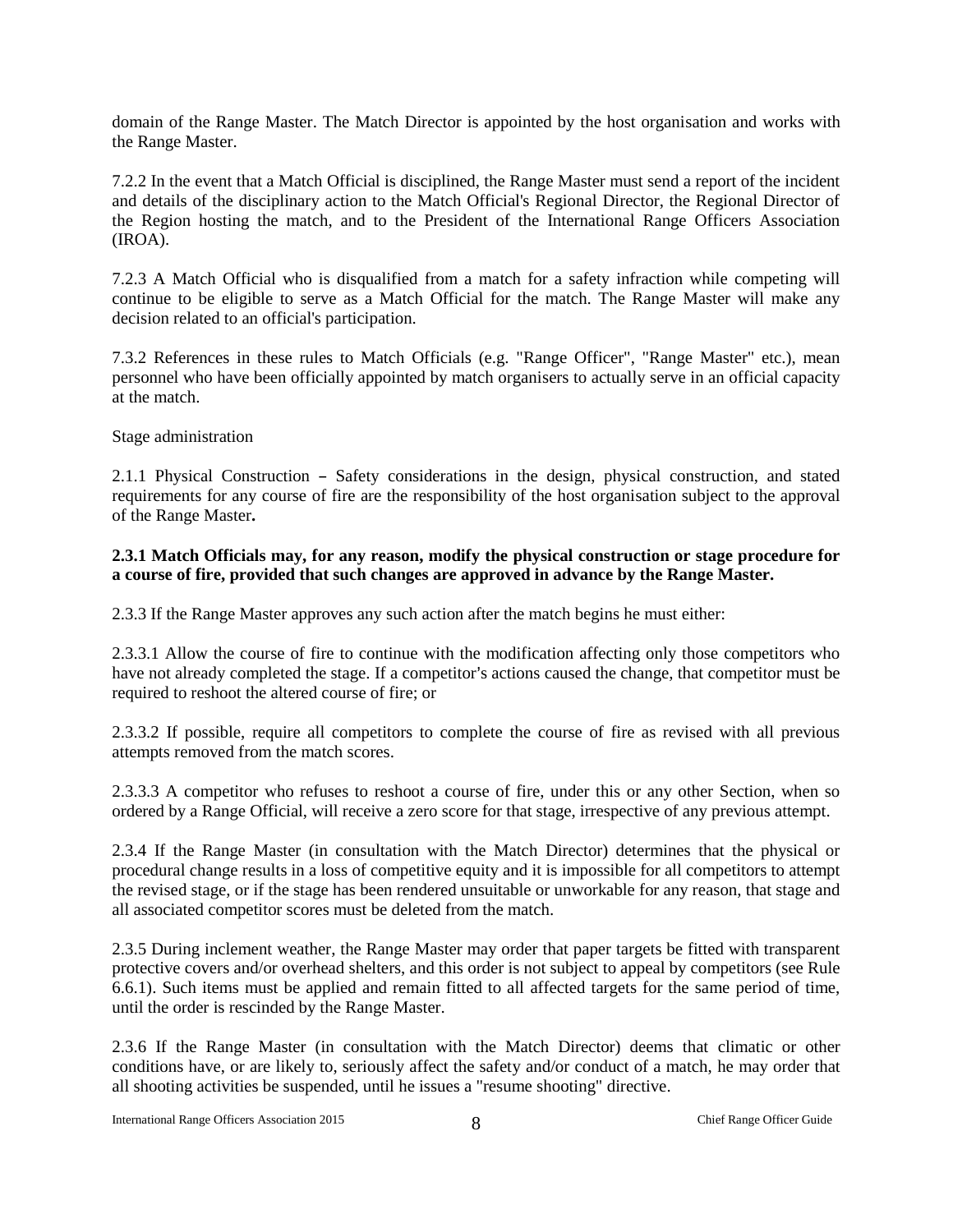domain of the Range Master. The Match Director is appointed by the host organisation and works with the Range Master.

7.2.2 In the event that a Match Official is disciplined, the Range Master must send a report of the incident and details of the disciplinary action to the Match Official's Regional Director, the Regional Director of the Region hosting the match, and to the President of the International Range Officers Association (IROA).

7.2.3 A Match Official who is disqualified from a match for a safety infraction while competing will continue to be eligible to serve as a Match Official for the match. The Range Master will make any decision related to an official's participation.

7.3.2 References in these rules to Match Officials (e.g. "Range Officer", "Range Master" etc.), mean personnel who have been officially appointed by match organisers to actually serve in an official capacity at the match.

#### Stage administration

2.1.1 Physical Construction - Safety considerations in the design, physical construction, and stated requirements for any course of fire are the responsibility of the host organisation subject to the approval of the Range Master**.**

#### **2.3.1 Match Officials may, for any reason, modify the physical construction or stage procedure for a course of fire, provided that such changes are approved in advance by the Range Master.**

2.3.3 If the Range Master approves any such action after the match begins he must either:

2.3.3.1 Allow the course of fire to continue with the modification affecting only those competitors who have not already completed the stage. If a competitor's actions caused the change, that competitor must be required to reshoot the altered course of fire; or

2.3.3.2 If possible, require all competitors to complete the course of fire as revised with all previous attempts removed from the match scores.

2.3.3.3 A competitor who refuses to reshoot a course of fire, under this or any other Section, when so ordered by a Range Official, will receive a zero score for that stage, irrespective of any previous attempt.

2.3.4 If the Range Master (in consultation with the Match Director) determines that the physical or procedural change results in a loss of competitive equity and it is impossible for all competitors to attempt the revised stage, or if the stage has been rendered unsuitable or unworkable for any reason, that stage and all associated competitor scores must be deleted from the match.

2.3.5 During inclement weather, the Range Master may order that paper targets be fitted with transparent protective covers and/or overhead shelters, and this order is not subject to appeal by competitors (see Rule 6.6.1). Such items must be applied and remain fitted to all affected targets for the same period of time, until the order is rescinded by the Range Master.

2.3.6 If the Range Master (in consultation with the Match Director) deems that climatic or other conditions have, or are likely to, seriously affect the safety and/or conduct of a match, he may order that all shooting activities be suspended, until he issues a "resume shooting" directive.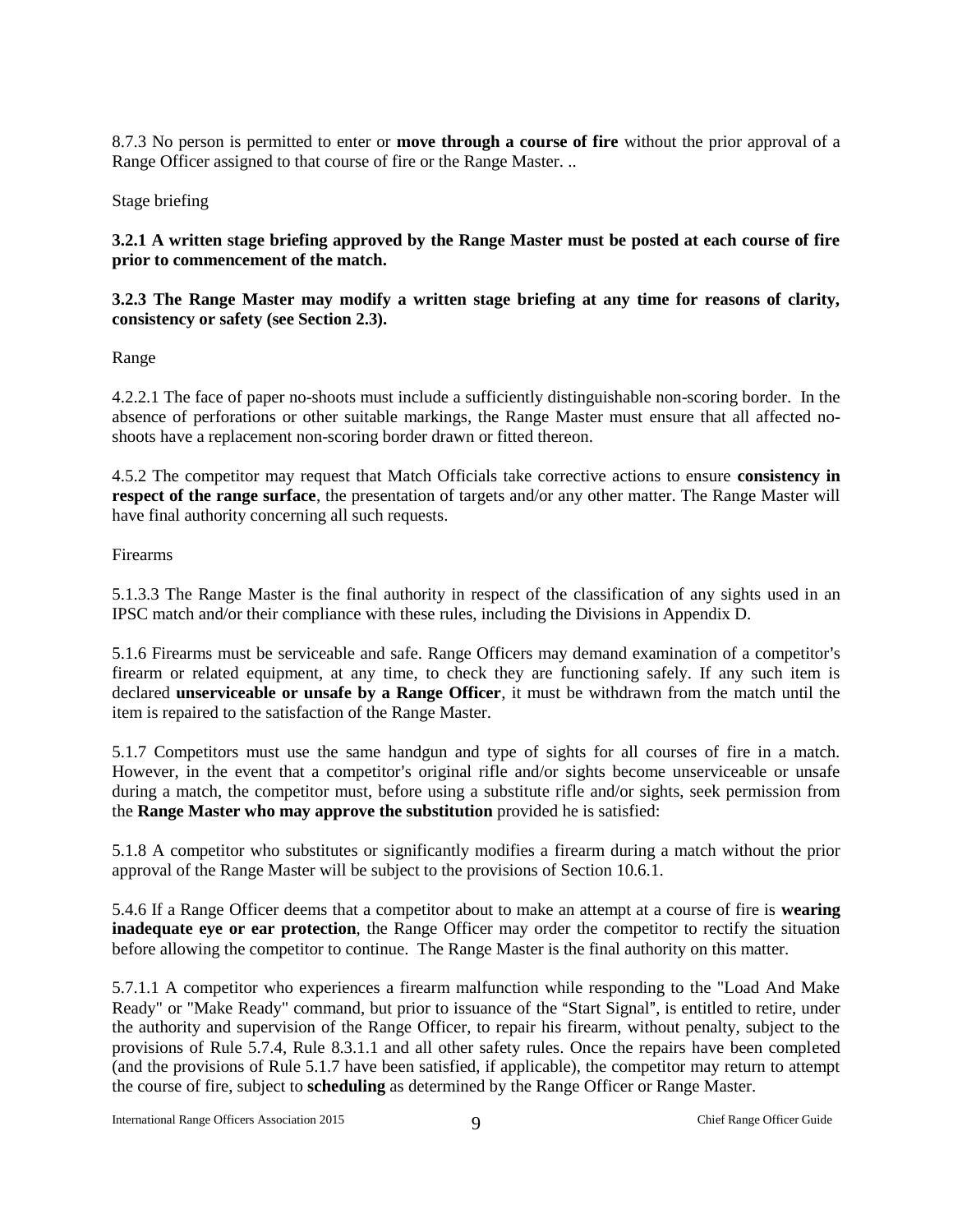8.7.3 No person is permitted to enter or **move through a course of fire** without the prior approval of a Range Officer assigned to that course of fire or the Range Master. ..

Stage briefing

**3.2.1 A written stage briefing approved by the Range Master must be posted at each course of fire prior to commencement of the match.**

#### **3.2.3 The Range Master may modify a written stage briefing at any time for reasons of clarity, consistency or safety (see Section 2.3).**

Range

4.2.2.1 The face of paper no-shoots must include a sufficiently distinguishable non-scoring border. In the absence of perforations or other suitable markings, the Range Master must ensure that all affected noshoots have a replacement non-scoring border drawn or fitted thereon.

4.5.2 The competitor may request that Match Officials take corrective actions to ensure **consistency in respect of the range surface**, the presentation of targets and/or any other matter. The Range Master will have final authority concerning all such requests.

Firearms

5.1.3.3 The Range Master is the final authority in respect of the classification of any sights used in an IPSC match and/or their compliance with these rules, including the Divisions in Appendix D.

5.1.6 Firearms must be serviceable and safe. Range Officers may demand examination of a competitor's firearm or related equipment, at any time, to check they are functioning safely. If any such item is declared **unserviceable or unsafe by a Range Officer**, it must be withdrawn from the match until the item is repaired to the satisfaction of the Range Master.

5.1.7 Competitors must use the same handgun and type of sights for all courses of fire in a match. However, in the event that a competitor's original rifle and/or sights become unserviceable or unsafe during a match, the competitor must, before using a substitute rifle and/or sights, seek permission from the **Range Master who may approve the substitution** provided he is satisfied:

5.1.8 A competitor who substitutes or significantly modifies a firearm during a match without the prior approval of the Range Master will be subject to the provisions of Section 10.6.1.

5.4.6 If a Range Officer deems that a competitor about to make an attempt at a course of fire is **wearing inadequate eye or ear protection**, the Range Officer may order the competitor to rectify the situation before allowing the competitor to continue. The Range Master is the final authority on this matter.

5.7.1.1 A competitor who experiences a firearm malfunction while responding to the "Load And Make Ready" or "Make Ready" command, but prior to issuance of the "Start Signal", is entitled to retire, under the authority and supervision of the Range Officer, to repair his firearm, without penalty, subject to the provisions of Rule 5.7.4, Rule 8.3.1.1 and all other safety rules. Once the repairs have been completed (and the provisions of Rule 5.1.7 have been satisfied, if applicable), the competitor may return to attempt the course of fire, subject to **scheduling** as determined by the Range Officer or Range Master.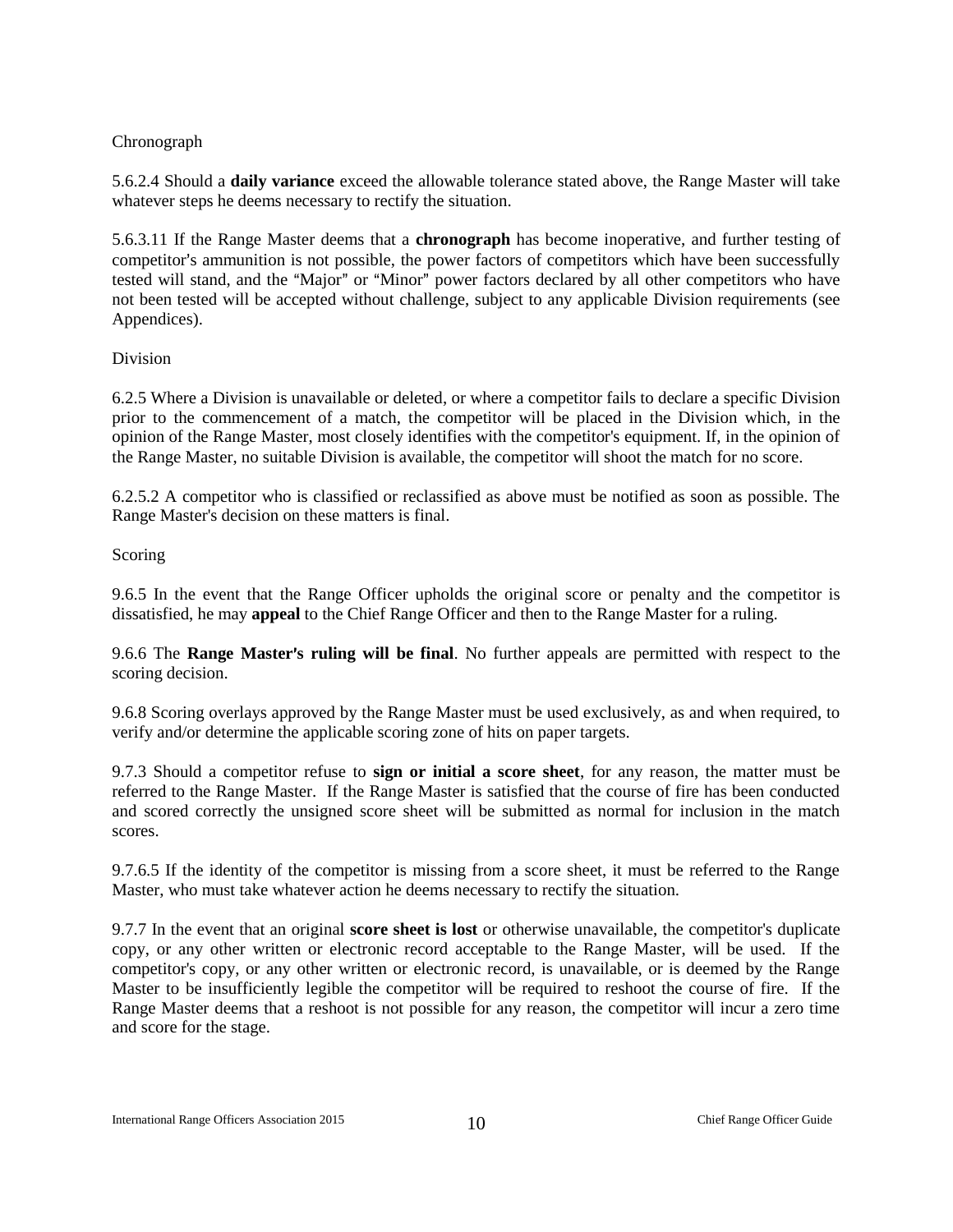#### Chronograph

5.6.2.4 Should a **daily variance** exceed the allowable tolerance stated above, the Range Master will take whatever steps he deems necessary to rectify the situation.

5.6.3.11 If the Range Master deems that a **chronograph** has become inoperative, and further testing of competitor's ammunition is not possible, the power factors of competitors which have been successfully tested will stand, and the "Major" or "Minor" power factors declared by all other competitors who have not been tested will be accepted without challenge, subject to any applicable Division requirements (see Appendices).

#### Division

6.2.5 Where a Division is unavailable or deleted, or where a competitor fails to declare a specific Division prior to the commencement of a match, the competitor will be placed in the Division which, in the opinion of the Range Master, most closely identifies with the competitor's equipment. If, in the opinion of the Range Master, no suitable Division is available, the competitor will shoot the match for no score.

6.2.5.2 A competitor who is classified or reclassified as above must be notified as soon as possible. The Range Master's decision on these matters is final.

#### Scoring

9.6.5 In the event that the Range Officer upholds the original score or penalty and the competitor is dissatisfied, he may **appeal** to the Chief Range Officer and then to the Range Master for a ruling.

9.6.6 The **Range Master's ruling will be final**. No further appeals are permitted with respect to the scoring decision.

9.6.8 Scoring overlays approved by the Range Master must be used exclusively, as and when required, to verify and/or determine the applicable scoring zone of hits on paper targets.

9.7.3 Should a competitor refuse to **sign or initial a score sheet**, for any reason, the matter must be referred to the Range Master. If the Range Master is satisfied that the course of fire has been conducted and scored correctly the unsigned score sheet will be submitted as normal for inclusion in the match scores.

9.7.6.5 If the identity of the competitor is missing from a score sheet, it must be referred to the Range Master, who must take whatever action he deems necessary to rectify the situation.

9.7.7 In the event that an original **score sheet is lost** or otherwise unavailable, the competitor's duplicate copy, or any other written or electronic record acceptable to the Range Master, will be used. If the competitor's copy, or any other written or electronic record, is unavailable, or is deemed by the Range Master to be insufficiently legible the competitor will be required to reshoot the course of fire. If the Range Master deems that a reshoot is not possible for any reason, the competitor will incur a zero time and score for the stage.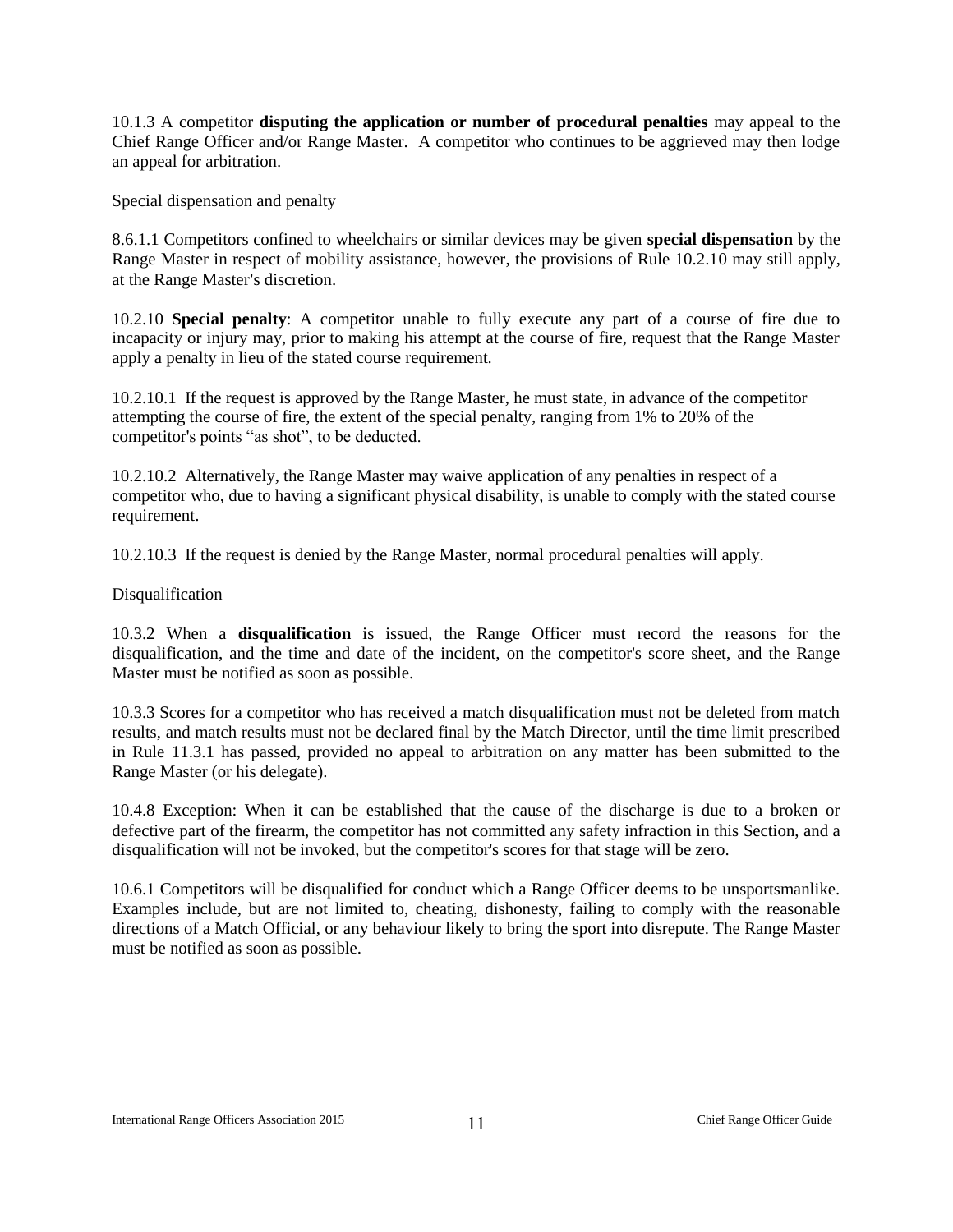10.1.3 A competitor **disputing the application or number of procedural penalties** may appeal to the Chief Range Officer and/or Range Master. A competitor who continues to be aggrieved may then lodge an appeal for arbitration.

Special dispensation and penalty

8.6.1.1 Competitors confined to wheelchairs or similar devices may be given **special dispensation** by the Range Master in respect of mobility assistance, however, the provisions of Rule 10.2.10 may still apply, at the Range Master's discretion.

10.2.10 **Special penalty**: A competitor unable to fully execute any part of a course of fire due to incapacity or injury may, prior to making his attempt at the course of fire, request that the Range Master apply a penalty in lieu of the stated course requirement.

10.2.10.1 If the request is approved by the Range Master, he must state, in advance of the competitor attempting the course of fire, the extent of the special penalty, ranging from 1% to 20% of the competitor's points "as shot", to be deducted.

10.2.10.2 Alternatively, the Range Master may waive application of any penalties in respect of a competitor who, due to having a significant physical disability, is unable to comply with the stated course requirement.

10.2.10.3 If the request is denied by the Range Master, normal procedural penalties will apply.

Disqualification

10.3.2 When a **disqualification** is issued, the Range Officer must record the reasons for the disqualification, and the time and date of the incident, on the competitor's score sheet, and the Range Master must be notified as soon as possible.

10.3.3 Scores for a competitor who has received a match disqualification must not be deleted from match results, and match results must not be declared final by the Match Director, until the time limit prescribed in Rule 11.3.1 has passed, provided no appeal to arbitration on any matter has been submitted to the Range Master (or his delegate).

10.4.8 Exception: When it can be established that the cause of the discharge is due to a broken or defective part of the firearm, the competitor has not committed any safety infraction in this Section, and a disqualification will not be invoked, but the competitor's scores for that stage will be zero.

10.6.1 Competitors will be disqualified for conduct which a Range Officer deems to be unsportsmanlike. Examples include, but are not limited to, cheating, dishonesty, failing to comply with the reasonable directions of a Match Official, or any behaviour likely to bring the sport into disrepute. The Range Master must be notified as soon as possible.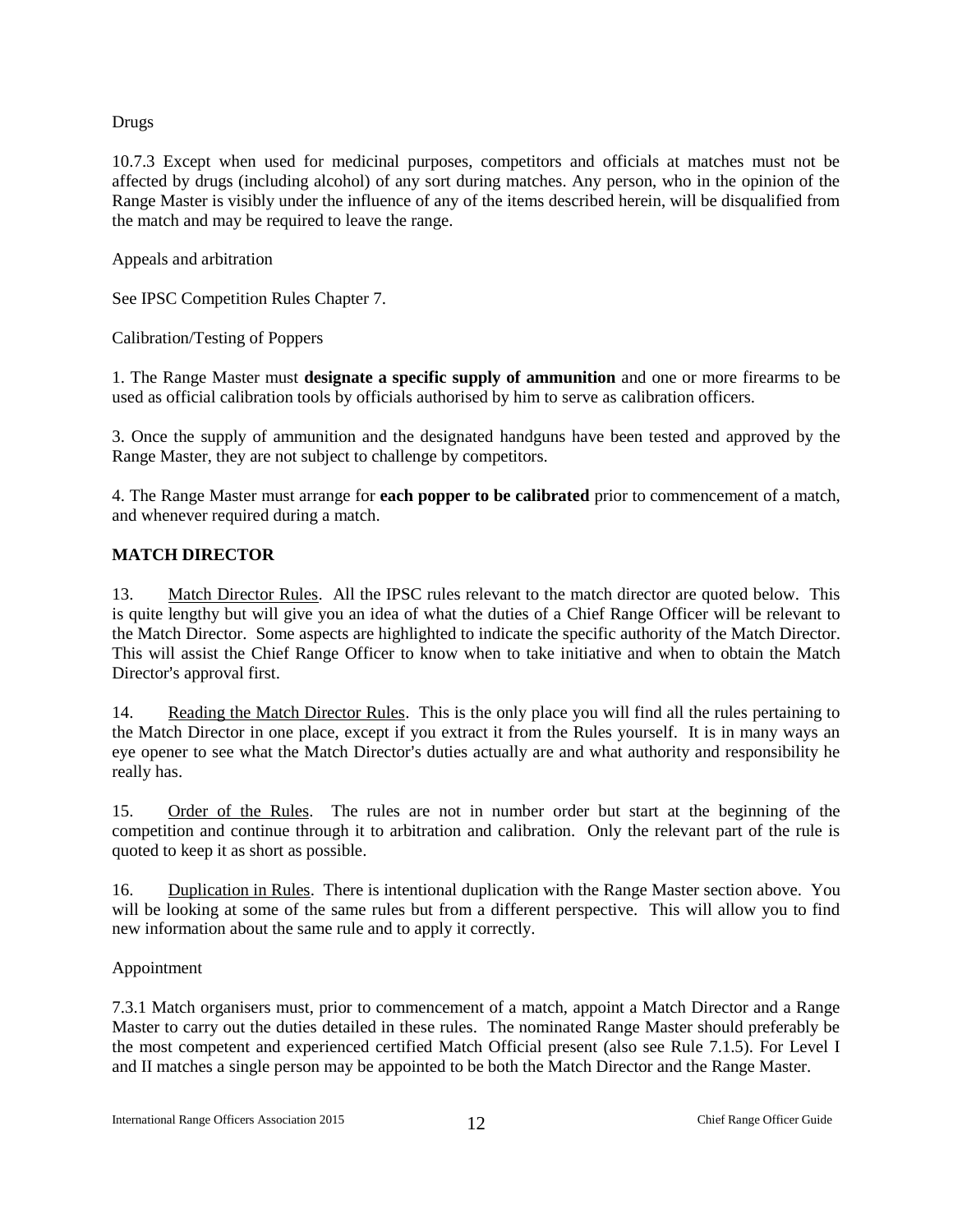#### Drugs

10.7.3 Except when used for medicinal purposes, competitors and officials at matches must not be affected by drugs (including alcohol) of any sort during matches. Any person, who in the opinion of the Range Master is visibly under the influence of any of the items described herein, will be disqualified from the match and may be required to leave the range.

Appeals and arbitration

See IPSC Competition Rules Chapter 7.

Calibration/Testing of Poppers

1. The Range Master must **designate a specific supply of ammunition** and one or more firearms to be used as official calibration tools by officials authorised by him to serve as calibration officers.

3. Once the supply of ammunition and the designated handguns have been tested and approved by the Range Master, they are not subject to challenge by competitors.

4. The Range Master must arrange for **each popper to be calibrated** prior to commencement of a match, and whenever required during a match.

#### <span id="page-12-0"></span>**MATCH DIRECTOR**

13. Match Director Rules. All the IPSC rules relevant to the match director are quoted below. This is quite lengthy but will give you an idea of what the duties of a Chief Range Officer will be relevant to the Match Director. Some aspects are highlighted to indicate the specific authority of the Match Director. This will assist the Chief Range Officer to know when to take initiative and when to obtain the Match Director's approval first.

14. Reading the Match Director Rules. This is the only place you will find all the rules pertaining to the Match Director in one place, except if you extract it from the Rules yourself. It is in many ways an eye opener to see what the Match Director's duties actually are and what authority and responsibility he really has.

15. Order of the Rules. The rules are not in number order but start at the beginning of the competition and continue through it to arbitration and calibration. Only the relevant part of the rule is quoted to keep it as short as possible.

16. Duplication in Rules. There is intentional duplication with the Range Master section above. You will be looking at some of the same rules but from a different perspective. This will allow you to find new information about the same rule and to apply it correctly.

#### Appointment

7.3.1 Match organisers must, prior to commencement of a match, appoint a Match Director and a Range Master to carry out the duties detailed in these rules. The nominated Range Master should preferably be the most competent and experienced certified Match Official present (also see Rule 7.1.5). For Level I and II matches a single person may be appointed to be both the Match Director and the Range Master.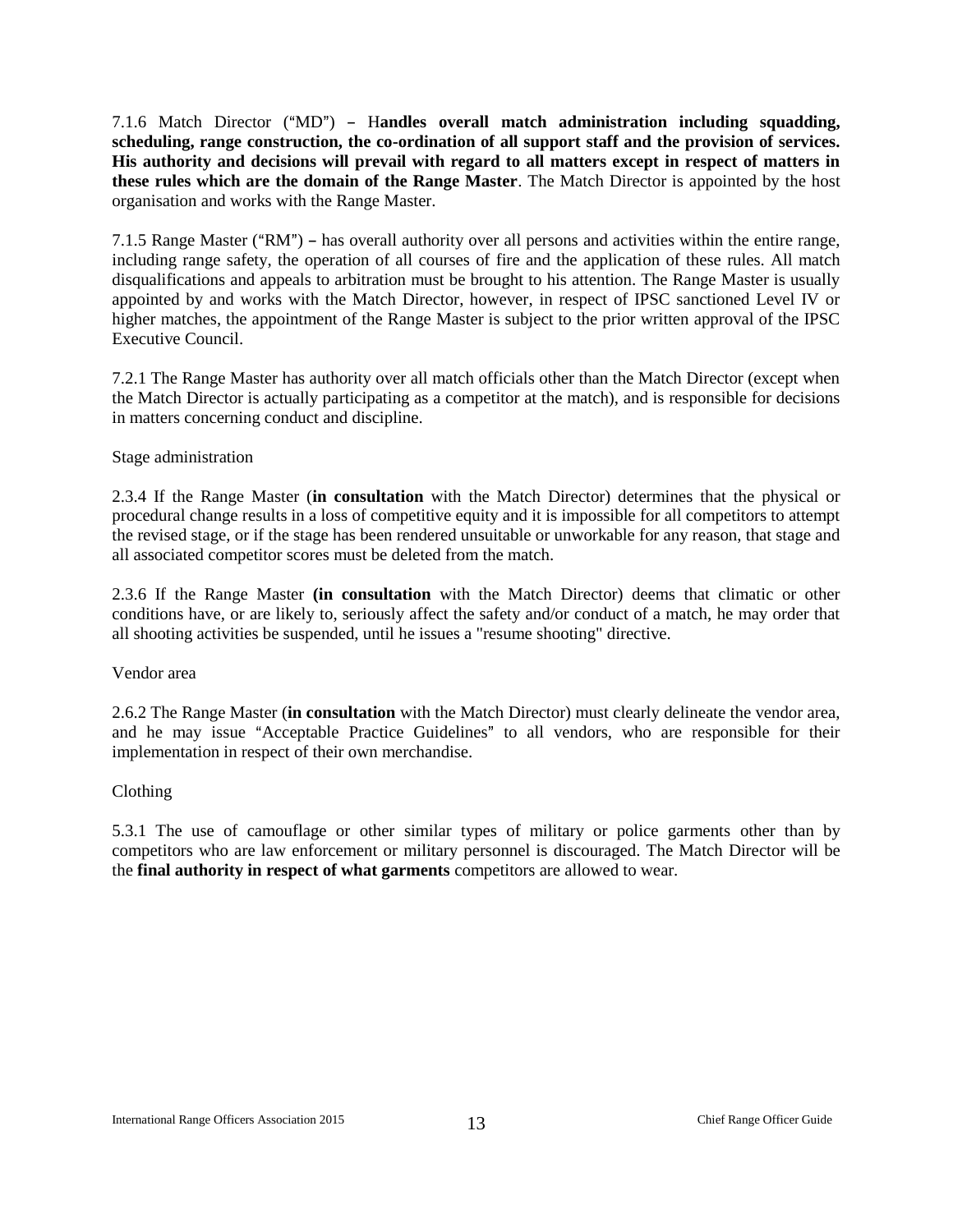7.1.6 Match Director ("MD") - Handles overall match administration including squadding, **scheduling, range construction, the co-ordination of all support staff and the provision of services. His authority and decisions will prevail with regard to all matters except in respect of matters in these rules which are the domain of the Range Master**. The Match Director is appointed by the host organisation and works with the Range Master.

7.1.5 Range Master ( $"RM"$ ) – has overall authority over all persons and activities within the entire range, including range safety, the operation of all courses of fire and the application of these rules. All match disqualifications and appeals to arbitration must be brought to his attention. The Range Master is usually appointed by and works with the Match Director, however, in respect of IPSC sanctioned Level IV or higher matches, the appointment of the Range Master is subject to the prior written approval of the IPSC Executive Council.

7.2.1 The Range Master has authority over all match officials other than the Match Director (except when the Match Director is actually participating as a competitor at the match), and is responsible for decisions in matters concerning conduct and discipline.

#### Stage administration

2.3.4 If the Range Master (**in consultation** with the Match Director) determines that the physical or procedural change results in a loss of competitive equity and it is impossible for all competitors to attempt the revised stage, or if the stage has been rendered unsuitable or unworkable for any reason, that stage and all associated competitor scores must be deleted from the match.

2.3.6 If the Range Master **(in consultation** with the Match Director) deems that climatic or other conditions have, or are likely to, seriously affect the safety and/or conduct of a match, he may order that all shooting activities be suspended, until he issues a "resume shooting" directive.

#### Vendor area

2.6.2 The Range Master (**in consultation** with the Match Director) must clearly delineate the vendor area, and he may issue "Acceptable Practice Guidelines" to all vendors, who are responsible for their implementation in respect of their own merchandise.

#### Clothing

5.3.1 The use of camouflage or other similar types of military or police garments other than by competitors who are law enforcement or military personnel is discouraged. The Match Director will be the **final authority in respect of what garments** competitors are allowed to wear.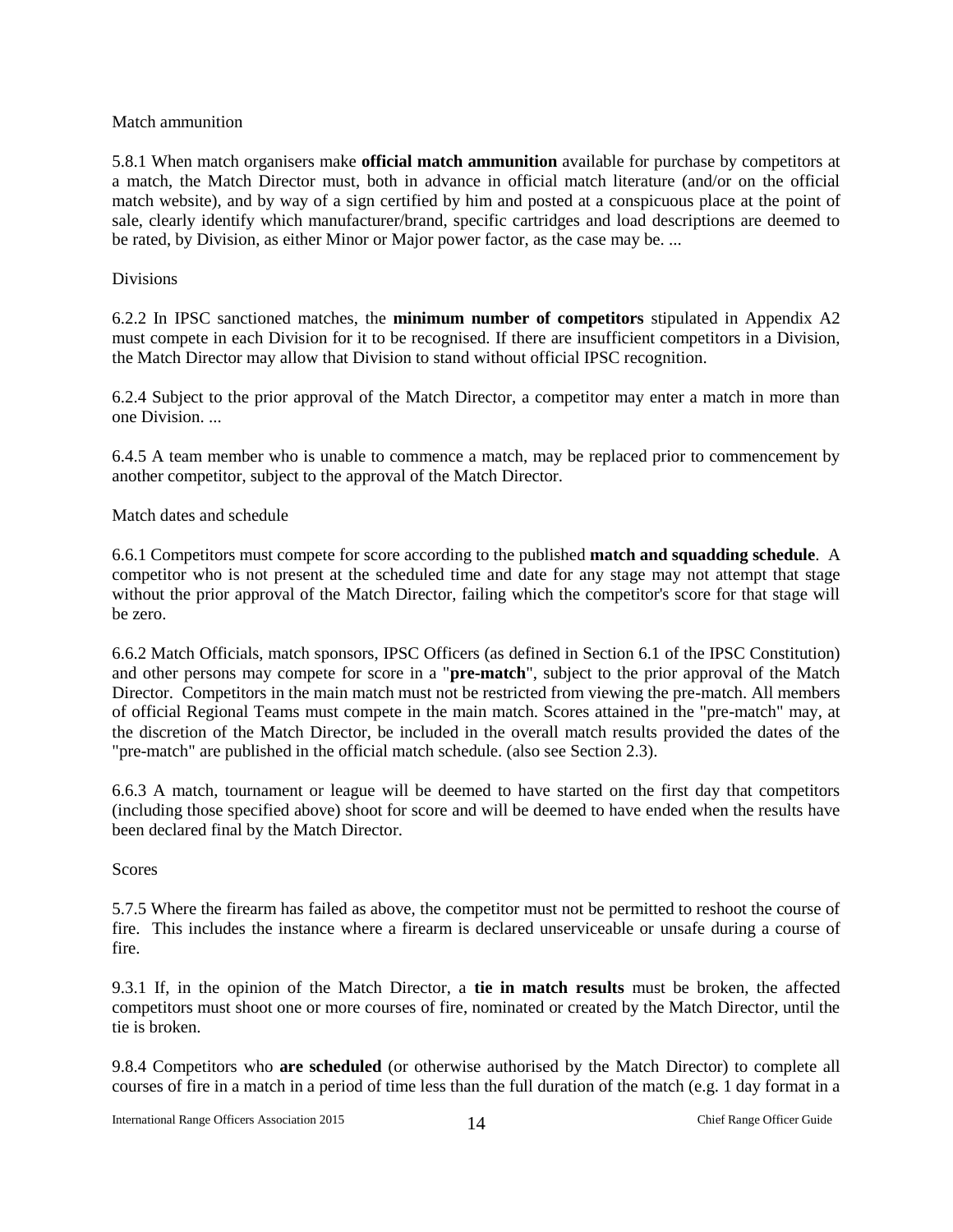#### Match ammunition

5.8.1 When match organisers make **official match ammunition** available for purchase by competitors at a match, the Match Director must, both in advance in official match literature (and/or on the official match website), and by way of a sign certified by him and posted at a conspicuous place at the point of sale, clearly identify which manufacturer/brand, specific cartridges and load descriptions are deemed to be rated, by Division, as either Minor or Major power factor, as the case may be. ...

#### Divisions

6.2.2 In IPSC sanctioned matches, the **minimum number of competitors** stipulated in Appendix A2 must compete in each Division for it to be recognised. If there are insufficient competitors in a Division, the Match Director may allow that Division to stand without official IPSC recognition.

6.2.4 Subject to the prior approval of the Match Director, a competitor may enter a match in more than one Division.

6.4.5 A team member who is unable to commence a match, may be replaced prior to commencement by another competitor, subject to the approval of the Match Director.

#### Match dates and schedule

6.6.1 Competitors must compete for score according to the published **match and squadding schedule**. A competitor who is not present at the scheduled time and date for any stage may not attempt that stage without the prior approval of the Match Director, failing which the competitor's score for that stage will be zero.

6.6.2 Match Officials, match sponsors, IPSC Officers (as defined in Section 6.1 of the IPSC Constitution) and other persons may compete for score in a "**pre-match**", subject to the prior approval of the Match Director. Competitors in the main match must not be restricted from viewing the pre-match. All members of official Regional Teams must compete in the main match. Scores attained in the "pre-match" may, at the discretion of the Match Director, be included in the overall match results provided the dates of the "pre-match" are published in the official match schedule. (also see Section 2.3).

6.6.3 A match, tournament or league will be deemed to have started on the first day that competitors (including those specified above) shoot for score and will be deemed to have ended when the results have been declared final by the Match Director.

#### Scores

5.7.5 Where the firearm has failed as above, the competitor must not be permitted to reshoot the course of fire. This includes the instance where a firearm is declared unserviceable or unsafe during a course of fire.

9.3.1 If, in the opinion of the Match Director, a **tie in match results** must be broken, the affected competitors must shoot one or more courses of fire, nominated or created by the Match Director, until the tie is broken.

9.8.4 Competitors who **are scheduled** (or otherwise authorised by the Match Director) to complete all courses of fire in a match in a period of time less than the full duration of the match (e.g. 1 day format in a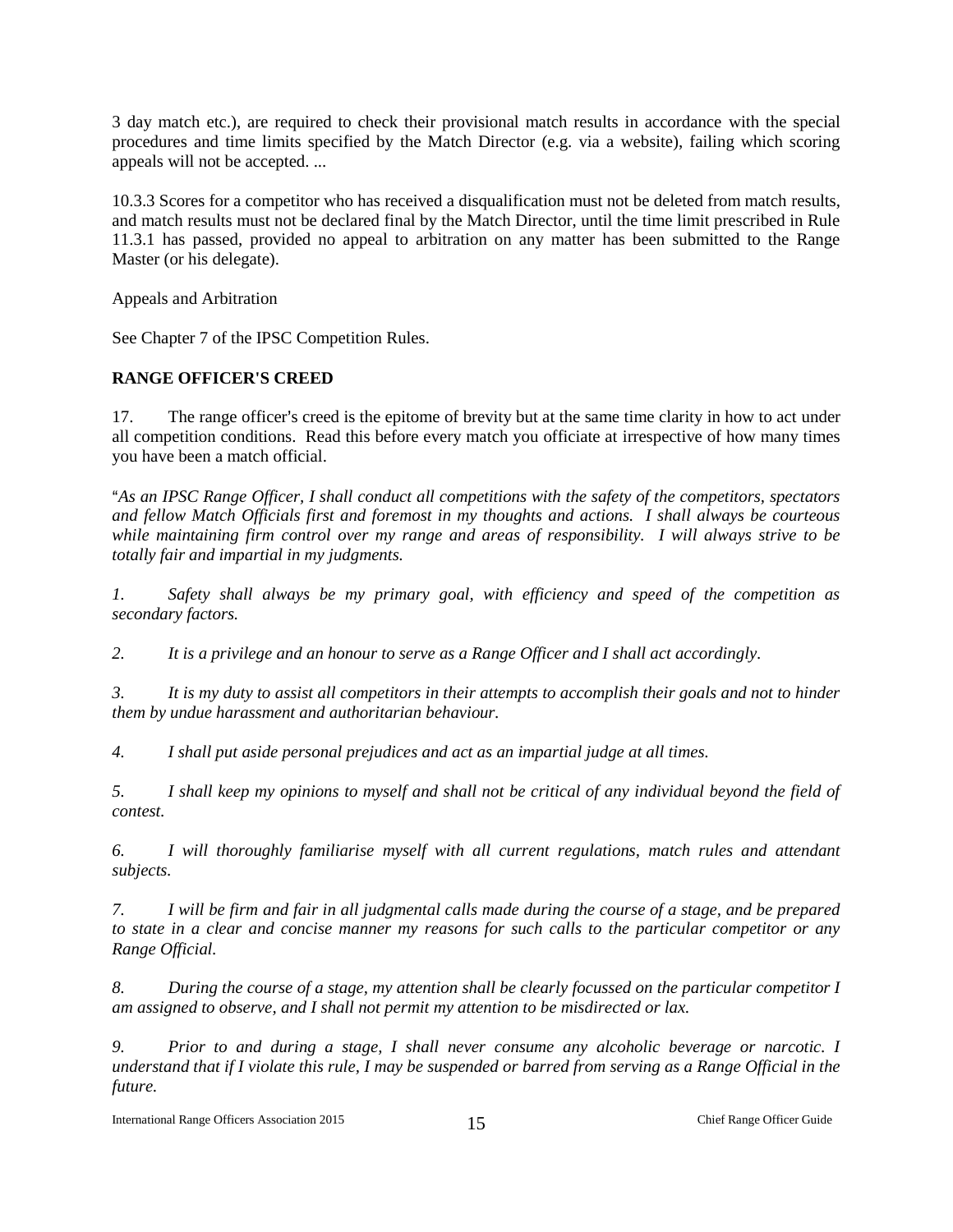3 day match etc.), are required to check their provisional match results in accordance with the special procedures and time limits specified by the Match Director (e.g. via a website), failing which scoring appeals will not be accepted. ...

10.3.3 Scores for a competitor who has received a disqualification must not be deleted from match results, and match results must not be declared final by the Match Director, until the time limit prescribed in Rule 11.3.1 has passed, provided no appeal to arbitration on any matter has been submitted to the Range Master (or his delegate).

Appeals and Arbitration

See Chapter 7 of the IPSC Competition Rules.

#### <span id="page-15-0"></span>**RANGE OFFICER'S CREED**

17. The range officer's creed is the epitome of brevity but at the same time clarity in how to act under all competition conditions. Read this before every match you officiate at irrespective of how many times you have been a match official.

A*As an IPSC Range Officer, I shall conduct all competitions with the safety of the competitors, spectators and fellow Match Officials first and foremost in my thoughts and actions. I shall always be courteous while maintaining firm control over my range and areas of responsibility. I will always strive to be totally fair and impartial in my judgments.*

*1. Safety shall always be my primary goal, with efficiency and speed of the competition as secondary factors.*

*2. It is a privilege and an honour to serve as a Range Officer and I shall act accordingly.*

*3. It is my duty to assist all competitors in their attempts to accomplish their goals and not to hinder them by undue harassment and authoritarian behaviour.*

*4. I shall put aside personal prejudices and act as an impartial judge at all times.*

*5. I shall keep my opinions to myself and shall not be critical of any individual beyond the field of contest.*

*6. I will thoroughly familiarise myself with all current regulations, match rules and attendant subjects.*

*7. I will be firm and fair in all judgmental calls made during the course of a stage, and be prepared to state in a clear and concise manner my reasons for such calls to the particular competitor or any Range Official.*

*8. During the course of a stage, my attention shall be clearly focussed on the particular competitor I am assigned to observe, and I shall not permit my attention to be misdirected or lax.*

*9. Prior to and during a stage, I shall never consume any alcoholic beverage or narcotic. I understand that if I violate this rule, I may be suspended or barred from serving as a Range Official in the future.*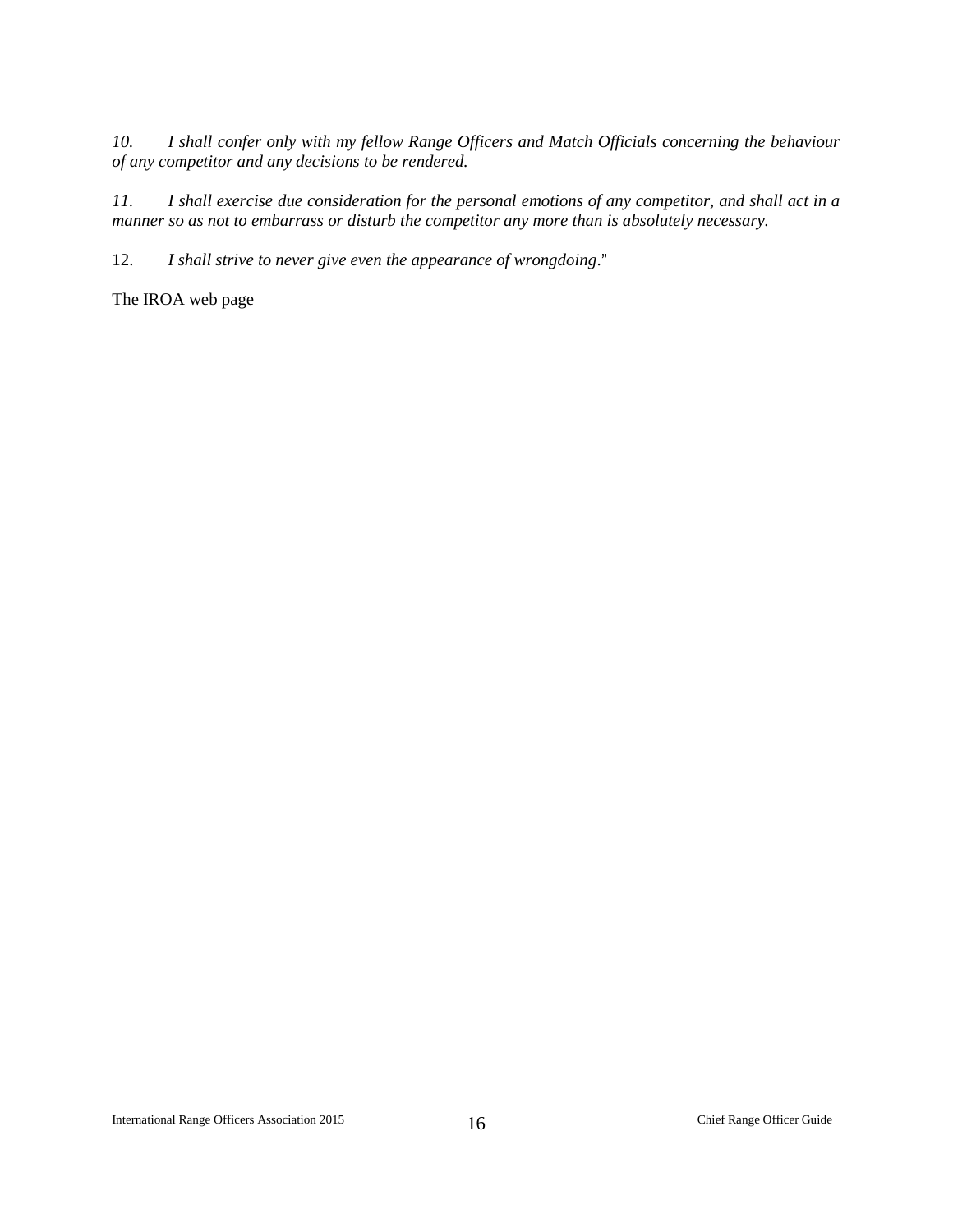*10. I shall confer only with my fellow Range Officers and Match Officials concerning the behaviour of any competitor and any decisions to be rendered.*

*11. I shall exercise due consideration for the personal emotions of any competitor, and shall act in a manner so as not to embarrass or disturb the competitor any more than is absolutely necessary.*

12. *I shall strive to never give even the appearance of wrongdoing*."

The IROA web page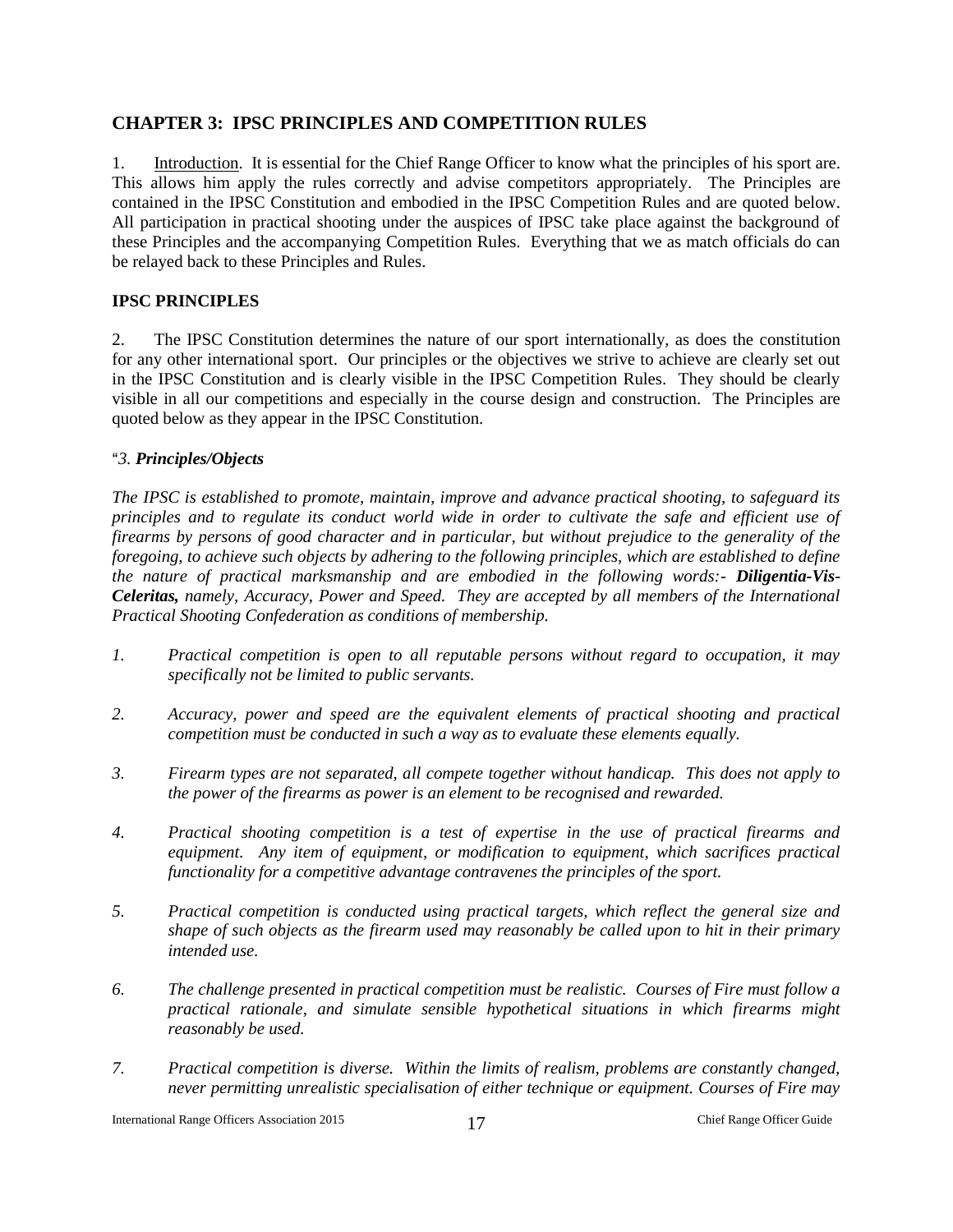#### **CHAPTER 3: IPSC PRINCIPLES AND COMPETITION RULES**

1. Introduction. It is essential for the Chief Range Officer to know what the principles of his sport are. This allows him apply the rules correctly and advise competitors appropriately. The Principles are contained in the IPSC Constitution and embodied in the IPSC Competition Rules and are quoted below. All participation in practical shooting under the auspices of IPSC take place against the background of these Principles and the accompanying Competition Rules. Everything that we as match officials do can be relayed back to these Principles and Rules.

#### **IPSC PRINCIPLES**

2. The IPSC Constitution determines the nature of our sport internationally, as does the constitution for any other international sport. Our principles or the objectives we strive to achieve are clearly set out in the IPSC Constitution and is clearly visible in the IPSC Competition Rules. They should be clearly visible in all our competitions and especially in the course design and construction. The Principles are quoted below as they appear in the IPSC Constitution.

#### A*3. Principles/Objects*

*The IPSC is established to promote, maintain, improve and advance practical shooting, to safeguard its principles and to regulate its conduct world wide in order to cultivate the safe and efficient use of firearms by persons of good character and in particular, but without prejudice to the generality of the foregoing, to achieve such objects by adhering to the following principles, which are established to define the nature of practical marksmanship and are embodied in the following words:- Diligentia-Vis-Celeritas, namely, Accuracy, Power and Speed. They are accepted by all members of the International Practical Shooting Confederation as conditions of membership.*

- *1. Practical competition is open to all reputable persons without regard to occupation, it may specifically not be limited to public servants.*
- *2. Accuracy, power and speed are the equivalent elements of practical shooting and practical competition must be conducted in such a way as to evaluate these elements equally.*
- *3. Firearm types are not separated, all compete together without handicap. This does not apply to the power of the firearms as power is an element to be recognised and rewarded.*
- *4. Practical shooting competition is a test of expertise in the use of practical firearms and equipment. Any item of equipment, or modification to equipment, which sacrifices practical functionality for a competitive advantage contravenes the principles of the sport.*
- *5. Practical competition is conducted using practical targets, which reflect the general size and shape of such objects as the firearm used may reasonably be called upon to hit in their primary intended use.*
- *6. The challenge presented in practical competition must be realistic. Courses of Fire must follow a practical rationale, and simulate sensible hypothetical situations in which firearms might reasonably be used.*
- *7. Practical competition is diverse. Within the limits of realism, problems are constantly changed, never permitting unrealistic specialisation of either technique or equipment. Courses of Fire may*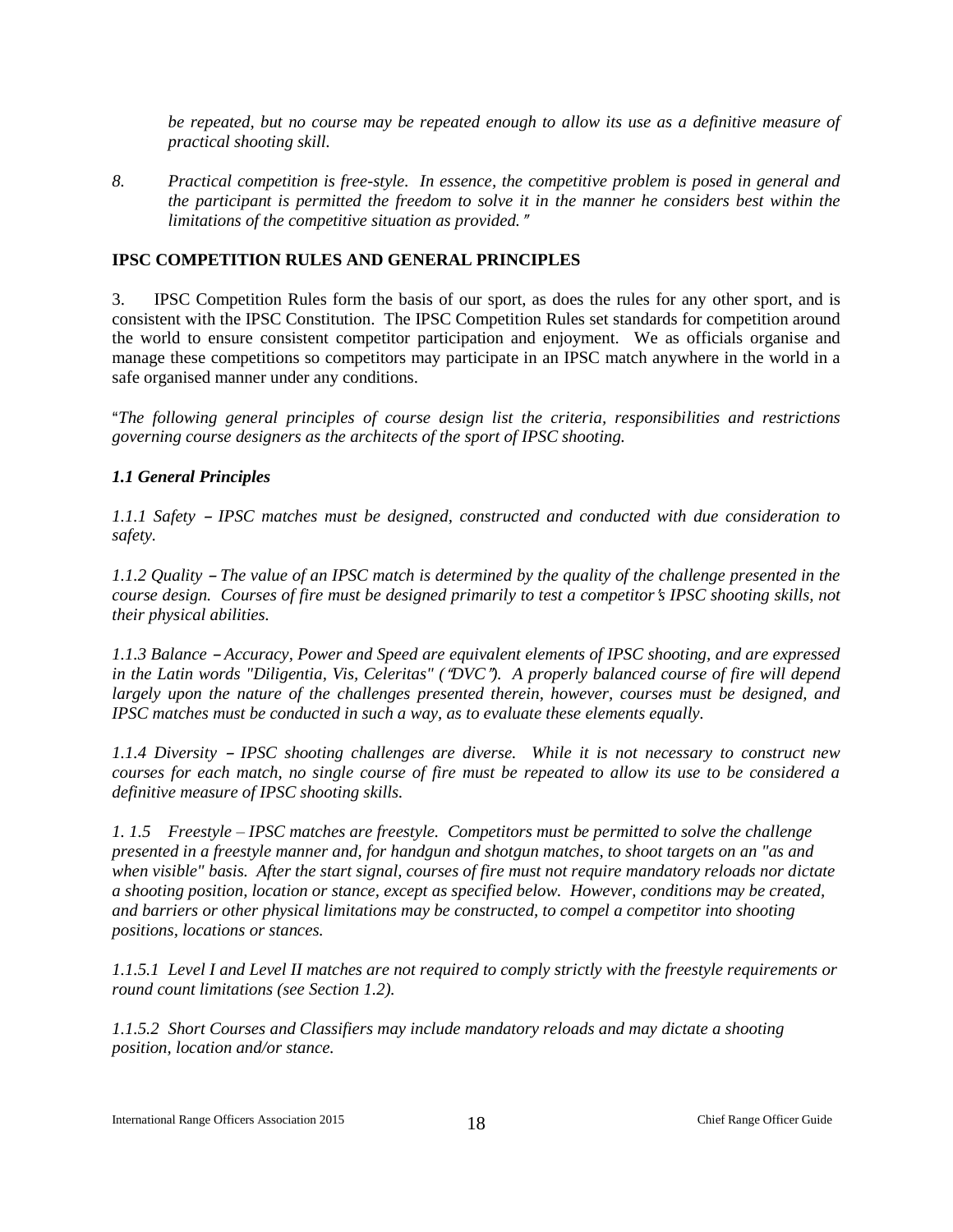*be repeated, but no course may be repeated enough to allow its use as a definitive measure of practical shooting skill.*

*8. Practical competition is free-style. In essence, the competitive problem is posed in general and the participant is permitted the freedom to solve it in the manner he considers best within the limitations of the competitive situation as provided.*@

#### **IPSC COMPETITION RULES AND GENERAL PRINCIPLES**

3. IPSC Competition Rules form the basis of our sport, as does the rules for any other sport, and is consistent with the IPSC Constitution. The IPSC Competition Rules set standards for competition around the world to ensure consistent competitor participation and enjoyment. We as officials organise and manage these competitions so competitors may participate in an IPSC match anywhere in the world in a safe organised manner under any conditions.

A*The following general principles of course design list the criteria, responsibilities and restrictions governing course designers as the architects of the sport of IPSC shooting.*

#### *1.1 General Principles*

*1.1.1 Safety – IPSC matches must be designed, constructed and conducted with due consideration to safety.*

*1.1.2 Quality – The value of an IPSC match is determined by the quality of the challenge presented in the course design. Courses of fire must be designed primarily to test a competitor's IPSC shooting skills, not their physical abilities.*

*1.1.3 Balance - Accuracy, Power and Speed are equivalent elements of IPSC shooting, and are expressed in the Latin words "Diligentia, Vis, Celeritas" ("DVC"). A properly balanced course of fire will depend largely upon the nature of the challenges presented therein, however, courses must be designed, and IPSC matches must be conducted in such a way, as to evaluate these elements equally.*

*1.1.4 Diversity - IPSC shooting challenges are diverse. While it is not necessary to construct new courses for each match, no single course of fire must be repeated to allow its use to be considered a definitive measure of IPSC shooting skills.*

*1. 1.5 Freestyle – IPSC matches are freestyle. Competitors must be permitted to solve the challenge presented in a freestyle manner and, for handgun and shotgun matches, to shoot targets on an "as and when visible" basis. After the start signal, courses of fire must not require mandatory reloads nor dictate a shooting position, location or stance, except as specified below. However, conditions may be created, and barriers or other physical limitations may be constructed, to compel a competitor into shooting positions, locations or stances.*

*1.1.5.1 Level I and Level II matches are not required to comply strictly with the freestyle requirements or round count limitations (see Section 1.2).*

*1.1.5.2 Short Courses and Classifiers may include mandatory reloads and may dictate a shooting position, location and/or stance.*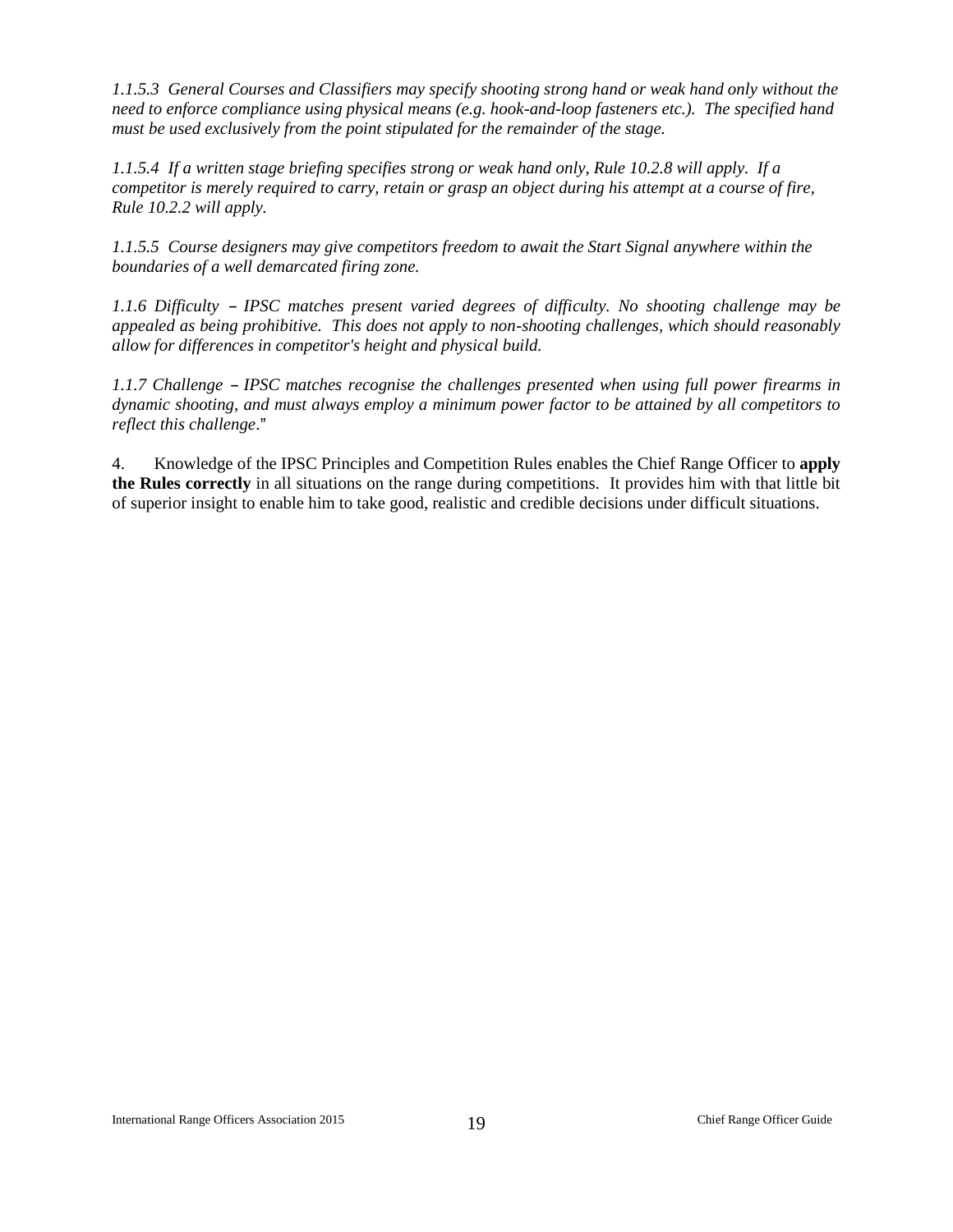*1.1.5.3 General Courses and Classifiers may specify shooting strong hand or weak hand only without the need to enforce compliance using physical means (e.g. hook-and-loop fasteners etc.). The specified hand must be used exclusively from the point stipulated for the remainder of the stage.*

*1.1.5.4 If a written stage briefing specifies strong or weak hand only, Rule 10.2.8 will apply. If a competitor is merely required to carry, retain or grasp an object during his attempt at a course of fire, Rule 10.2.2 will apply.*

*1.1.5.5 Course designers may give competitors freedom to await the Start Signal anywhere within the boundaries of a well demarcated firing zone.*

*1.1.6 Difficulty – IPSC matches present varied degrees of difficulty. No shooting challenge may be appealed as being prohibitive. This does not apply to non-shooting challenges, which should reasonably allow for differences in competitor's height and physical build.*

*1.1.7 Challenge – IPSC matches recognise the challenges presented when using full power firearms in dynamic shooting, and must always employ a minimum power factor to be attained by all competitors to reflect this challenge.*"

4. Knowledge of the IPSC Principles and Competition Rules enables the Chief Range Officer to **apply the Rules correctly** in all situations on the range during competitions. It provides him with that little bit of superior insight to enable him to take good, realistic and credible decisions under difficult situations.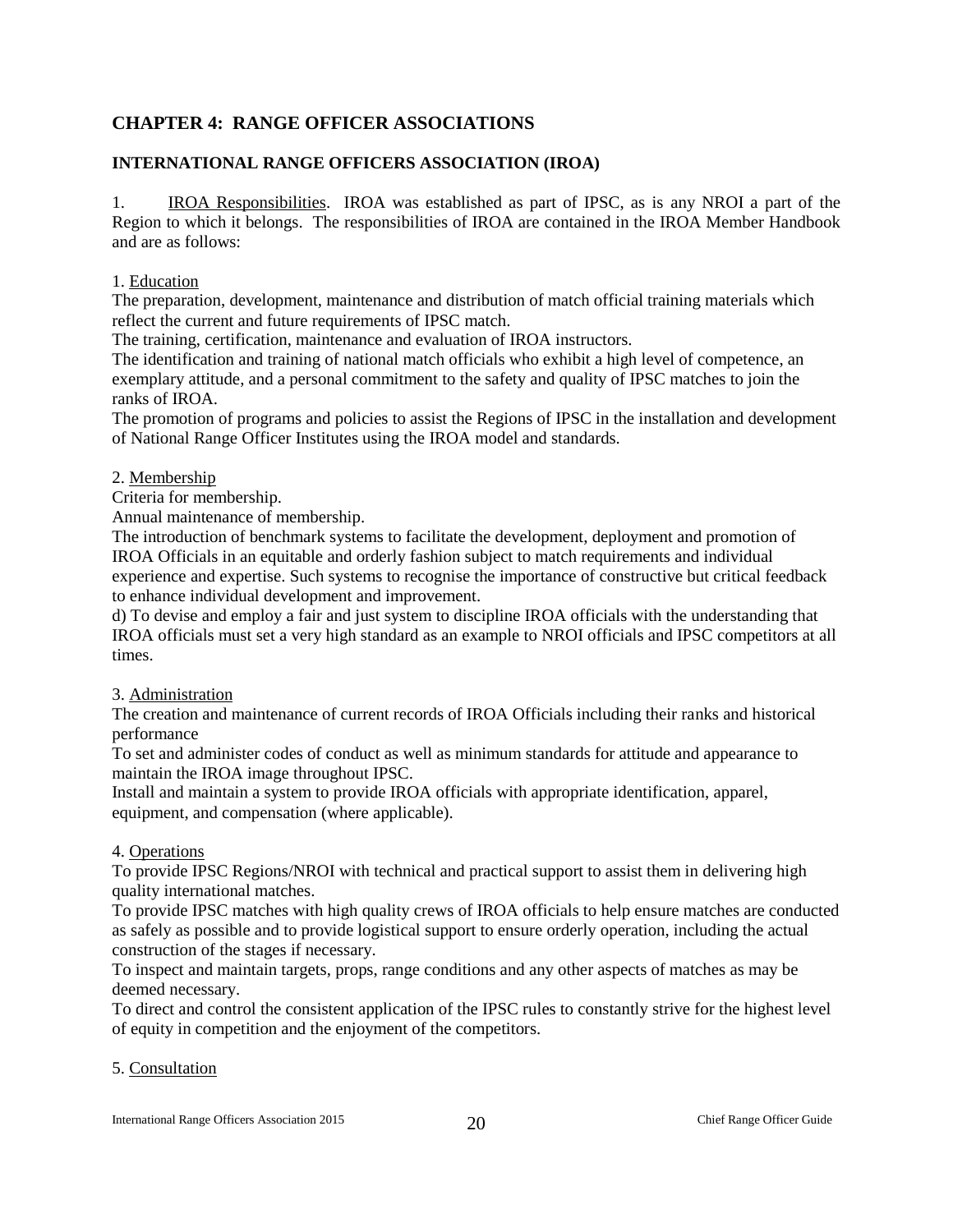## **CHAPTER 4: RANGE OFFICER ASSOCIATIONS**

### <span id="page-20-0"></span>**INTERNATIONAL RANGE OFFICERS ASSOCIATION (IROA)**

1. IROA Responsibilities. IROA was established as part of IPSC, as is any NROI a part of the Region to which it belongs. The responsibilities of IROA are contained in the IROA Member Handbook and are as follows:

1. Education

The preparation, development, maintenance and distribution of match official training materials which reflect the current and future requirements of IPSC match.

The training, certification, maintenance and evaluation of IROA instructors.

The identification and training of national match officials who exhibit a high level of competence, an exemplary attitude, and a personal commitment to the safety and quality of IPSC matches to join the ranks of IROA.

The promotion of programs and policies to assist the Regions of IPSC in the installation and development of National Range Officer Institutes using the IROA model and standards.

#### 2. Membership

Criteria for membership.

Annual maintenance of membership.

The introduction of benchmark systems to facilitate the development, deployment and promotion of IROA Officials in an equitable and orderly fashion subject to match requirements and individual experience and expertise. Such systems to recognise the importance of constructive but critical feedback to enhance individual development and improvement.

d) To devise and employ a fair and just system to discipline IROA officials with the understanding that IROA officials must set a very high standard as an example to NROI officials and IPSC competitors at all times.

#### 3. Administration

The creation and maintenance of current records of IROA Officials including their ranks and historical performance

To set and administer codes of conduct as well as minimum standards for attitude and appearance to maintain the IROA image throughout IPSC.

Install and maintain a system to provide IROA officials with appropriate identification, apparel, equipment, and compensation (where applicable).

#### 4. Operations

To provide IPSC Regions/NROI with technical and practical support to assist them in delivering high quality international matches.

To provide IPSC matches with high quality crews of IROA officials to help ensure matches are conducted as safely as possible and to provide logistical support to ensure orderly operation, including the actual construction of the stages if necessary.

To inspect and maintain targets, props, range conditions and any other aspects of matches as may be deemed necessary.

To direct and control the consistent application of the IPSC rules to constantly strive for the highest level of equity in competition and the enjoyment of the competitors.

#### 5. Consultation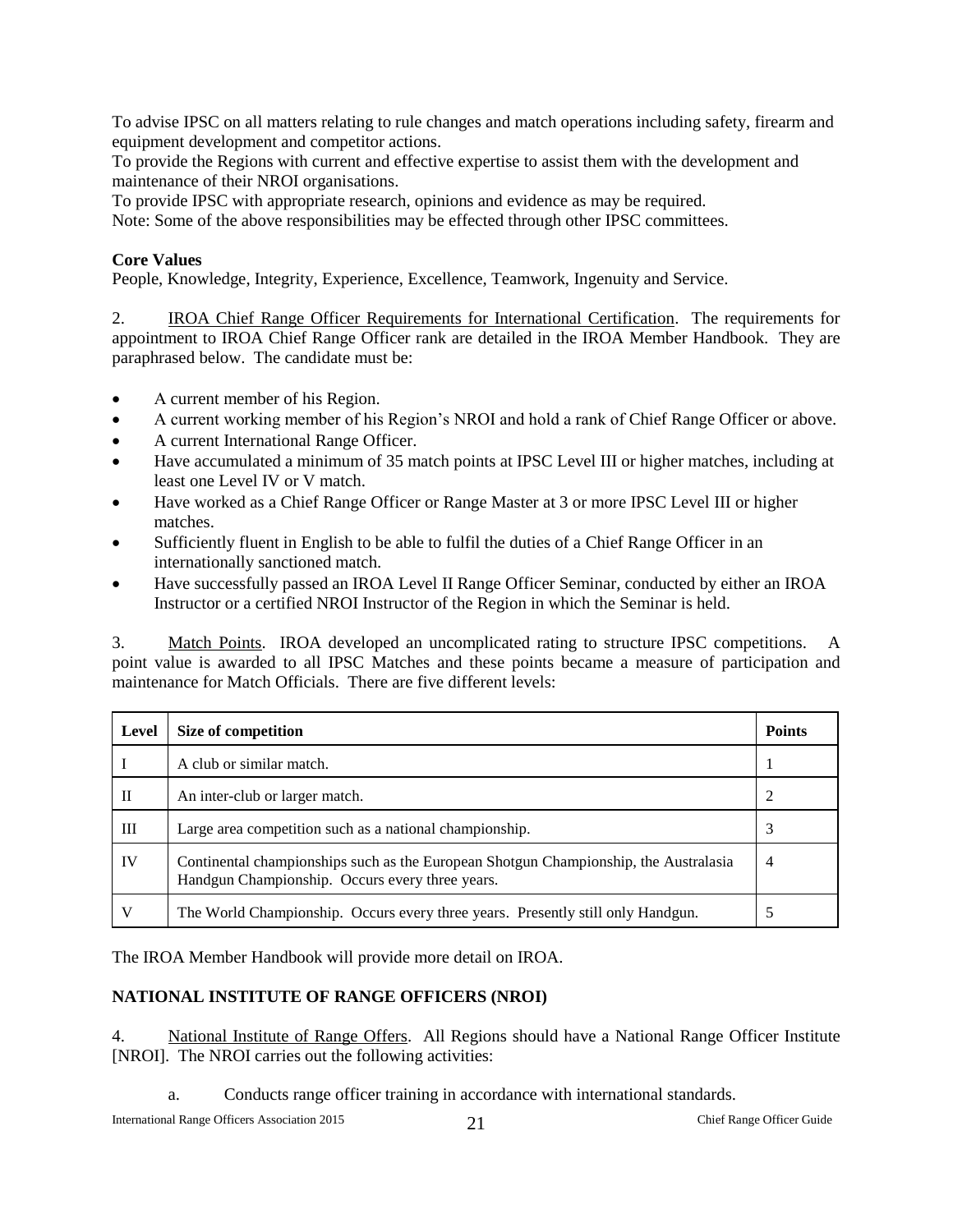To advise IPSC on all matters relating to rule changes and match operations including safety, firearm and equipment development and competitor actions.

To provide the Regions with current and effective expertise to assist them with the development and maintenance of their NROI organisations.

To provide IPSC with appropriate research, opinions and evidence as may be required.

Note: Some of the above responsibilities may be effected through other IPSC committees.

#### **Core Values**

People, Knowledge, Integrity, Experience, Excellence, Teamwork, Ingenuity and Service.

2. IROA Chief Range Officer Requirements for International Certification. The requirements for appointment to IROA Chief Range Officer rank are detailed in the IROA Member Handbook. They are paraphrased below. The candidate must be:

- A current member of his Region.
- A current working member of his Region's NROI and hold a rank of Chief Range Officer or above.
- A current International Range Officer.
- Have accumulated a minimum of 35 match points at IPSC Level III or higher matches, including at least one Level IV or V match.
- Have worked as a Chief Range Officer or Range Master at 3 or more IPSC Level III or higher matches.
- Sufficiently fluent in English to be able to fulfil the duties of a Chief Range Officer in an internationally sanctioned match.
- Have successfully passed an IROA Level II Range Officer Seminar, conducted by either an IROA Instructor or a certified NROI Instructor of the Region in which the Seminar is held.

3. Match Points. IROA developed an uncomplicated rating to structure IPSC competitions. A point value is awarded to all IPSC Matches and these points became a measure of participation and maintenance for Match Officials. There are five different levels:

| Level | Size of competition                                                                                                                     | <b>Points</b> |
|-------|-----------------------------------------------------------------------------------------------------------------------------------------|---------------|
|       | A club or similar match.                                                                                                                |               |
| П     | An inter-club or larger match.                                                                                                          |               |
| Ш     | Large area competition such as a national championship.                                                                                 |               |
| IV    | Continental championships such as the European Shotgun Championship, the Australasia<br>Handgun Championship. Occurs every three years. | 4             |
| V     | The World Championship. Occurs every three years. Presently still only Handgun.                                                         |               |

The IROA Member Handbook will provide more detail on IROA.

#### <span id="page-21-0"></span>**NATIONAL INSTITUTE OF RANGE OFFICERS (NROI)**

4. National Institute of Range Offers. All Regions should have a National Range Officer Institute [NROI]. The NROI carries out the following activities:

a. Conducts range officer training in accordance with international standards.

International Range Officers Association 2015 21 Chief Range Officer Guide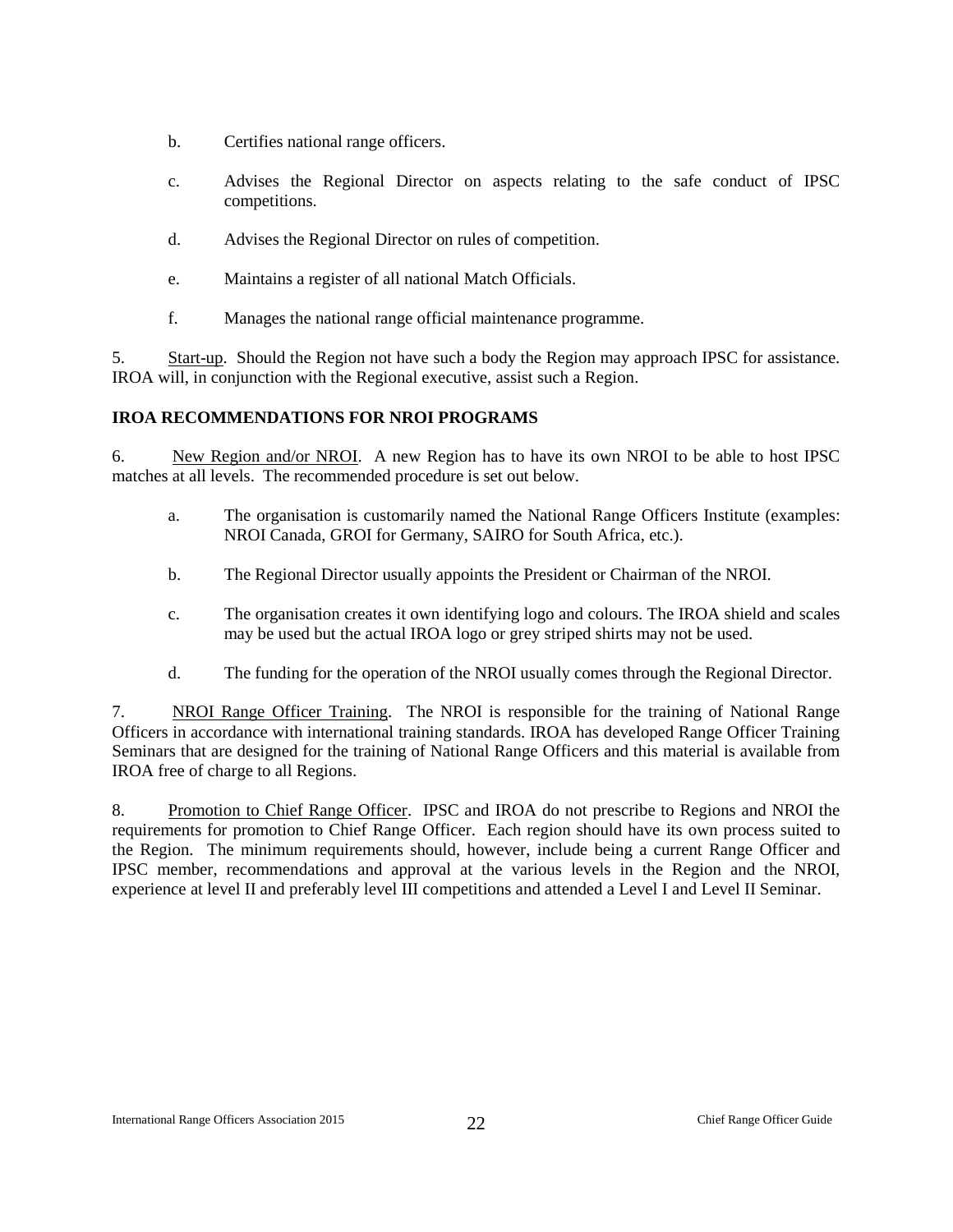- b. Certifies national range officers.
- c. Advises the Regional Director on aspects relating to the safe conduct of IPSC competitions.
- d. Advises the Regional Director on rules of competition.
- e. Maintains a register of all national Match Officials.
- f. Manages the national range official maintenance programme.

5. Start-up. Should the Region not have such a body the Region may approach IPSC for assistance. IROA will, in conjunction with the Regional executive, assist such a Region.

#### <span id="page-22-0"></span>**IROA RECOMMENDATIONS FOR NROI PROGRAMS**

6. New Region and/or NROI. A new Region has to have its own NROI to be able to host IPSC matches at all levels. The recommended procedure is set out below.

- a. The organisation is customarily named the National Range Officers Institute (examples: NROI Canada, GROI for Germany, SAIRO for South Africa, etc.).
- b. The Regional Director usually appoints the President or Chairman of the NROI.
- c. The organisation creates it own identifying logo and colours. The IROA shield and scales may be used but the actual IROA logo or grey striped shirts may not be used.
- d. The funding for the operation of the NROI usually comes through the Regional Director.

7. NROI Range Officer Training. The NROI is responsible for the training of National Range Officers in accordance with international training standards. IROA has developed Range Officer Training Seminars that are designed for the training of National Range Officers and this material is available from IROA free of charge to all Regions.

8. Promotion to Chief Range Officer. IPSC and IROA do not prescribe to Regions and NROI the requirements for promotion to Chief Range Officer. Each region should have its own process suited to the Region. The minimum requirements should, however, include being a current Range Officer and IPSC member, recommendations and approval at the various levels in the Region and the NROI, experience at level II and preferably level III competitions and attended a Level I and Level II Seminar.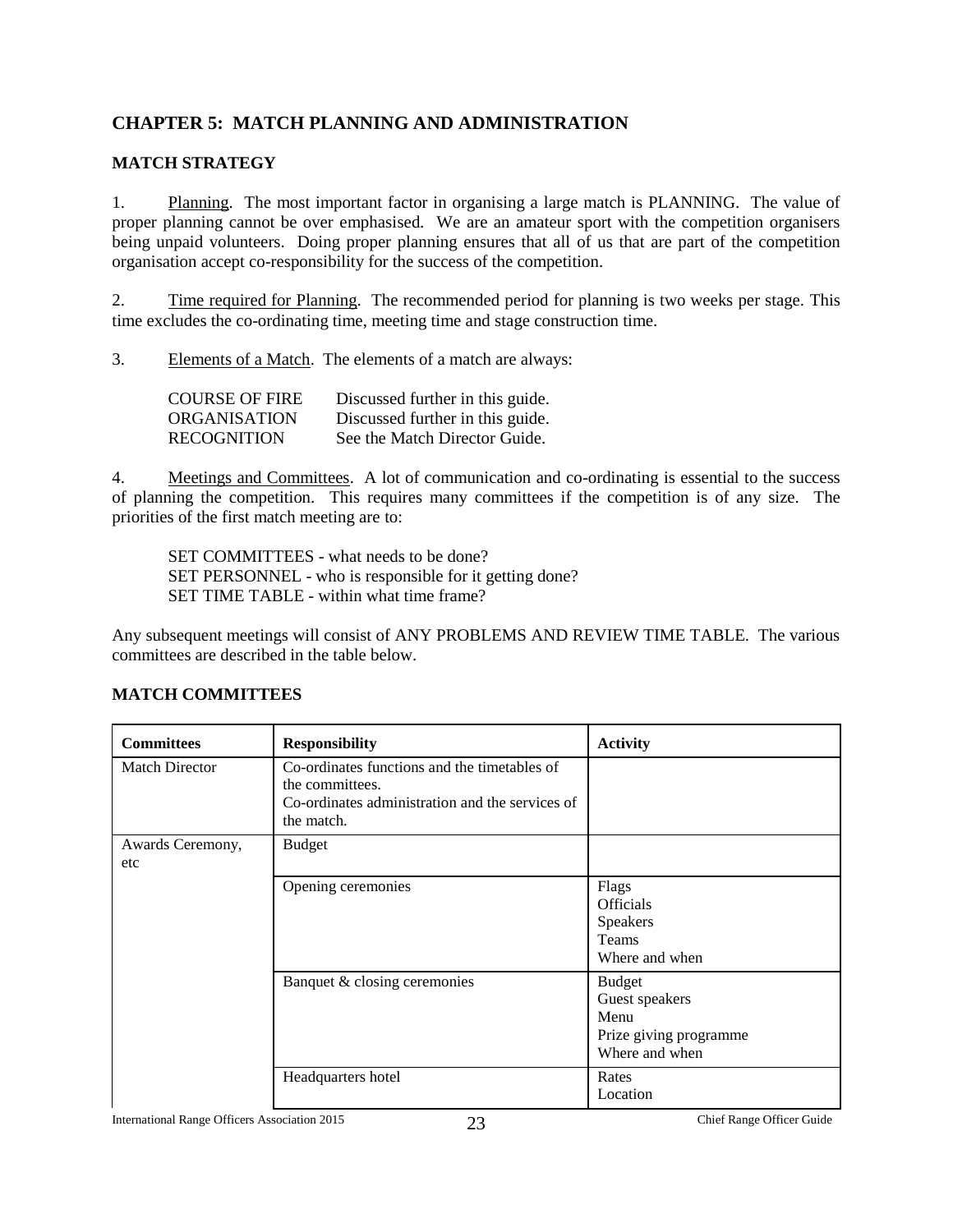## <span id="page-23-0"></span>**CHAPTER 5: MATCH PLANNING AND ADMINISTRATION**

#### <span id="page-23-1"></span>**MATCH STRATEGY**

1. Planning. The most important factor in organising a large match is PLANNING. The value of proper planning cannot be over emphasised. We are an amateur sport with the competition organisers being unpaid volunteers. Doing proper planning ensures that all of us that are part of the competition organisation accept co-responsibility for the success of the competition.

2. Time required for Planning. The recommended period for planning is two weeks per stage. This time excludes the co-ordinating time, meeting time and stage construction time.

3. Elements of a Match. The elements of a match are always:

| <b>COURSE OF FIRE</b> | Discussed further in this guide. |
|-----------------------|----------------------------------|
| <b>ORGANISATION</b>   | Discussed further in this guide. |
| <b>RECOGNITION</b>    | See the Match Director Guide.    |

4. Meetings and Committees. A lot of communication and co-ordinating is essential to the success of planning the competition. This requires many committees if the competition is of any size. The priorities of the first match meeting are to:

SET COMMITTEES - what needs to be done? SET PERSONNEL - who is responsible for it getting done? SET TIME TABLE - within what time frame?

Any subsequent meetings will consist of ANY PROBLEMS AND REVIEW TIME TABLE. The various committees are described in the table below.

| <b>Committees</b>       | <b>Responsibility</b>                                                                                                            | <b>Activity</b>                                                                     |
|-------------------------|----------------------------------------------------------------------------------------------------------------------------------|-------------------------------------------------------------------------------------|
| <b>Match Director</b>   | Co-ordinates functions and the timetables of<br>the committees.<br>Co-ordinates administration and the services of<br>the match. |                                                                                     |
| Awards Ceremony,<br>etc | <b>Budget</b>                                                                                                                    |                                                                                     |
|                         | Opening ceremonies                                                                                                               | Flags<br><b>Officials</b><br>Speakers<br>Teams<br>Where and when                    |
|                         | Banquet & closing ceremonies                                                                                                     | <b>Budget</b><br>Guest speakers<br>Menu<br>Prize giving programme<br>Where and when |
|                         | Headquarters hotel                                                                                                               | Rates<br>Location                                                                   |

#### <span id="page-23-2"></span>**MATCH COMMITTEES**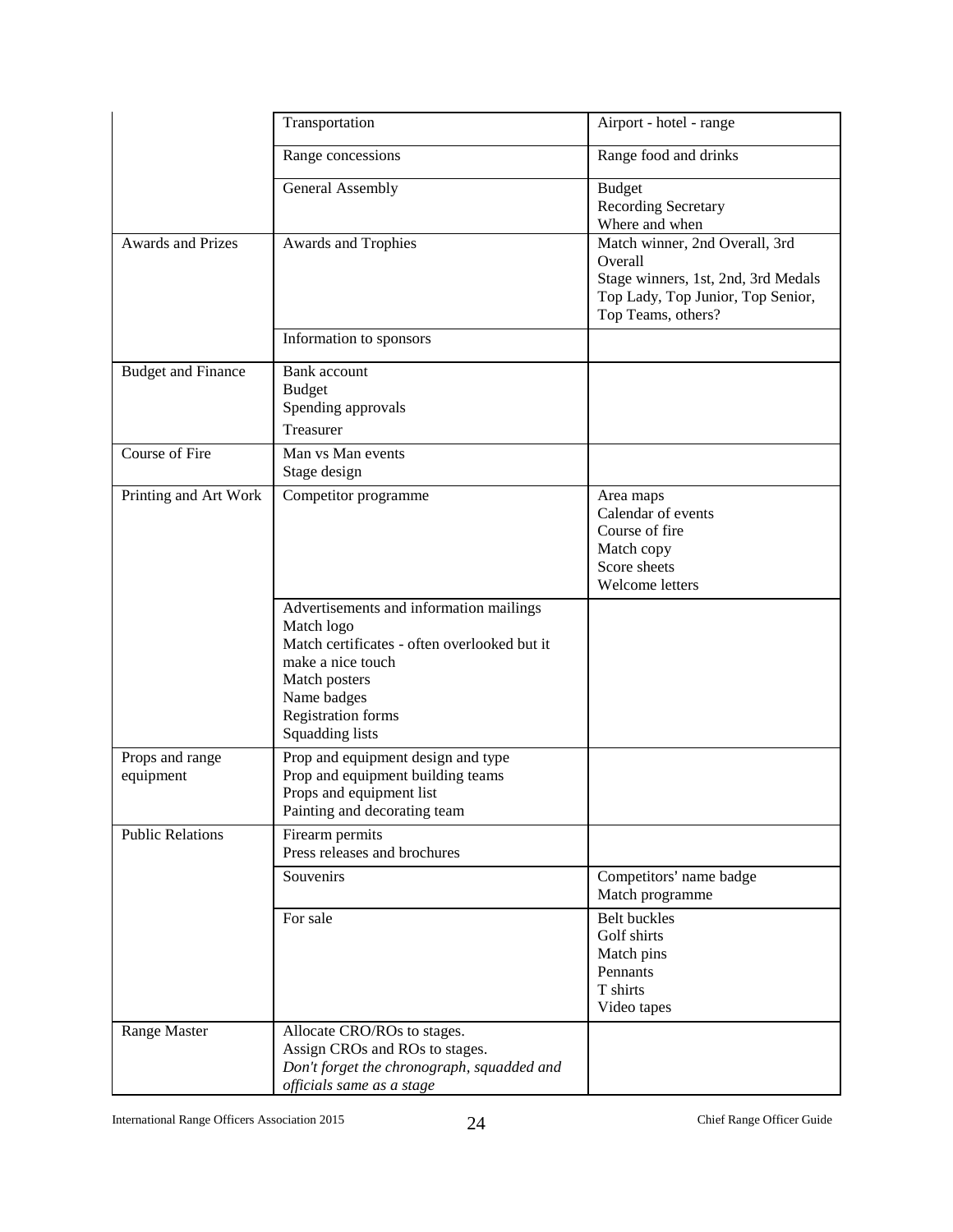|                              | Transportation                                                                                                                                                                                             | Airport - hotel - range                                                                                                                     |
|------------------------------|------------------------------------------------------------------------------------------------------------------------------------------------------------------------------------------------------------|---------------------------------------------------------------------------------------------------------------------------------------------|
|                              | Range concessions                                                                                                                                                                                          | Range food and drinks                                                                                                                       |
|                              | General Assembly                                                                                                                                                                                           | <b>Budget</b><br>Recording Secretary<br>Where and when                                                                                      |
| <b>Awards and Prizes</b>     | Awards and Trophies                                                                                                                                                                                        | Match winner, 2nd Overall, 3rd<br>Overall<br>Stage winners, 1st, 2nd, 3rd Medals<br>Top Lady, Top Junior, Top Senior,<br>Top Teams, others? |
|                              | Information to sponsors                                                                                                                                                                                    |                                                                                                                                             |
| <b>Budget and Finance</b>    | Bank account<br><b>Budget</b><br>Spending approvals<br>Treasurer                                                                                                                                           |                                                                                                                                             |
| Course of Fire               | Man vs Man events<br>Stage design                                                                                                                                                                          |                                                                                                                                             |
| Printing and Art Work        | Competitor programme                                                                                                                                                                                       | Area maps<br>Calendar of events<br>Course of fire<br>Match copy<br>Score sheets<br>Welcome letters                                          |
|                              | Advertisements and information mailings<br>Match logo<br>Match certificates - often overlooked but it<br>make a nice touch<br>Match posters<br>Name badges<br><b>Registration forms</b><br>Squadding lists |                                                                                                                                             |
| Props and range<br>equipment | Prop and equipment design and type<br>Prop and equipment building teams<br>Props and equipment list<br>Painting and decorating team                                                                        |                                                                                                                                             |
| <b>Public Relations</b>      | Firearm permits<br>Press releases and brochures                                                                                                                                                            |                                                                                                                                             |
|                              | Souvenirs                                                                                                                                                                                                  | Competitors' name badge<br>Match programme                                                                                                  |
|                              | For sale                                                                                                                                                                                                   | <b>Belt buckles</b><br>Golf shirts<br>Match pins<br>Pennants<br>T shirts<br>Video tapes                                                     |
| Range Master                 | Allocate CRO/ROs to stages.<br>Assign CROs and ROs to stages.<br>Don't forget the chronograph, squadded and<br>officials same as a stage                                                                   |                                                                                                                                             |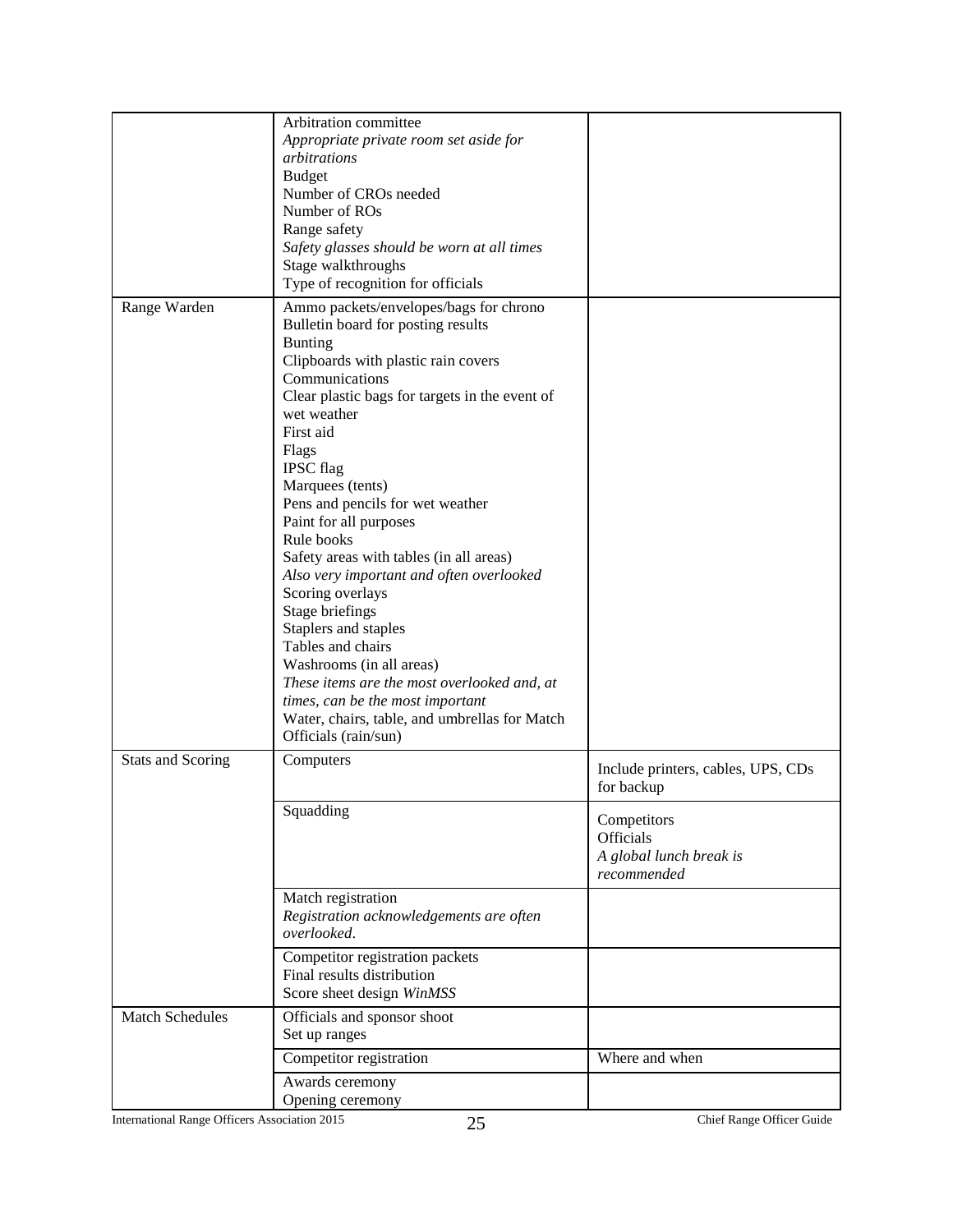|                          | Arbitration committee<br>Appropriate private room set aside for<br>arbitrations<br><b>Budget</b><br>Number of CROs needed<br>Number of ROs<br>Range safety<br>Safety glasses should be worn at all times<br>Stage walkthroughs<br>Type of recognition for officials                                                                                                                                                                                                                                                                                                                                                                                                                                                                   |                                                                    |
|--------------------------|---------------------------------------------------------------------------------------------------------------------------------------------------------------------------------------------------------------------------------------------------------------------------------------------------------------------------------------------------------------------------------------------------------------------------------------------------------------------------------------------------------------------------------------------------------------------------------------------------------------------------------------------------------------------------------------------------------------------------------------|--------------------------------------------------------------------|
| Range Warden             | Ammo packets/envelopes/bags for chrono<br>Bulletin board for posting results<br><b>Bunting</b><br>Clipboards with plastic rain covers<br>Communications<br>Clear plastic bags for targets in the event of<br>wet weather<br>First aid<br>Flags<br><b>IPSC</b> flag<br>Marquees (tents)<br>Pens and pencils for wet weather<br>Paint for all purposes<br>Rule books<br>Safety areas with tables (in all areas)<br>Also very important and often overlooked<br>Scoring overlays<br>Stage briefings<br>Staplers and staples<br>Tables and chairs<br>Washrooms (in all areas)<br>These items are the most overlooked and, at<br>times, can be the most important<br>Water, chairs, table, and umbrellas for Match<br>Officials (rain/sun) |                                                                    |
| <b>Stats and Scoring</b> | Computers                                                                                                                                                                                                                                                                                                                                                                                                                                                                                                                                                                                                                                                                                                                             | Include printers, cables, UPS, CDs<br>for backup                   |
|                          | Squadding                                                                                                                                                                                                                                                                                                                                                                                                                                                                                                                                                                                                                                                                                                                             | Competitors<br>Officials<br>A global lunch break is<br>recommended |
|                          | Match registration<br>Registration acknowledgements are often<br>overlooked.                                                                                                                                                                                                                                                                                                                                                                                                                                                                                                                                                                                                                                                          |                                                                    |
|                          | Competitor registration packets<br>Final results distribution<br>Score sheet design WinMSS                                                                                                                                                                                                                                                                                                                                                                                                                                                                                                                                                                                                                                            |                                                                    |
| Match Schedules          | Officials and sponsor shoot<br>Set up ranges                                                                                                                                                                                                                                                                                                                                                                                                                                                                                                                                                                                                                                                                                          |                                                                    |
|                          | Competitor registration                                                                                                                                                                                                                                                                                                                                                                                                                                                                                                                                                                                                                                                                                                               | Where and when                                                     |
|                          | Awards ceremony<br>Opening ceremony                                                                                                                                                                                                                                                                                                                                                                                                                                                                                                                                                                                                                                                                                                   |                                                                    |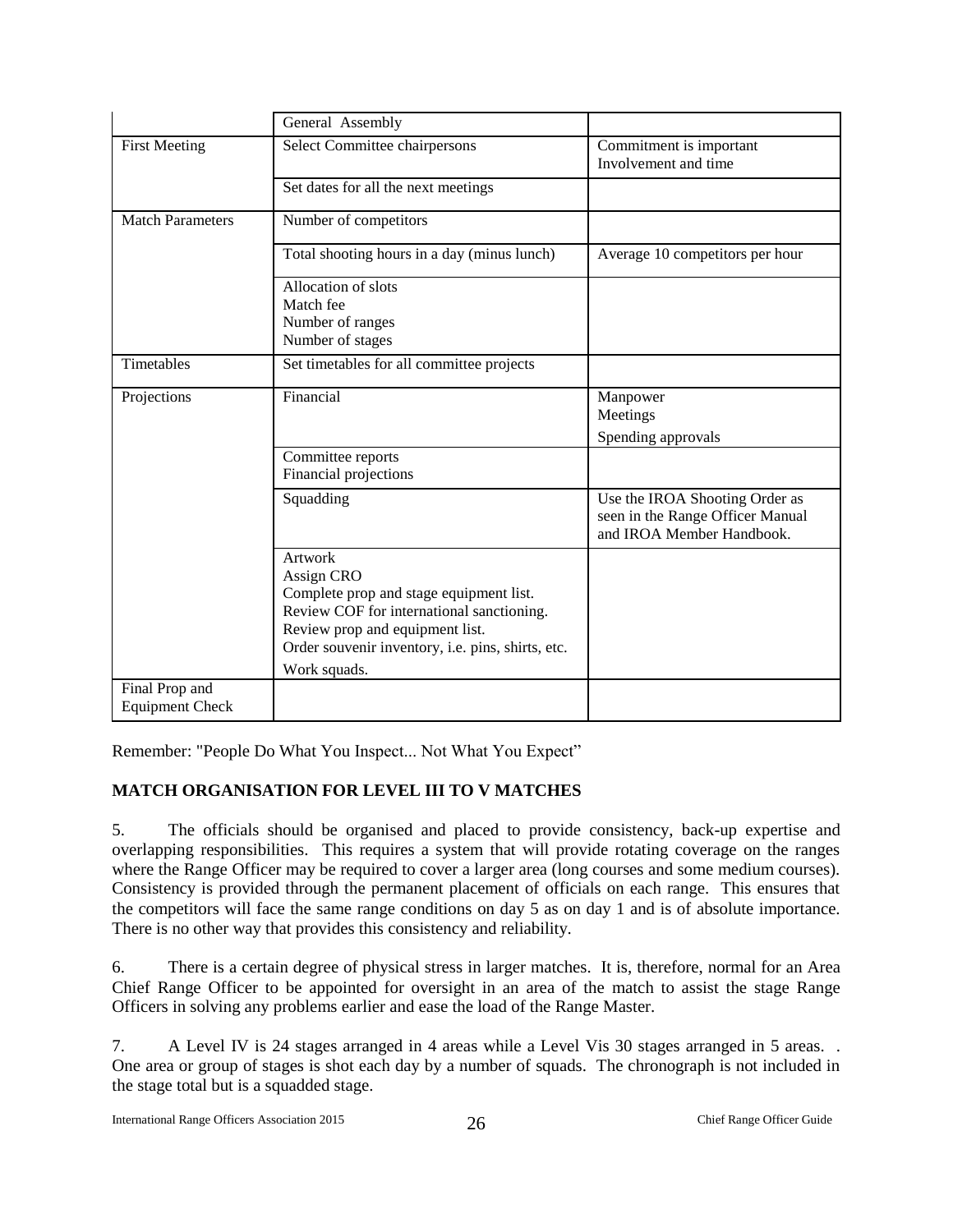|                                          | General Assembly                                                                                                                                                                                                             |                                                                                                 |
|------------------------------------------|------------------------------------------------------------------------------------------------------------------------------------------------------------------------------------------------------------------------------|-------------------------------------------------------------------------------------------------|
| <b>First Meeting</b>                     | Select Committee chairpersons                                                                                                                                                                                                | Commitment is important<br>Involvement and time                                                 |
|                                          | Set dates for all the next meetings                                                                                                                                                                                          |                                                                                                 |
| <b>Match Parameters</b>                  | Number of competitors                                                                                                                                                                                                        |                                                                                                 |
|                                          | Total shooting hours in a day (minus lunch)                                                                                                                                                                                  | Average 10 competitors per hour                                                                 |
|                                          | Allocation of slots<br>Match fee<br>Number of ranges<br>Number of stages                                                                                                                                                     |                                                                                                 |
| Timetables                               | Set timetables for all committee projects                                                                                                                                                                                    |                                                                                                 |
| Projections                              | Financial                                                                                                                                                                                                                    | Manpower<br>Meetings<br>Spending approvals                                                      |
|                                          | Committee reports<br>Financial projections                                                                                                                                                                                   |                                                                                                 |
|                                          | Squadding                                                                                                                                                                                                                    | Use the IROA Shooting Order as<br>seen in the Range Officer Manual<br>and IROA Member Handbook. |
|                                          | <b>Artwork</b><br>Assign CRO<br>Complete prop and stage equipment list.<br>Review COF for international sanctioning.<br>Review prop and equipment list.<br>Order souvenir inventory, i.e. pins, shirts, etc.<br>Work squads. |                                                                                                 |
| Final Prop and<br><b>Equipment Check</b> |                                                                                                                                                                                                                              |                                                                                                 |

Remember: "People Do What You Inspect... Not What You Expect"

## <span id="page-26-0"></span>**MATCH ORGANISATION FOR LEVEL III TO V MATCHES**

5. The officials should be organised and placed to provide consistency, back-up expertise and overlapping responsibilities. This requires a system that will provide rotating coverage on the ranges where the Range Officer may be required to cover a larger area (long courses and some medium courses). Consistency is provided through the permanent placement of officials on each range. This ensures that the competitors will face the same range conditions on day 5 as on day 1 and is of absolute importance. There is no other way that provides this consistency and reliability.

6. There is a certain degree of physical stress in larger matches. It is, therefore, normal for an Area Chief Range Officer to be appointed for oversight in an area of the match to assist the stage Range Officers in solving any problems earlier and ease the load of the Range Master.

7. A Level IV is 24 stages arranged in 4 areas while a Level Vis 30 stages arranged in 5 areas. . One area or group of stages is shot each day by a number of squads. The chronograph is not included in the stage total but is a squadded stage.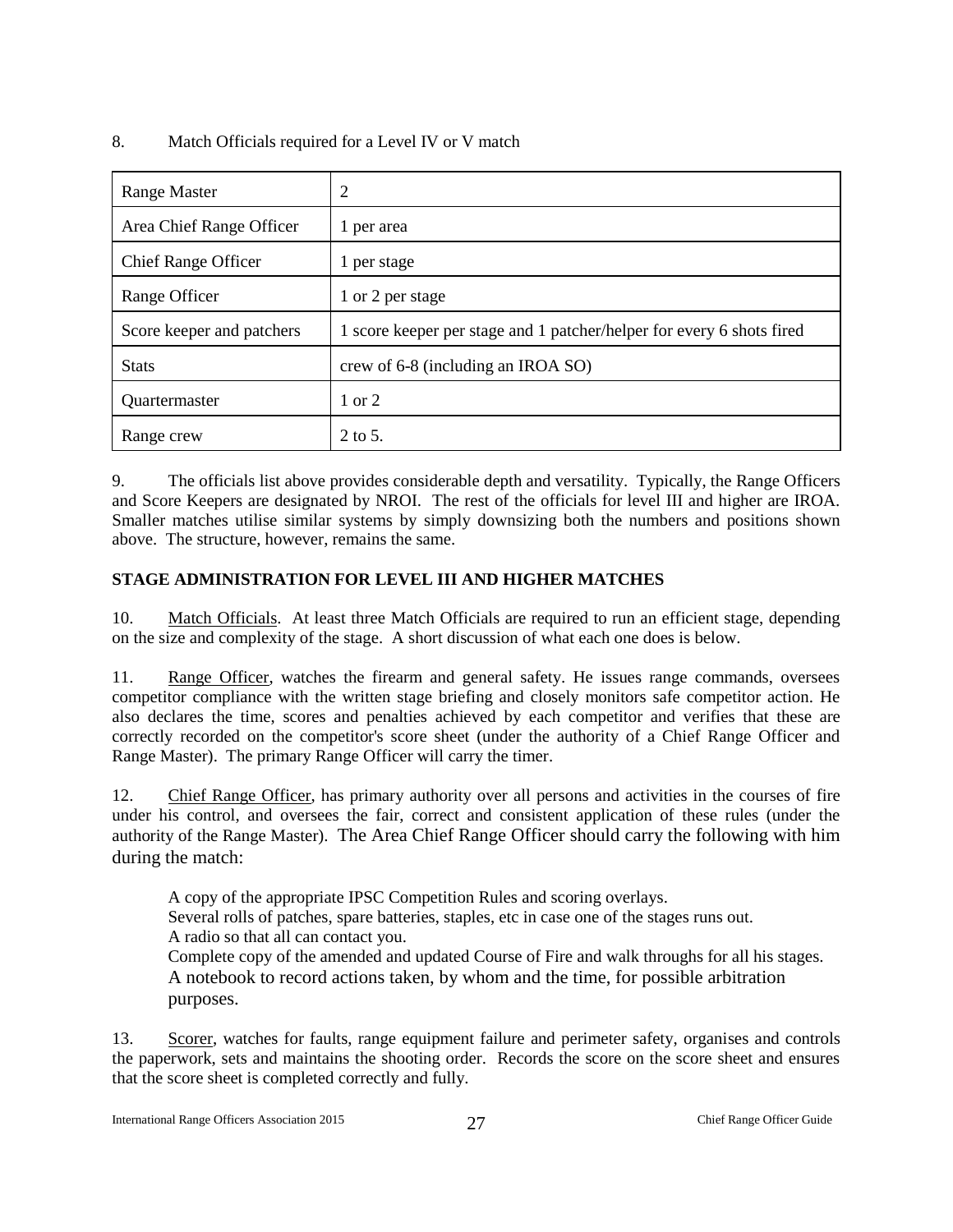### 8. Match Officials required for a Level IV or V match

| <b>Range Master</b>        | າ                                                                     |
|----------------------------|-----------------------------------------------------------------------|
| Area Chief Range Officer   | per area                                                              |
| <b>Chief Range Officer</b> | per stage                                                             |
| Range Officer              | 1 or 2 per stage                                                      |
| Score keeper and patchers  | 1 score keeper per stage and 1 patcher/helper for every 6 shots fired |
| <b>Stats</b>               | crew of 6-8 (including an IROA SO)                                    |
| Quartermaster              | 1 or 2                                                                |
| Range crew                 | 2 to 5.                                                               |

9. The officials list above provides considerable depth and versatility. Typically, the Range Officers and Score Keepers are designated by NROI. The rest of the officials for level III and higher are IROA. Smaller matches utilise similar systems by simply downsizing both the numbers and positions shown above. The structure, however, remains the same.

## <span id="page-27-0"></span>**STAGE ADMINISTRATION FOR LEVEL III AND HIGHER MATCHES**

10. Match Officials. At least three Match Officials are required to run an efficient stage, depending on the size and complexity of the stage. A short discussion of what each one does is below.

11. Range Officer, watches the firearm and general safety. He issues range commands, oversees competitor compliance with the written stage briefing and closely monitors safe competitor action. He also declares the time, scores and penalties achieved by each competitor and verifies that these are correctly recorded on the competitor's score sheet (under the authority of a Chief Range Officer and Range Master). The primary Range Officer will carry the timer.

12. Chief Range Officer, has primary authority over all persons and activities in the courses of fire under his control, and oversees the fair, correct and consistent application of these rules (under the authority of the Range Master). The Area Chief Range Officer should carry the following with him during the match:

A copy of the appropriate IPSC Competition Rules and scoring overlays. Several rolls of patches, spare batteries, staples, etc in case one of the stages runs out. A radio so that all can contact you. Complete copy of the amended and updated Course of Fire and walk throughs for all his stages. A notebook to record actions taken, by whom and the time, for possible arbitration purposes.

13. Scorer, watches for faults, range equipment failure and perimeter safety, organises and controls the paperwork, sets and maintains the shooting order. Records the score on the score sheet and ensures that the score sheet is completed correctly and fully.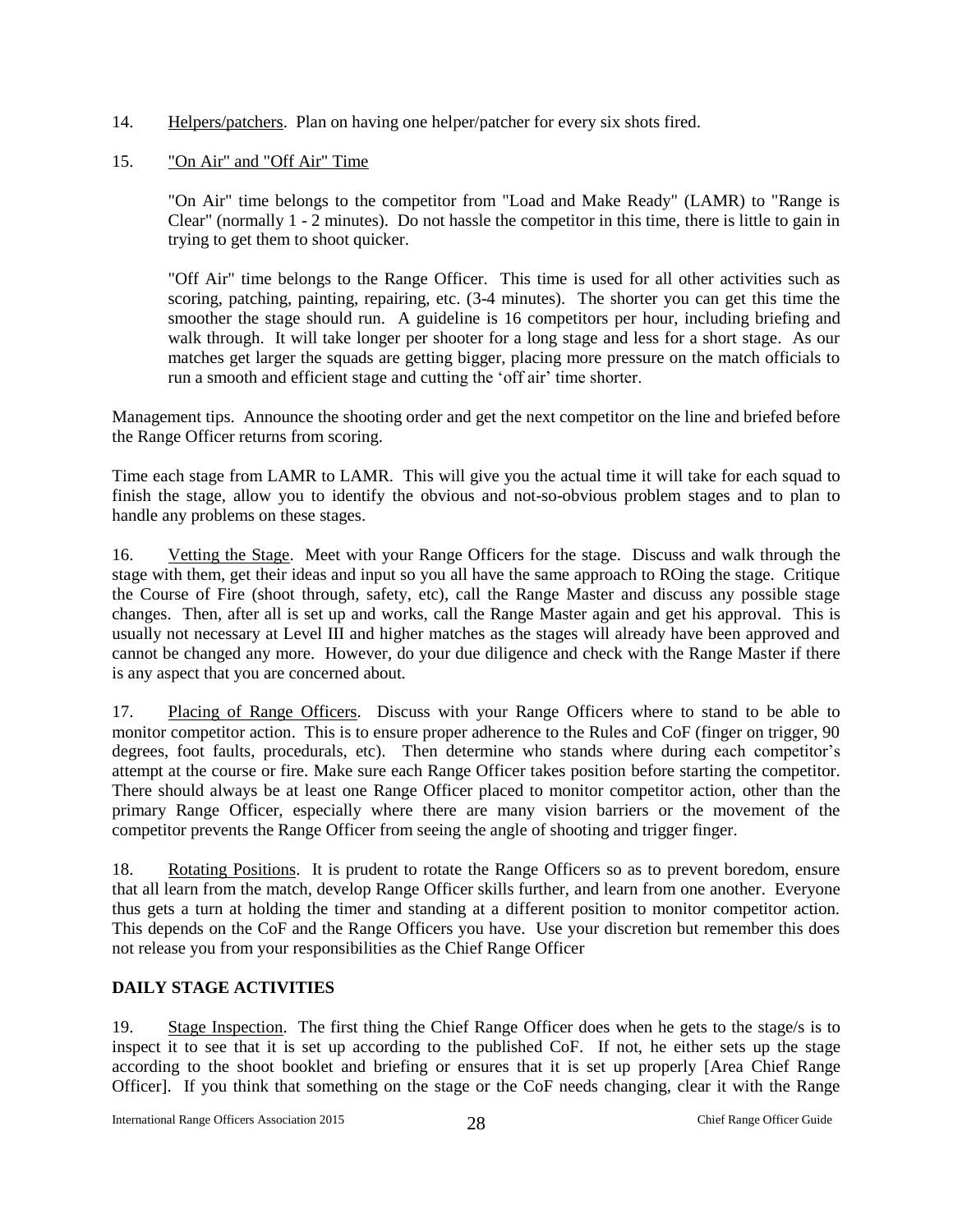14. Helpers/patchers. Plan on having one helper/patcher for every six shots fired.

#### 15. "On Air" and "Off Air" Time

"On Air" time belongs to the competitor from "Load and Make Ready" (LAMR) to "Range is Clear" (normally 1 - 2 minutes). Do not hassle the competitor in this time, there is little to gain in trying to get them to shoot quicker.

"Off Air" time belongs to the Range Officer. This time is used for all other activities such as scoring, patching, painting, repairing, etc. (3-4 minutes). The shorter you can get this time the smoother the stage should run. A guideline is 16 competitors per hour, including briefing and walk through. It will take longer per shooter for a long stage and less for a short stage. As our matches get larger the squads are getting bigger, placing more pressure on the match officials to run a smooth and efficient stage and cutting the 'off air' time shorter.

Management tips. Announce the shooting order and get the next competitor on the line and briefed before the Range Officer returns from scoring.

Time each stage from LAMR to LAMR. This will give you the actual time it will take for each squad to finish the stage, allow you to identify the obvious and not-so-obvious problem stages and to plan to handle any problems on these stages.

16. Vetting the Stage. Meet with your Range Officers for the stage. Discuss and walk through the stage with them, get their ideas and input so you all have the same approach to ROing the stage. Critique the Course of Fire (shoot through, safety, etc), call the Range Master and discuss any possible stage changes. Then, after all is set up and works, call the Range Master again and get his approval. This is usually not necessary at Level III and higher matches as the stages will already have been approved and cannot be changed any more. However, do your due diligence and check with the Range Master if there is any aspect that you are concerned about.

17. Placing of Range Officers. Discuss with your Range Officers where to stand to be able to monitor competitor action. This is to ensure proper adherence to the Rules and CoF (finger on trigger, 90 degrees, foot faults, procedurals, etc). Then determine who stands where during each competitor's attempt at the course or fire. Make sure each Range Officer takes position before starting the competitor. There should always be at least one Range Officer placed to monitor competitor action, other than the primary Range Officer, especially where there are many vision barriers or the movement of the competitor prevents the Range Officer from seeing the angle of shooting and trigger finger.

18. Rotating Positions. It is prudent to rotate the Range Officers so as to prevent boredom, ensure that all learn from the match, develop Range Officer skills further, and learn from one another. Everyone thus gets a turn at holding the timer and standing at a different position to monitor competitor action. This depends on the CoF and the Range Officers you have. Use your discretion but remember this does not release you from your responsibilities as the Chief Range Officer

#### <span id="page-28-0"></span>**DAILY STAGE ACTIVITIES**

19. Stage Inspection. The first thing the Chief Range Officer does when he gets to the stage/s is to inspect it to see that it is set up according to the published CoF. If not, he either sets up the stage according to the shoot booklet and briefing or ensures that it is set up properly [Area Chief Range Officer]. If you think that something on the stage or the CoF needs changing, clear it with the Range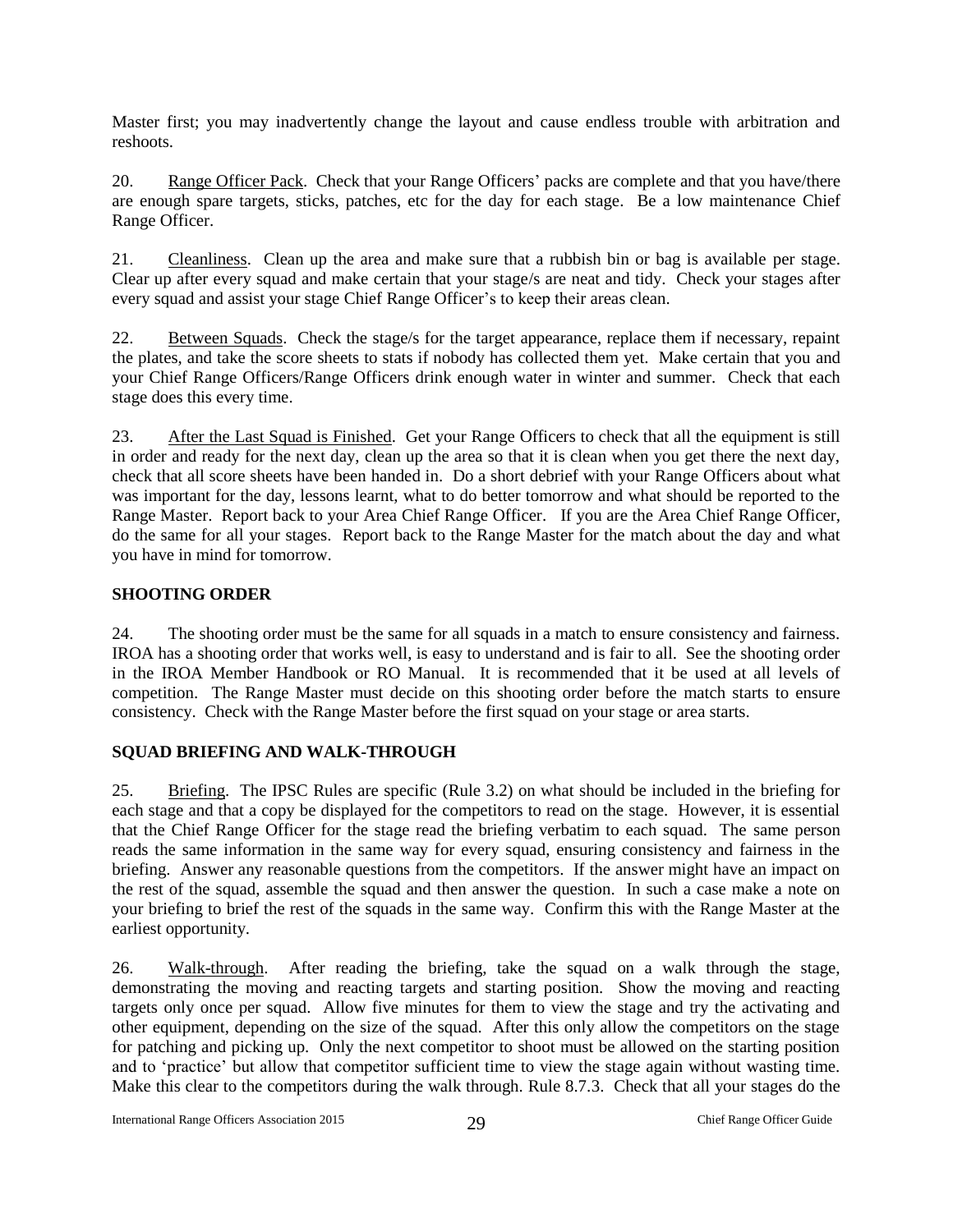Master first; you may inadvertently change the layout and cause endless trouble with arbitration and reshoots.

20. Range Officer Pack. Check that your Range Officers' packs are complete and that you have/there are enough spare targets, sticks, patches, etc for the day for each stage. Be a low maintenance Chief Range Officer.

21. Cleanliness. Clean up the area and make sure that a rubbish bin or bag is available per stage. Clear up after every squad and make certain that your stage/s are neat and tidy. Check your stages after every squad and assist your stage Chief Range Officer's to keep their areas clean.

22. Between Squads. Check the stage/s for the target appearance, replace them if necessary, repaint the plates, and take the score sheets to stats if nobody has collected them yet. Make certain that you and your Chief Range Officers/Range Officers drink enough water in winter and summer. Check that each stage does this every time.

23. After the Last Squad is Finished. Get your Range Officers to check that all the equipment is still in order and ready for the next day, clean up the area so that it is clean when you get there the next day, check that all score sheets have been handed in. Do a short debrief with your Range Officers about what was important for the day, lessons learnt, what to do better tomorrow and what should be reported to the Range Master. Report back to your Area Chief Range Officer. If you are the Area Chief Range Officer, do the same for all your stages. Report back to the Range Master for the match about the day and what you have in mind for tomorrow.

#### <span id="page-29-0"></span>**SHOOTING ORDER**

24. The shooting order must be the same for all squads in a match to ensure consistency and fairness. IROA has a shooting order that works well, is easy to understand and is fair to all. See the shooting order in the IROA Member Handbook or RO Manual. It is recommended that it be used at all levels of competition. The Range Master must decide on this shooting order before the match starts to ensure consistency. Check with the Range Master before the first squad on your stage or area starts.

#### <span id="page-29-1"></span>**SQUAD BRIEFING AND WALK-THROUGH**

25. Briefing. The IPSC Rules are specific (Rule 3.2) on what should be included in the briefing for each stage and that a copy be displayed for the competitors to read on the stage. However, it is essential that the Chief Range Officer for the stage read the briefing verbatim to each squad. The same person reads the same information in the same way for every squad, ensuring consistency and fairness in the briefing. Answer any reasonable questions from the competitors. If the answer might have an impact on the rest of the squad, assemble the squad and then answer the question. In such a case make a note on your briefing to brief the rest of the squads in the same way. Confirm this with the Range Master at the earliest opportunity.

26. Walk-through. After reading the briefing, take the squad on a walk through the stage, demonstrating the moving and reacting targets and starting position. Show the moving and reacting targets only once per squad. Allow five minutes for them to view the stage and try the activating and other equipment, depending on the size of the squad. After this only allow the competitors on the stage for patching and picking up. Only the next competitor to shoot must be allowed on the starting position and to 'practice' but allow that competitor sufficient time to view the stage again without wasting time. Make this clear to the competitors during the walk through. Rule 8.7.3. Check that all your stages do the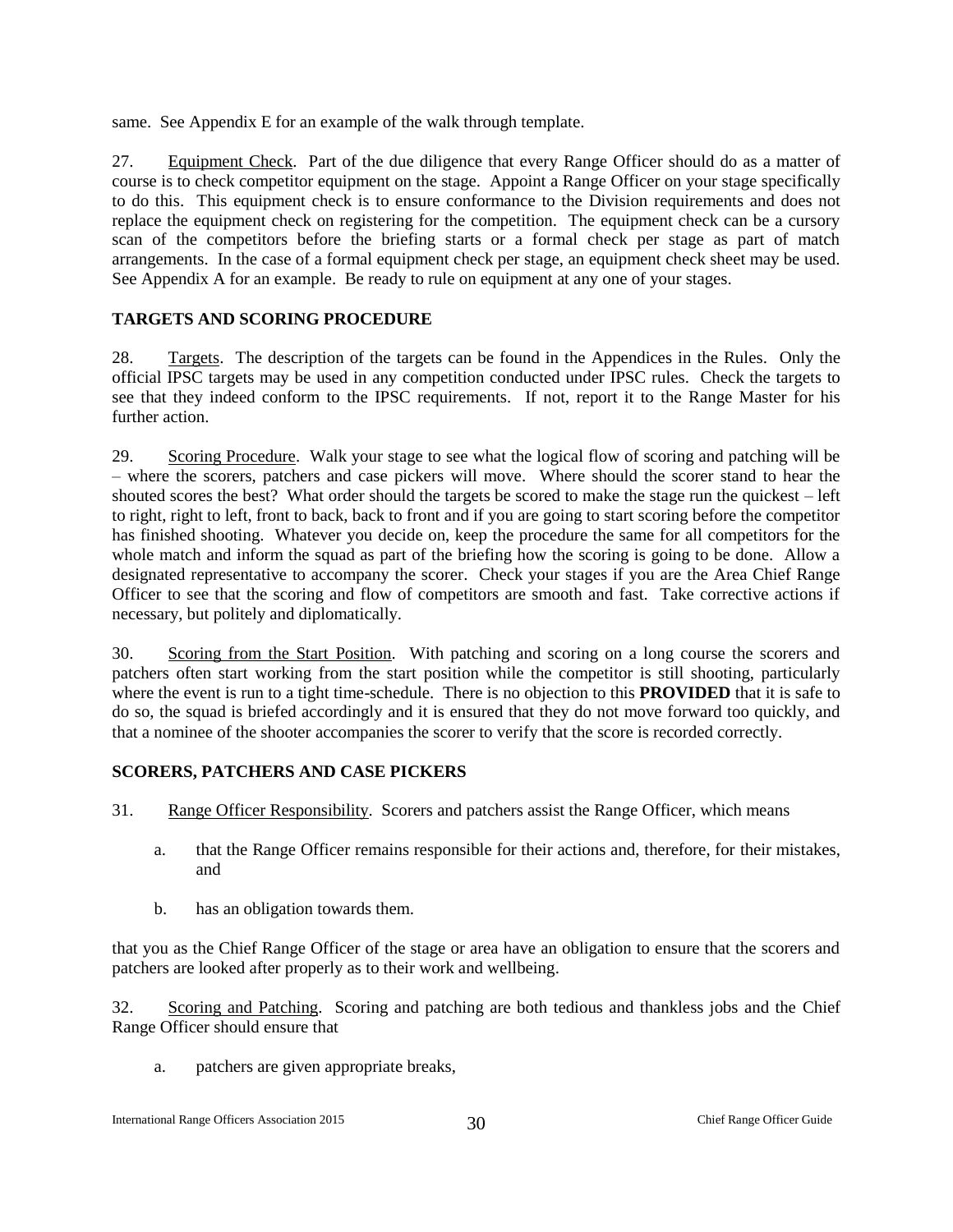same. See Appendix E for an example of the walk through template.

27. Equipment Check. Part of the due diligence that every Range Officer should do as a matter of course is to check competitor equipment on the stage. Appoint a Range Officer on your stage specifically to do this. This equipment check is to ensure conformance to the Division requirements and does not replace the equipment check on registering for the competition. The equipment check can be a cursory scan of the competitors before the briefing starts or a formal check per stage as part of match arrangements. In the case of a formal equipment check per stage, an equipment check sheet may be used. See Appendix A for an example. Be ready to rule on equipment at any one of your stages.

#### <span id="page-30-0"></span>**TARGETS AND SCORING PROCEDURE**

28. Targets. The description of the targets can be found in the Appendices in the Rules. Only the official IPSC targets may be used in any competition conducted under IPSC rules. Check the targets to see that they indeed conform to the IPSC requirements. If not, report it to the Range Master for his further action.

29. Scoring Procedure. Walk your stage to see what the logical flow of scoring and patching will be – where the scorers, patchers and case pickers will move. Where should the scorer stand to hear the shouted scores the best? What order should the targets be scored to make the stage run the quickest – left to right, right to left, front to back, back to front and if you are going to start scoring before the competitor has finished shooting. Whatever you decide on, keep the procedure the same for all competitors for the whole match and inform the squad as part of the briefing how the scoring is going to be done. Allow a designated representative to accompany the scorer. Check your stages if you are the Area Chief Range Officer to see that the scoring and flow of competitors are smooth and fast. Take corrective actions if necessary, but politely and diplomatically.

30. Scoring from the Start Position. With patching and scoring on a long course the scorers and patchers often start working from the start position while the competitor is still shooting, particularly where the event is run to a tight time-schedule. There is no objection to this **PROVIDED** that it is safe to do so, the squad is briefed accordingly and it is ensured that they do not move forward too quickly, and that a nominee of the shooter accompanies the scorer to verify that the score is recorded correctly.

#### <span id="page-30-1"></span>**SCORERS, PATCHERS AND CASE PICKERS**

- 31. Range Officer Responsibility. Scorers and patchers assist the Range Officer, which means
	- a. that the Range Officer remains responsible for their actions and, therefore, for their mistakes, and
	- b. has an obligation towards them.

that you as the Chief Range Officer of the stage or area have an obligation to ensure that the scorers and patchers are looked after properly as to their work and wellbeing.

32. Scoring and Patching. Scoring and patching are both tedious and thankless jobs and the Chief Range Officer should ensure that

a. patchers are given appropriate breaks,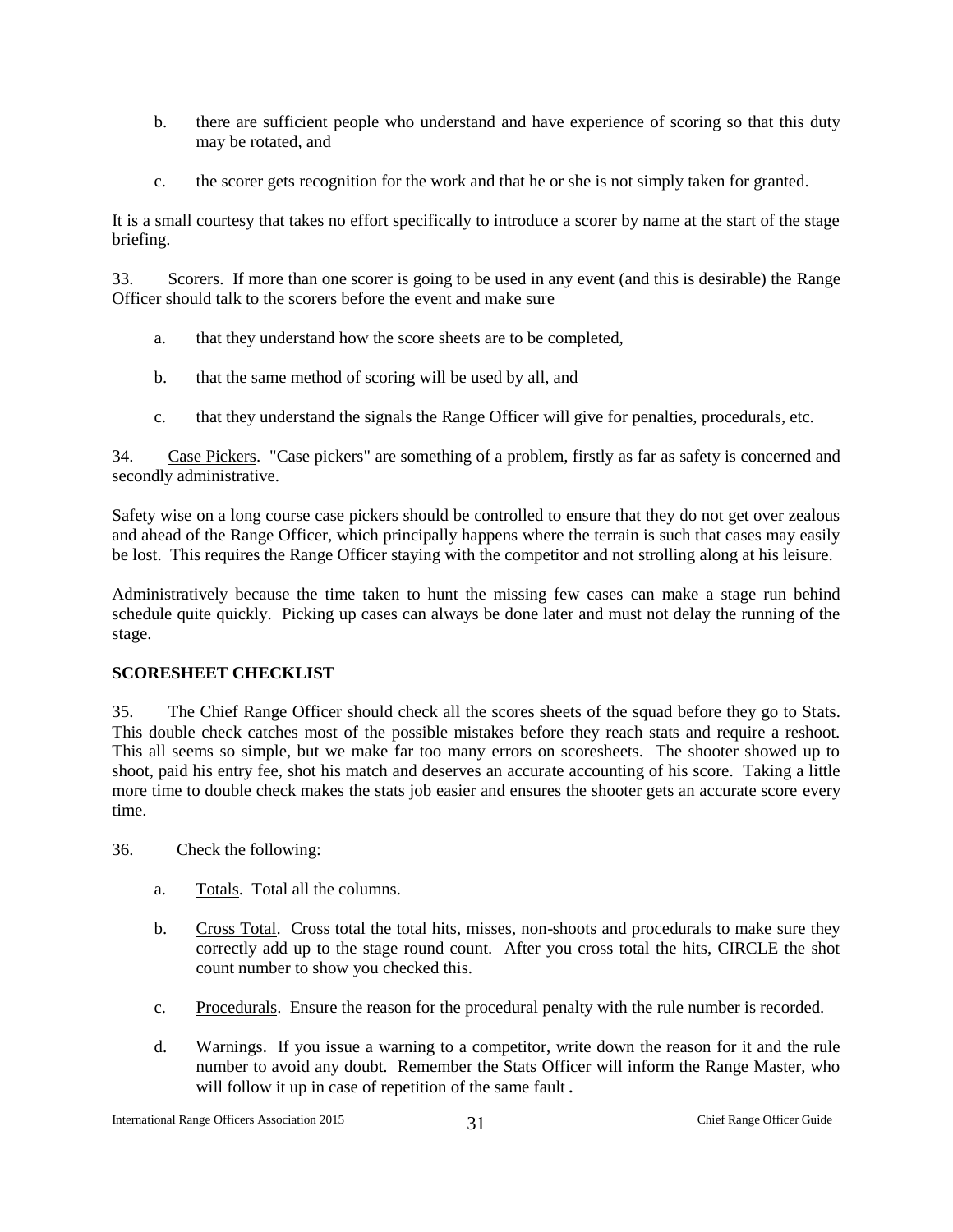- b. there are sufficient people who understand and have experience of scoring so that this duty may be rotated, and
- c. the scorer gets recognition for the work and that he or she is not simply taken for granted.

It is a small courtesy that takes no effort specifically to introduce a scorer by name at the start of the stage briefing.

33. Scorers. If more than one scorer is going to be used in any event (and this is desirable) the Range Officer should talk to the scorers before the event and make sure

- a. that they understand how the score sheets are to be completed,
- b. that the same method of scoring will be used by all, and
- c. that they understand the signals the Range Officer will give for penalties, procedurals, etc.

34. Case Pickers. "Case pickers" are something of a problem, firstly as far as safety is concerned and secondly administrative.

Safety wise on a long course case pickers should be controlled to ensure that they do not get over zealous and ahead of the Range Officer, which principally happens where the terrain is such that cases may easily be lost. This requires the Range Officer staying with the competitor and not strolling along at his leisure.

Administratively because the time taken to hunt the missing few cases can make a stage run behind schedule quite quickly. Picking up cases can always be done later and must not delay the running of the stage.

#### <span id="page-31-0"></span>**SCORESHEET CHECKLIST**

35. The Chief Range Officer should check all the scores sheets of the squad before they go to Stats. This double check catches most of the possible mistakes before they reach stats and require a reshoot. This all seems so simple, but we make far too many errors on scoresheets. The shooter showed up to shoot, paid his entry fee, shot his match and deserves an accurate accounting of his score. Taking a little more time to double check makes the stats job easier and ensures the shooter gets an accurate score every time.

- 36. Check the following:
	- a. Totals. Total all the columns.
	- b. Cross Total. Cross total the total hits, misses, non-shoots and procedurals to make sure they correctly add up to the stage round count. After you cross total the hits, CIRCLE the shot count number to show you checked this.
	- c. Procedurals. Ensure the reason for the procedural penalty with the rule number is recorded.
	- d. Warnings. If you issue a warning to a competitor, write down the reason for it and the rule number to avoid any doubt. Remember the Stats Officer will inform the Range Master, who will follow it up in case of repetition of the same fault.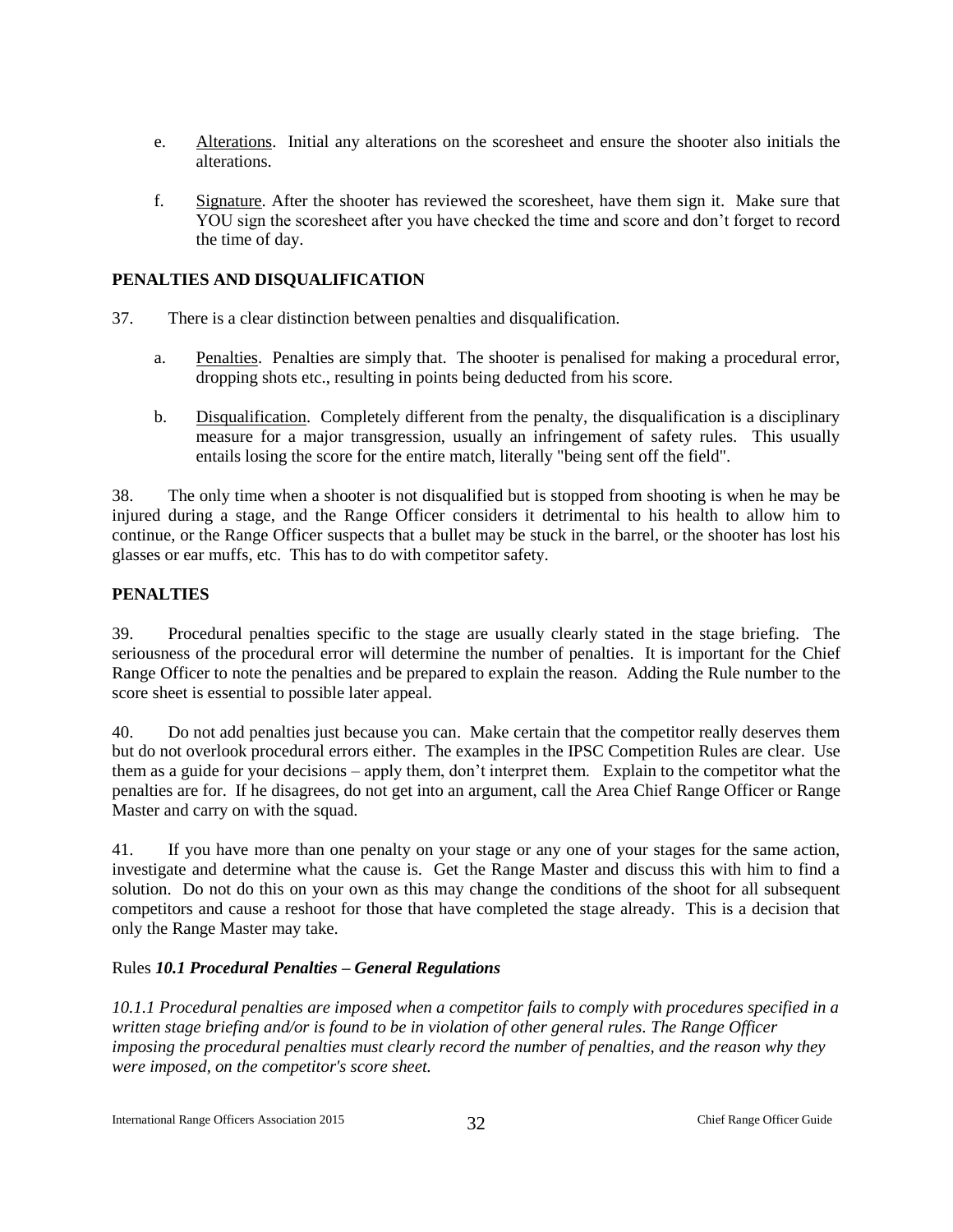- e. Alterations. Initial any alterations on the scoresheet and ensure the shooter also initials the alterations.
- f. Signature. After the shooter has reviewed the scoresheet, have them sign it. Make sure that YOU sign the scoresheet after you have checked the time and score and don't forget to record the time of day.

#### <span id="page-32-0"></span>**PENALTIES AND DISQUALIFICATION**

- 37. There is a clear distinction between penalties and disqualification.
	- a. Penalties. Penalties are simply that. The shooter is penalised for making a procedural error, dropping shots etc., resulting in points being deducted from his score.
	- b. Disqualification. Completely different from the penalty, the disqualification is a disciplinary measure for a major transgression, usually an infringement of safety rules. This usually entails losing the score for the entire match, literally "being sent off the field".

38. The only time when a shooter is not disqualified but is stopped from shooting is when he may be injured during a stage, and the Range Officer considers it detrimental to his health to allow him to continue, or the Range Officer suspects that a bullet may be stuck in the barrel, or the shooter has lost his glasses or ear muffs, etc. This has to do with competitor safety.

#### <span id="page-32-1"></span>**PENALTIES**

39. Procedural penalties specific to the stage are usually clearly stated in the stage briefing. The seriousness of the procedural error will determine the number of penalties. It is important for the Chief Range Officer to note the penalties and be prepared to explain the reason. Adding the Rule number to the score sheet is essential to possible later appeal.

40. Do not add penalties just because you can. Make certain that the competitor really deserves them but do not overlook procedural errors either. The examples in the IPSC Competition Rules are clear. Use them as a guide for your decisions – apply them, don't interpret them. Explain to the competitor what the penalties are for. If he disagrees, do not get into an argument, call the Area Chief Range Officer or Range Master and carry on with the squad.

41. If you have more than one penalty on your stage or any one of your stages for the same action, investigate and determine what the cause is. Get the Range Master and discuss this with him to find a solution. Do not do this on your own as this may change the conditions of the shoot for all subsequent competitors and cause a reshoot for those that have completed the stage already. This is a decision that only the Range Master may take.

#### Rules *10.1 Procedural Penalties – General Regulations*

*10.1.1 Procedural penalties are imposed when a competitor fails to comply with procedures specified in a written stage briefing and/or is found to be in violation of other general rules. The Range Officer imposing the procedural penalties must clearly record the number of penalties, and the reason why they were imposed, on the competitor's score sheet.*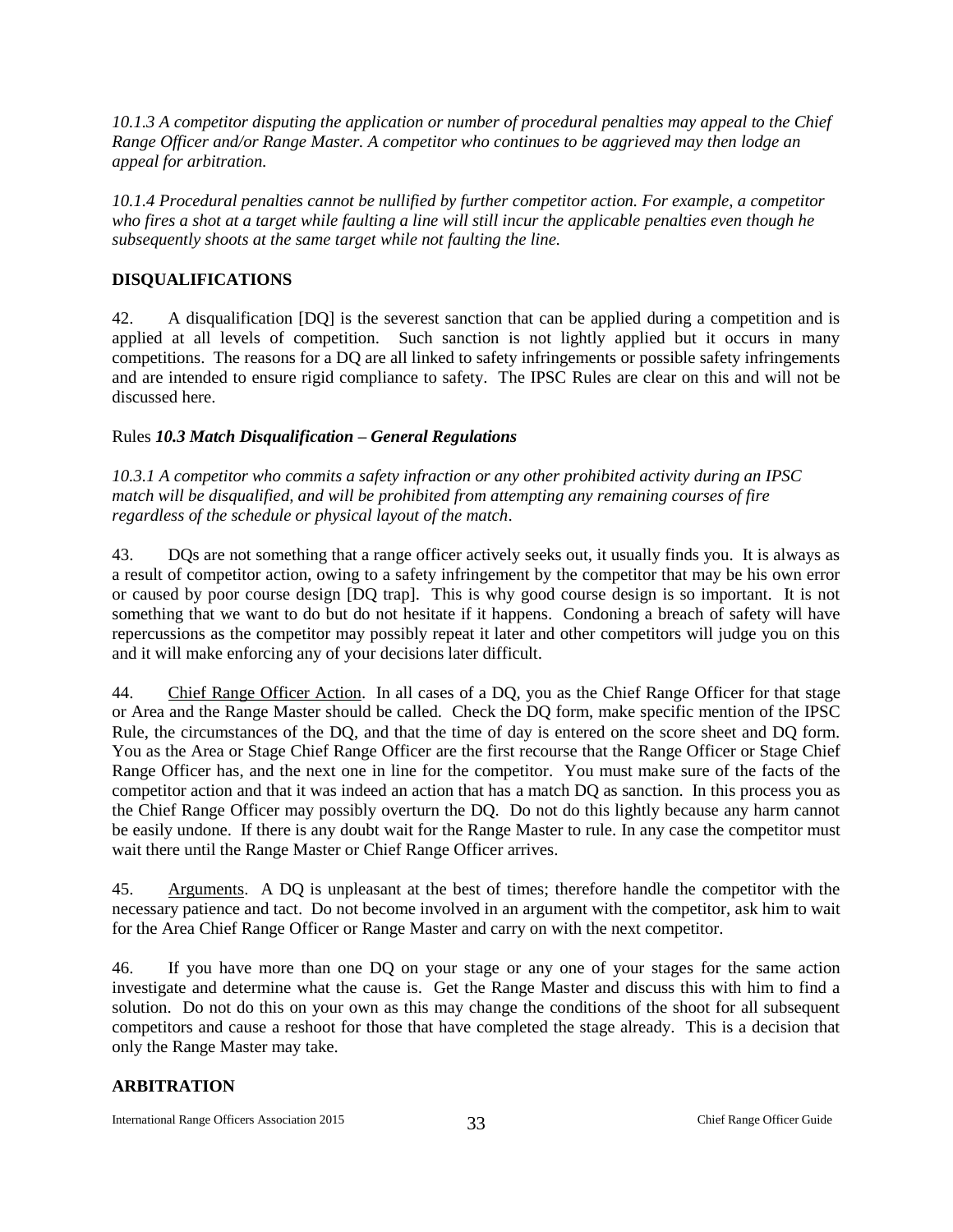*10.1.3 A competitor disputing the application or number of procedural penalties may appeal to the Chief Range Officer and/or Range Master. A competitor who continues to be aggrieved may then lodge an appeal for arbitration.*

*10.1.4 Procedural penalties cannot be nullified by further competitor action. For example, a competitor who fires a shot at a target while faulting a line will still incur the applicable penalties even though he subsequently shoots at the same target while not faulting the line.*

#### <span id="page-33-0"></span>**DISQUALIFICATIONS**

42. A disqualification [DQ] is the severest sanction that can be applied during a competition and is applied at all levels of competition. Such sanction is not lightly applied but it occurs in many competitions. The reasons for a DQ are all linked to safety infringements or possible safety infringements and are intended to ensure rigid compliance to safety. The IPSC Rules are clear on this and will not be discussed here.

#### Rules *10.3 Match Disqualification – General Regulations*

*10.3.1 A competitor who commits a safety infraction or any other prohibited activity during an IPSC match will be disqualified, and will be prohibited from attempting any remaining courses of fire regardless of the schedule or physical layout of the match*.

43. DQs are not something that a range officer actively seeks out, it usually finds you. It is always as a result of competitor action, owing to a safety infringement by the competitor that may be his own error or caused by poor course design [DQ trap]. This is why good course design is so important. It is not something that we want to do but do not hesitate if it happens. Condoning a breach of safety will have repercussions as the competitor may possibly repeat it later and other competitors will judge you on this and it will make enforcing any of your decisions later difficult.

44. Chief Range Officer Action. In all cases of a DQ, you as the Chief Range Officer for that stage or Area and the Range Master should be called. Check the DQ form, make specific mention of the IPSC Rule, the circumstances of the DQ, and that the time of day is entered on the score sheet and DQ form. You as the Area or Stage Chief Range Officer are the first recourse that the Range Officer or Stage Chief Range Officer has, and the next one in line for the competitor. You must make sure of the facts of the competitor action and that it was indeed an action that has a match DQ as sanction. In this process you as the Chief Range Officer may possibly overturn the DQ. Do not do this lightly because any harm cannot be easily undone. If there is any doubt wait for the Range Master to rule. In any case the competitor must wait there until the Range Master or Chief Range Officer arrives.

45. Arguments. A DQ is unpleasant at the best of times; therefore handle the competitor with the necessary patience and tact. Do not become involved in an argument with the competitor, ask him to wait for the Area Chief Range Officer or Range Master and carry on with the next competitor.

46. If you have more than one DQ on your stage or any one of your stages for the same action investigate and determine what the cause is. Get the Range Master and discuss this with him to find a solution. Do not do this on your own as this may change the conditions of the shoot for all subsequent competitors and cause a reshoot for those that have completed the stage already. This is a decision that only the Range Master may take.

#### <span id="page-33-1"></span>**ARBITRATION**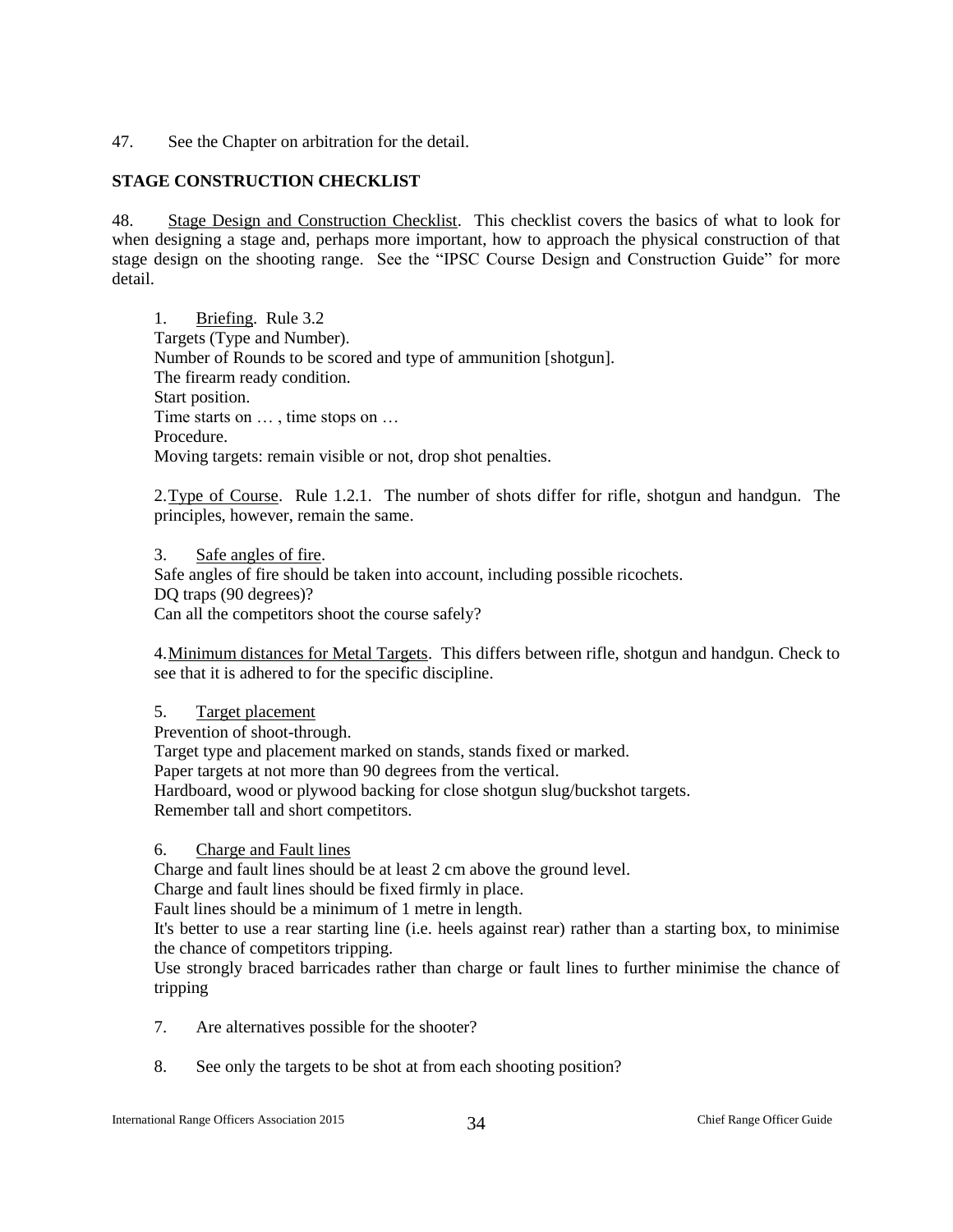47. See the Chapter on arbitration for the detail.

#### <span id="page-34-0"></span>**STAGE CONSTRUCTION CHECKLIST**

48. Stage Design and Construction Checklist. This checklist covers the basics of what to look for when designing a stage and, perhaps more important, how to approach the physical construction of that stage design on the shooting range. See the "IPSC Course Design and Construction Guide" for more detail.

1. Briefing. Rule 3.2 Targets (Type and Number). Number of Rounds to be scored and type of ammunition [shotgun]. The firearm ready condition. Start position. Time starts on … , time stops on … Procedure. Moving targets: remain visible or not, drop shot penalties.

2. Type of Course. Rule 1.2.1. The number of shots differ for rifle, shotgun and handgun. The principles, however, remain the same.

3. Safe angles of fire. Safe angles of fire should be taken into account, including possible ricochets. DQ traps (90 degrees)? Can all the competitors shoot the course safely?

4.Minimum distances for Metal Targets. This differs between rifle, shotgun and handgun. Check to see that it is adhered to for the specific discipline.

#### 5. Target placement

Prevention of shoot-through.

Target type and placement marked on stands, stands fixed or marked.

Paper targets at not more than 90 degrees from the vertical.

Hardboard, wood or plywood backing for close shotgun slug/buckshot targets.

Remember tall and short competitors.

#### 6. Charge and Fault lines

Charge and fault lines should be at least 2 cm above the ground level.

Charge and fault lines should be fixed firmly in place.

Fault lines should be a minimum of 1 metre in length.

It's better to use a rear starting line (i.e. heels against rear) rather than a starting box, to minimise the chance of competitors tripping.

Use strongly braced barricades rather than charge or fault lines to further minimise the chance of tripping

- 7. Are alternatives possible for the shooter?
- 8. See only the targets to be shot at from each shooting position?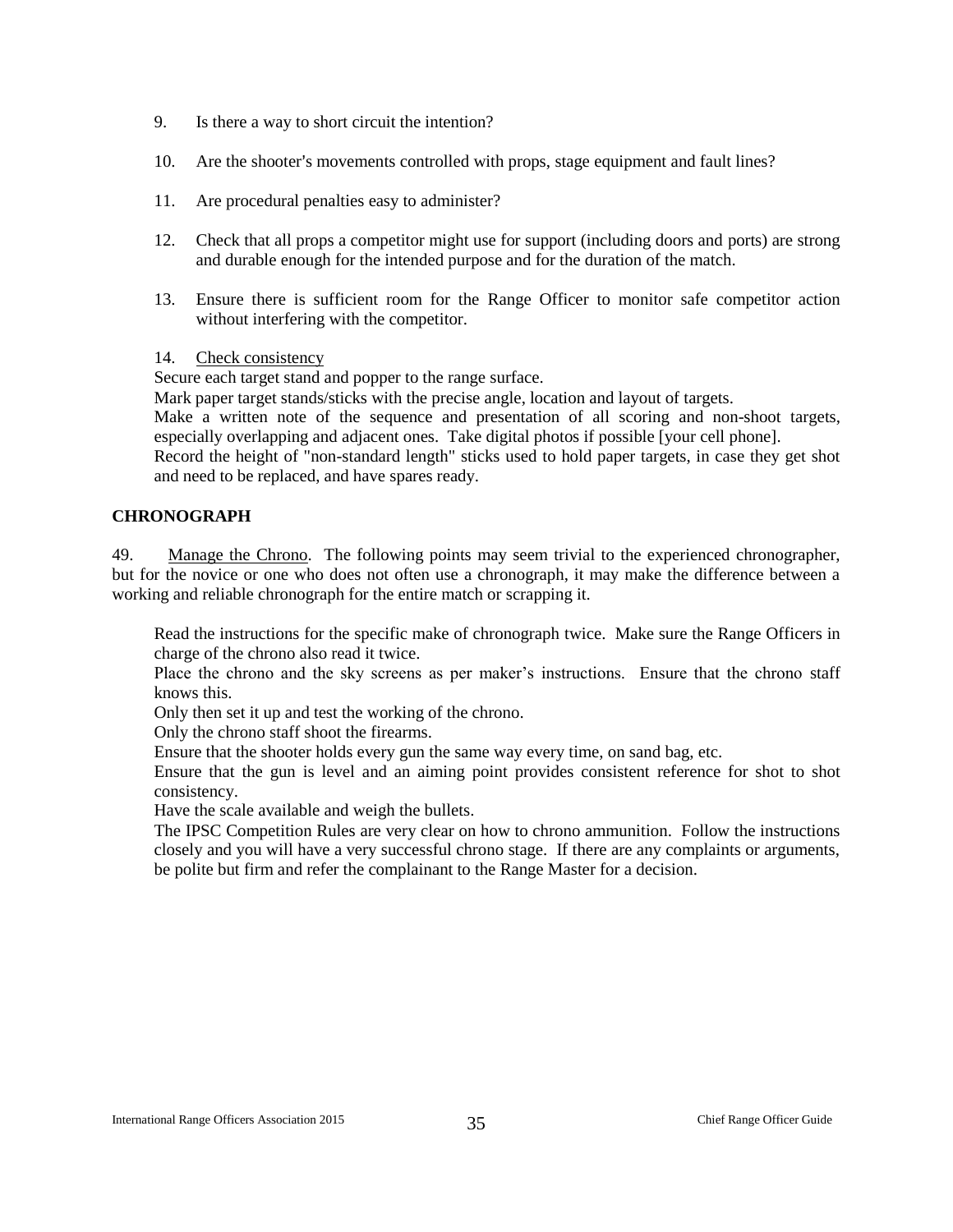- 9. Is there a way to short circuit the intention?
- 10. Are the shooter's movements controlled with props, stage equipment and fault lines?
- 11. Are procedural penalties easy to administer?
- 12. Check that all props a competitor might use for support (including doors and ports) are strong and durable enough for the intended purpose and for the duration of the match.
- 13. Ensure there is sufficient room for the Range Officer to monitor safe competitor action without interfering with the competitor.
- 14. Check consistency

Secure each target stand and popper to the range surface.

Mark paper target stands/sticks with the precise angle, location and layout of targets. Make a written note of the sequence and presentation of all scoring and non-shoot targets, especially overlapping and adjacent ones. Take digital photos if possible [your cell phone]. Record the height of "non-standard length" sticks used to hold paper targets, in case they get shot and need to be replaced, and have spares ready.

#### <span id="page-35-0"></span>**CHRONOGRAPH**

49. Manage the Chrono. The following points may seem trivial to the experienced chronographer, but for the novice or one who does not often use a chronograph, it may make the difference between a working and reliable chronograph for the entire match or scrapping it.

Read the instructions for the specific make of chronograph twice. Make sure the Range Officers in charge of the chrono also read it twice.

Place the chrono and the sky screens as per maker's instructions. Ensure that the chrono staff knows this.

Only then set it up and test the working of the chrono.

Only the chrono staff shoot the firearms.

Ensure that the shooter holds every gun the same way every time, on sand bag, etc.

Ensure that the gun is level and an aiming point provides consistent reference for shot to shot consistency.

Have the scale available and weigh the bullets.

The IPSC Competition Rules are very clear on how to chrono ammunition. Follow the instructions closely and you will have a very successful chrono stage. If there are any complaints or arguments, be polite but firm and refer the complainant to the Range Master for a decision.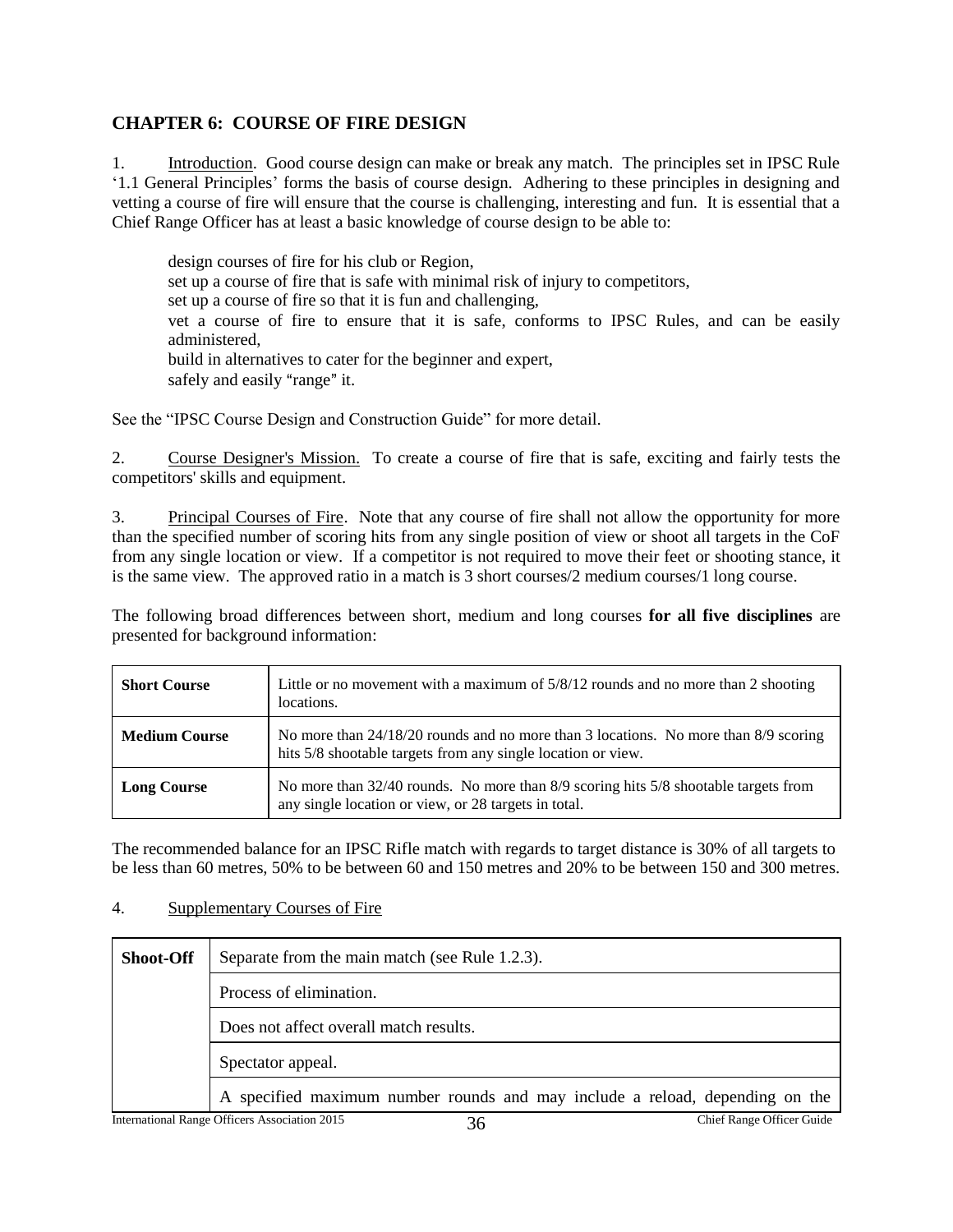## <span id="page-36-0"></span>**CHAPTER 6: COURSE OF FIRE DESIGN**

1. Introduction. Good course design can make or break any match. The principles set in IPSC Rule '1.1 General Principles' forms the basis of course design. Adhering to these principles in designing and vetting a course of fire will ensure that the course is challenging, interesting and fun. It is essential that a Chief Range Officer has at least a basic knowledge of course design to be able to:

design courses of fire for his club or Region, set up a course of fire that is safe with minimal risk of injury to competitors, set up a course of fire so that it is fun and challenging, vet a course of fire to ensure that it is safe, conforms to IPSC Rules, and can be easily administered, build in alternatives to cater for the beginner and expert, safely and easily "range" it.

See the "IPSC Course Design and Construction Guide" for more detail.

2. Course Designer's Mission. To create a course of fire that is safe, exciting and fairly tests the competitors' skills and equipment.

3. Principal Courses of Fire. Note that any course of fire shall not allow the opportunity for more than the specified number of scoring hits from any single position of view or shoot all targets in the CoF from any single location or view. If a competitor is not required to move their feet or shooting stance, it is the same view. The approved ratio in a match is 3 short courses/2 medium courses/1 long course.

The following broad differences between short, medium and long courses **for all five disciplines** are presented for background information:

| <b>Short Course</b>  | Little or no movement with a maximum of $5/8/12$ rounds and no more than 2 shooting<br>locations.                                                   |
|----------------------|-----------------------------------------------------------------------------------------------------------------------------------------------------|
| <b>Medium Course</b> | No more than 24/18/20 rounds and no more than 3 locations. No more than 8/9 scoring<br>hits 5/8 shootable targets from any single location or view. |
| <b>Long Course</b>   | No more than 32/40 rounds. No more than 8/9 scoring hits 5/8 shootable targets from<br>any single location or view, or 28 targets in total.         |

The recommended balance for an IPSC Rifle match with regards to target distance is 30% of all targets to be less than 60 metres, 50% to be between 60 and 150 metres and 20% to be between 150 and 300 metres.

#### 4. Supplementary Courses of Fire

| <b>Shoot-Off</b> | Separate from the main match (see Rule 1.2.3).                                          |
|------------------|-----------------------------------------------------------------------------------------|
|                  | Process of elimination.                                                                 |
|                  | Does not affect overall match results.                                                  |
|                  | Spectator appeal.                                                                       |
|                  | A specified maximum number rounds and may include a reload, depending on the            |
|                  | International Range Officers Association 2015<br><b>Chief Range Officer Guide</b><br>36 |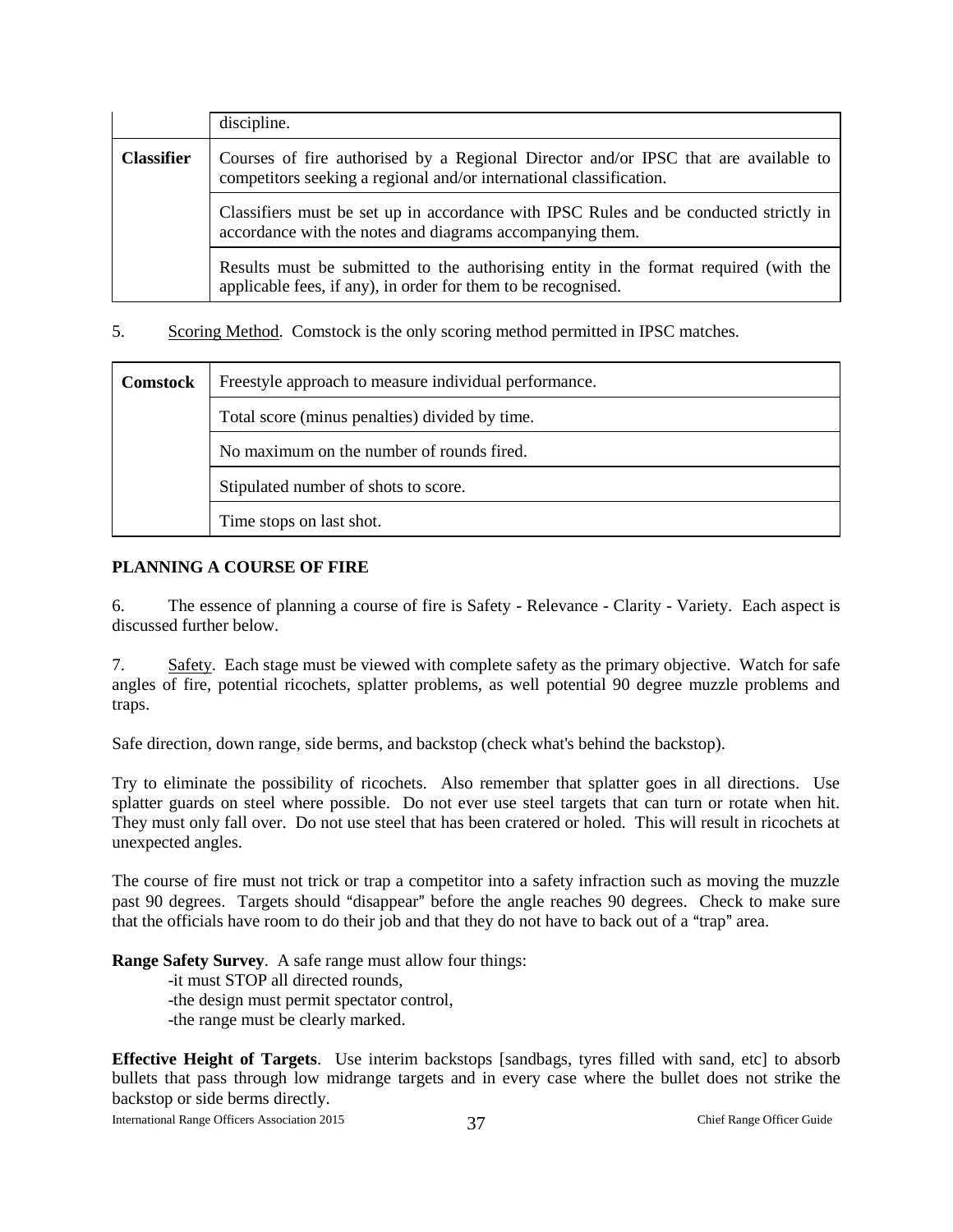|                   | discipline.                                                                                                                                                |
|-------------------|------------------------------------------------------------------------------------------------------------------------------------------------------------|
| <b>Classifier</b> | Courses of fire authorised by a Regional Director and/or IPSC that are available to<br>competitors seeking a regional and/or international classification. |
|                   | Classifiers must be set up in accordance with IPSC Rules and be conducted strictly in<br>accordance with the notes and diagrams accompanying them.         |
|                   | Results must be submitted to the authorising entity in the format required (with the<br>applicable fees, if any), in order for them to be recognised.      |

5. Scoring Method. Comstock is the only scoring method permitted in IPSC matches.

| <b>Comstock</b>          | Freestyle approach to measure individual performance. |  |  |  |
|--------------------------|-------------------------------------------------------|--|--|--|
|                          | Total score (minus penalties) divided by time.        |  |  |  |
|                          | No maximum on the number of rounds fired.             |  |  |  |
|                          | Stipulated number of shots to score.                  |  |  |  |
| Time stops on last shot. |                                                       |  |  |  |

#### <span id="page-37-0"></span>**PLANNING A COURSE OF FIRE**

6. The essence of planning a course of fire is Safety - Relevance - Clarity - Variety. Each aspect is discussed further below.

7. Safety. Each stage must be viewed with complete safety as the primary objective. Watch for safe angles of fire, potential ricochets, splatter problems, as well potential 90 degree muzzle problems and traps.

Safe direction, down range, side berms, and backstop (check what's behind the backstop).

Try to eliminate the possibility of ricochets. Also remember that splatter goes in all directions. Use splatter guards on steel where possible. Do not ever use steel targets that can turn or rotate when hit. They must only fall over. Do not use steel that has been cratered or holed. This will result in ricochets at unexpected angles.

The course of fire must not trick or trap a competitor into a safety infraction such as moving the muzzle past 90 degrees. Targets should "disappear" before the angle reaches 90 degrees. Check to make sure that the officials have room to do their job and that they do not have to back out of a "trap" area.

**Range Safety Survey**. A safe range must allow four things:

-it must STOP all directed rounds,

-the design must permit spectator control,

-the range must be clearly marked.

**Effective Height of Targets**. Use interim backstops [sandbags, tyres filled with sand, etc] to absorb bullets that pass through low midrange targets and in every case where the bullet does not strike the backstop or side berms directly.

International Range Officers Association 2015 37 Chief Range Officer Guide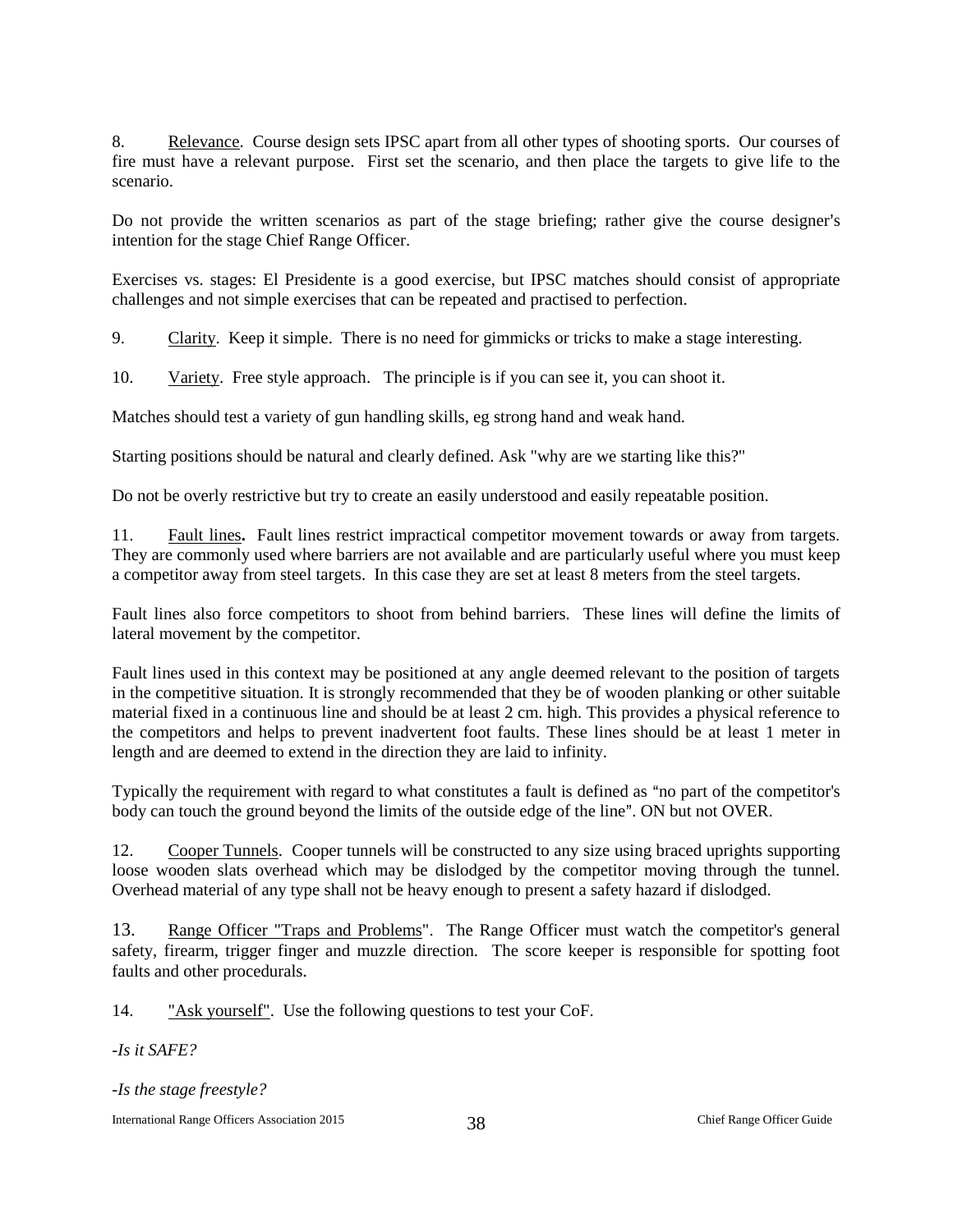8. Relevance. Course design sets IPSC apart from all other types of shooting sports. Our courses of fire must have a relevant purpose. First set the scenario, and then place the targets to give life to the scenario.

Do not provide the written scenarios as part of the stage briefing; rather give the course designer's intention for the stage Chief Range Officer.

Exercises vs. stages: El Presidente is a good exercise, but IPSC matches should consist of appropriate challenges and not simple exercises that can be repeated and practised to perfection.

9. Clarity. Keep it simple. There is no need for gimmicks or tricks to make a stage interesting.

10. Variety. Free style approach. The principle is if you can see it, you can shoot it.

Matches should test a variety of gun handling skills, eg strong hand and weak hand.

Starting positions should be natural and clearly defined. Ask "why are we starting like this?"

Do not be overly restrictive but try to create an easily understood and easily repeatable position.

11. Fault lines**.** Fault lines restrict impractical competitor movement towards or away from targets. They are commonly used where barriers are not available and are particularly useful where you must keep a competitor away from steel targets. In this case they are set at least 8 meters from the steel targets.

Fault lines also force competitors to shoot from behind barriers. These lines will define the limits of lateral movement by the competitor.

Fault lines used in this context may be positioned at any angle deemed relevant to the position of targets in the competitive situation. It is strongly recommended that they be of wooden planking or other suitable material fixed in a continuous line and should be at least 2 cm. high. This provides a physical reference to the competitors and helps to prevent inadvertent foot faults. These lines should be at least 1 meter in length and are deemed to extend in the direction they are laid to infinity.

Typically the requirement with regard to what constitutes a fault is defined as "no part of the competitor's body can touch the ground beyond the limits of the outside edge of the line". ON but not OVER.

12. Cooper Tunnels. Cooper tunnels will be constructed to any size using braced uprights supporting loose wooden slats overhead which may be dislodged by the competitor moving through the tunnel. Overhead material of any type shall not be heavy enough to present a safety hazard if dislodged.

13. Range Officer "Traps and Problems". The Range Officer must watch the competitor's general safety, firearm, trigger finger and muzzle direction. The score keeper is responsible for spotting foot faults and other procedurals.

14. "Ask yourself". Use the following questions to test your CoF.

*-Is it SAFE?*

*-Is the stage freestyle?*

International Range Officers Association 2015 38 Chief Range Officer Guide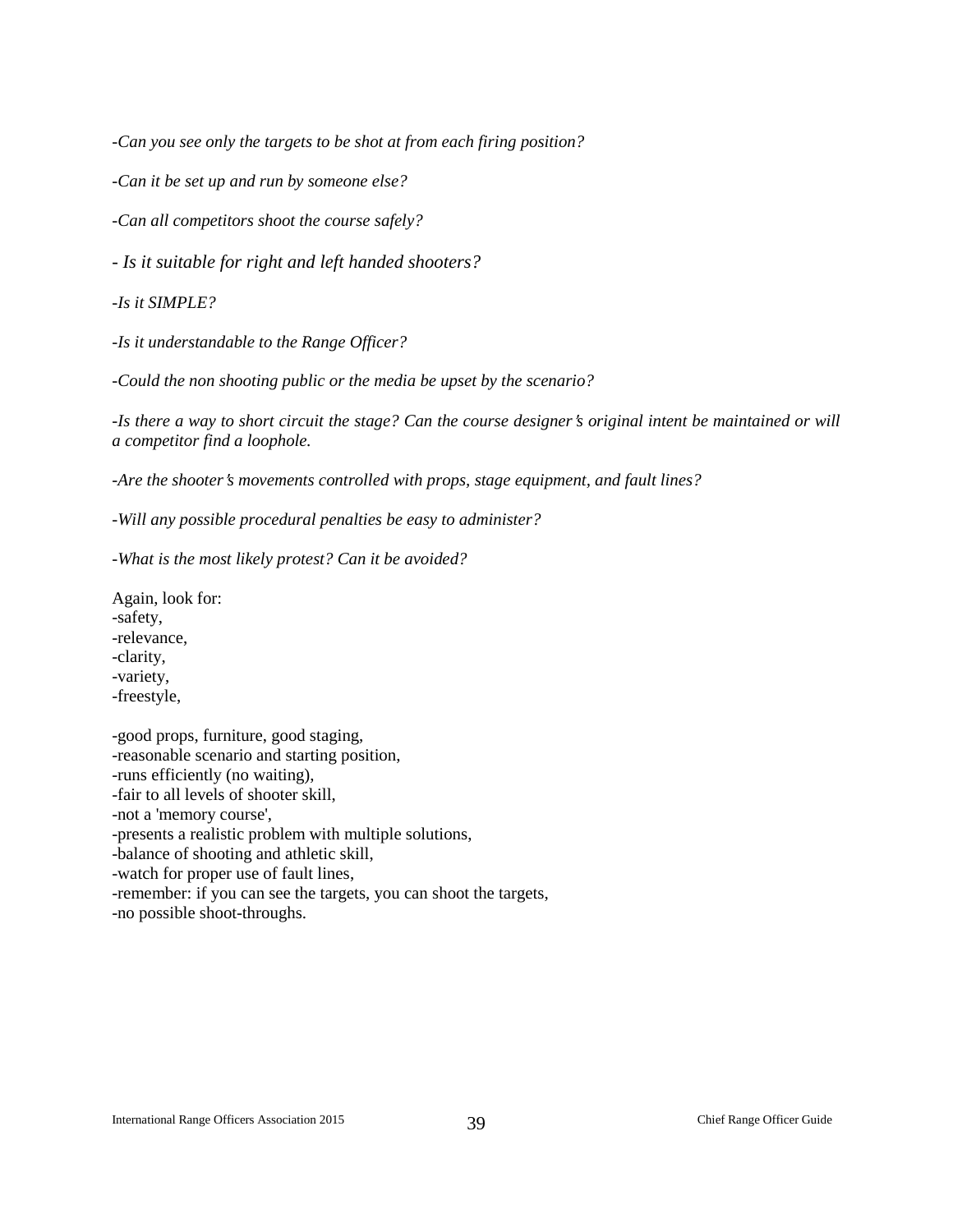*-Can you see only the targets to be shot at from each firing position?* 

*-Can it be set up and run by someone else?*

*-Can all competitors shoot the course safely?*

*- Is it suitable for right and left handed shooters?*

*-Is it SIMPLE?*

*-Is it understandable to the Range Officer?*

*-Could the non shooting public or the media be upset by the scenario?*

*-Is there a way to short circuit the stage? Can the course designer's original intent be maintained or will a competitor find a loophole.*

*-Are the shooter*=*s movements controlled with props, stage equipment, and fault lines?*

*-Will any possible procedural penalties be easy to administer?*

*-What is the most likely protest? Can it be avoided?*

Again, look for: -safety, -relevance, -clarity, -variety, -freestyle,

-good props, furniture, good staging, -reasonable scenario and starting position, -runs efficiently (no waiting), -fair to all levels of shooter skill, -not a 'memory course', -presents a realistic problem with multiple solutions, -balance of shooting and athletic skill, -watch for proper use of fault lines, -remember: if you can see the targets, you can shoot the targets, -no possible shoot-throughs.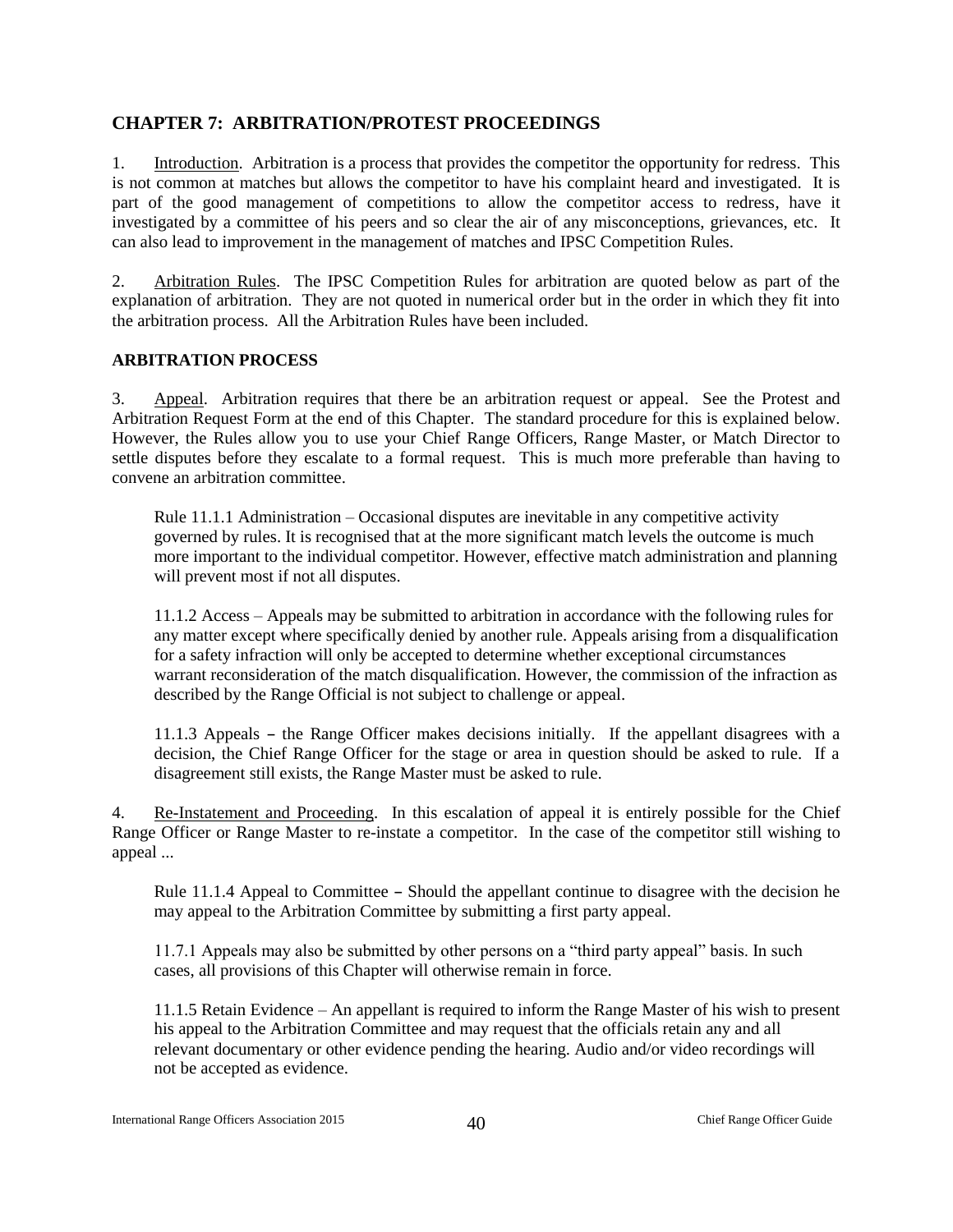## <span id="page-40-0"></span>**CHAPTER 7: ARBITRATION/PROTEST PROCEEDINGS**

1. Introduction. Arbitration is a process that provides the competitor the opportunity for redress. This is not common at matches but allows the competitor to have his complaint heard and investigated. It is part of the good management of competitions to allow the competitor access to redress, have it investigated by a committee of his peers and so clear the air of any misconceptions, grievances, etc. It can also lead to improvement in the management of matches and IPSC Competition Rules.

2. Arbitration Rules. The IPSC Competition Rules for arbitration are quoted below as part of the explanation of arbitration. They are not quoted in numerical order but in the order in which they fit into the arbitration process. All the Arbitration Rules have been included.

#### <span id="page-40-1"></span>**ARBITRATION PROCESS**

3. Appeal. Arbitration requires that there be an arbitration request or appeal. See the Protest and Arbitration Request Form at the end of this Chapter. The standard procedure for this is explained below. However, the Rules allow you to use your Chief Range Officers, Range Master, or Match Director to settle disputes before they escalate to a formal request. This is much more preferable than having to convene an arbitration committee.

Rule 11.1.1 Administration – Occasional disputes are inevitable in any competitive activity governed by rules. It is recognised that at the more significant match levels the outcome is much more important to the individual competitor. However, effective match administration and planning will prevent most if not all disputes.

11.1.2 Access – Appeals may be submitted to arbitration in accordance with the following rules for any matter except where specifically denied by another rule. Appeals arising from a disqualification for a safety infraction will only be accepted to determine whether exceptional circumstances warrant reconsideration of the match disqualification. However, the commission of the infraction as described by the Range Official is not subject to challenge or appeal.

 $11.1.3$  Appeals – the Range Officer makes decisions initially. If the appellant disagrees with a decision, the Chief Range Officer for the stage or area in question should be asked to rule. If a disagreement still exists, the Range Master must be asked to rule.

4. Re-Instatement and Proceeding. In this escalation of appeal it is entirely possible for the Chief Range Officer or Range Master to re-instate a competitor. In the case of the competitor still wishing to appeal ...

Rule  $11.1.4$  Appeal to Committee  $-$  Should the appellant continue to disagree with the decision he may appeal to the Arbitration Committee by submitting a first party appeal.

11.7.1 Appeals may also be submitted by other persons on a "third party appeal" basis. In such cases, all provisions of this Chapter will otherwise remain in force.

11.1.5 Retain Evidence – An appellant is required to inform the Range Master of his wish to present his appeal to the Arbitration Committee and may request that the officials retain any and all relevant documentary or other evidence pending the hearing. Audio and/or video recordings will not be accepted as evidence.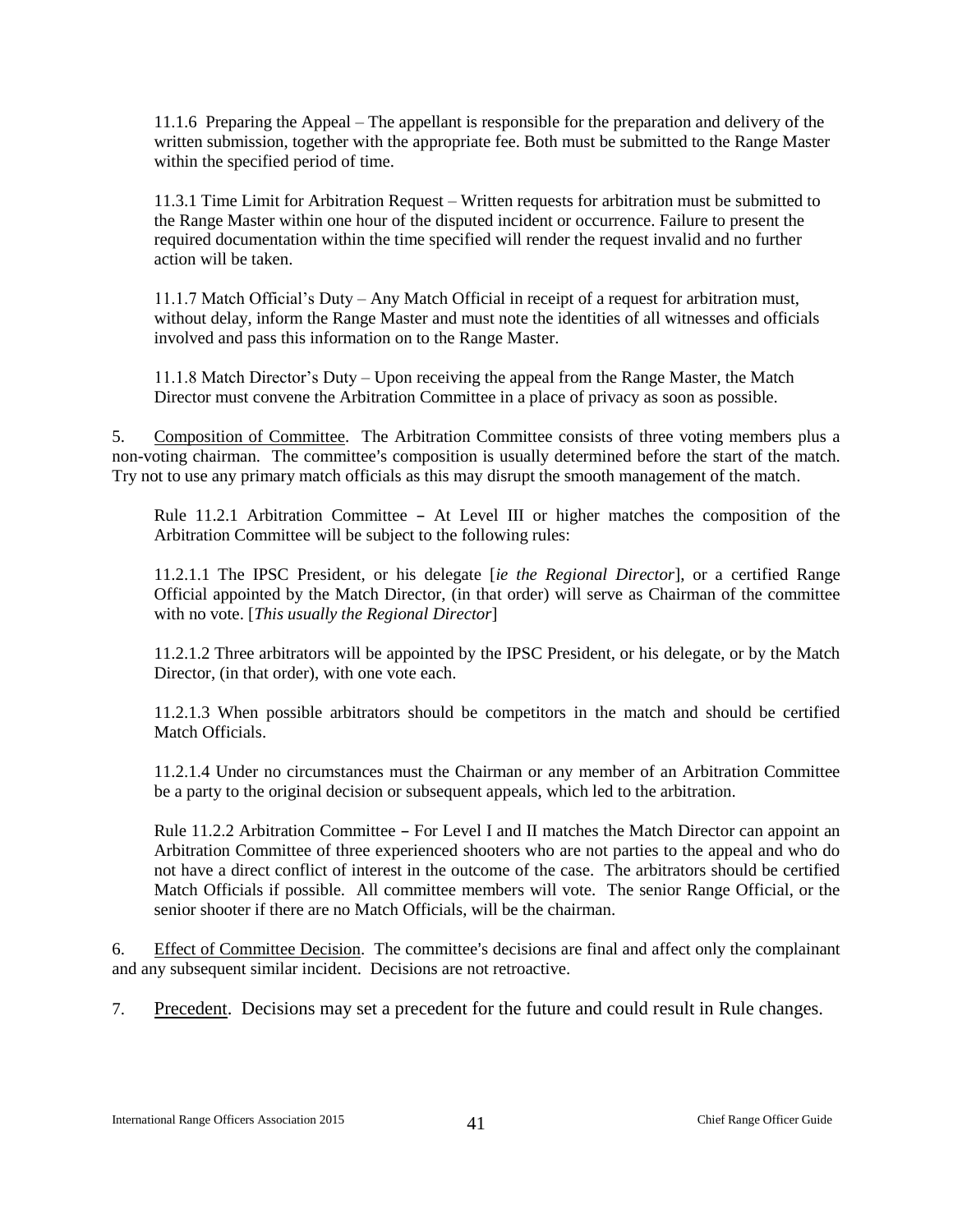11.1.6 Preparing the Appeal – The appellant is responsible for the preparation and delivery of the written submission, together with the appropriate fee. Both must be submitted to the Range Master within the specified period of time.

11.3.1 Time Limit for Arbitration Request – Written requests for arbitration must be submitted to the Range Master within one hour of the disputed incident or occurrence. Failure to present the required documentation within the time specified will render the request invalid and no further action will be taken.

11.1.7 Match Official's Duty – Any Match Official in receipt of a request for arbitration must, without delay, inform the Range Master and must note the identities of all witnesses and officials involved and pass this information on to the Range Master.

11.1.8 Match Director's Duty – Upon receiving the appeal from the Range Master, the Match Director must convene the Arbitration Committee in a place of privacy as soon as possible.

5. Composition of Committee. The Arbitration Committee consists of three voting members plus a non-voting chairman. The committee's composition is usually determined before the start of the match. Try not to use any primary match officials as this may disrupt the smooth management of the match.

Rule 11.2.1 Arbitration Committee  $-$  At Level III or higher matches the composition of the Arbitration Committee will be subject to the following rules:

11.2.1.1 The IPSC President, or his delegate [*ie the Regional Director*], or a certified Range Official appointed by the Match Director, (in that order) will serve as Chairman of the committee with no vote. [*This usually the Regional Director*]

11.2.1.2 Three arbitrators will be appointed by the IPSC President, or his delegate, or by the Match Director, (in that order), with one vote each.

11.2.1.3 When possible arbitrators should be competitors in the match and should be certified Match Officials.

11.2.1.4 Under no circumstances must the Chairman or any member of an Arbitration Committee be a party to the original decision or subsequent appeals, which led to the arbitration.

Rule 11.2.2 Arbitration Committee  $-$  For Level I and II matches the Match Director can appoint an Arbitration Committee of three experienced shooters who are not parties to the appeal and who do not have a direct conflict of interest in the outcome of the case. The arbitrators should be certified Match Officials if possible. All committee members will vote. The senior Range Official, or the senior shooter if there are no Match Officials, will be the chairman.

6. Effect of Committee Decision. The committee's decisions are final and affect only the complainant and any subsequent similar incident. Decisions are not retroactive.

7. Precedent. Decisions may set a precedent for the future and could result in Rule changes.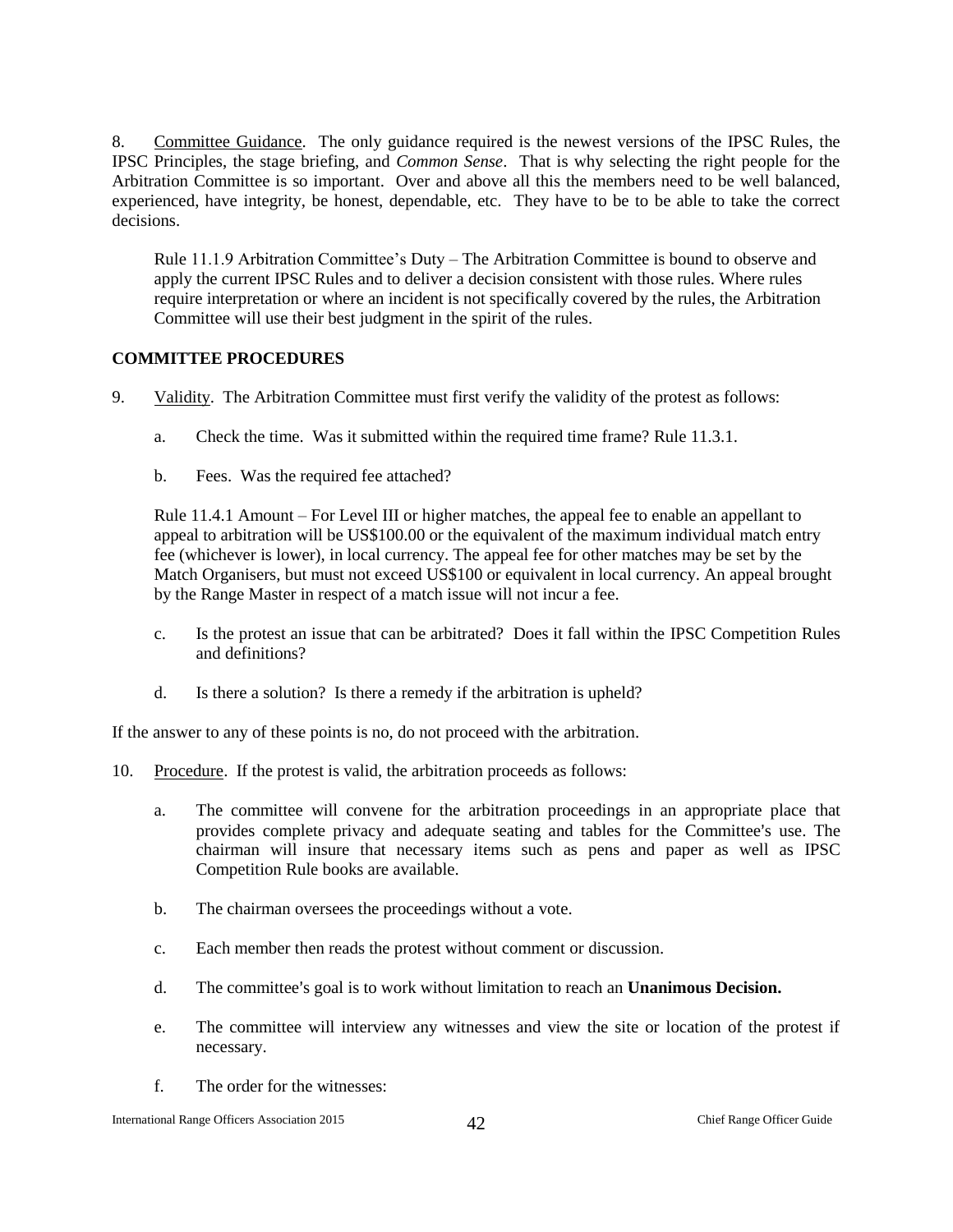8. Committee Guidance. The only guidance required is the newest versions of the IPSC Rules, the IPSC Principles, the stage briefing, and *Common Sense*. That is why selecting the right people for the Arbitration Committee is so important. Over and above all this the members need to be well balanced, experienced, have integrity, be honest, dependable, etc. They have to be to be able to take the correct decisions.

Rule 11.1.9 Arbitration Committee's Duty – The Arbitration Committee is bound to observe and apply the current IPSC Rules and to deliver a decision consistent with those rules. Where rules require interpretation or where an incident is not specifically covered by the rules, the Arbitration Committee will use their best judgment in the spirit of the rules.

#### <span id="page-42-0"></span>**COMMITTEE PROCEDURES**

- 9. Validity. The Arbitration Committee must first verify the validity of the protest as follows:
	- a. Check the time. Was it submitted within the required time frame? Rule 11.3.1.
	- b. Fees. Was the required fee attached?

Rule 11.4.1 Amount – For Level III or higher matches, the appeal fee to enable an appellant to appeal to arbitration will be US\$100.00 or the equivalent of the maximum individual match entry fee (whichever is lower), in local currency. The appeal fee for other matches may be set by the Match Organisers, but must not exceed US\$100 or equivalent in local currency. An appeal brought by the Range Master in respect of a match issue will not incur a fee.

- c. Is the protest an issue that can be arbitrated? Does it fall within the IPSC Competition Rules and definitions?
- d. Is there a solution? Is there a remedy if the arbitration is upheld?

If the answer to any of these points is no, do not proceed with the arbitration.

- 10. Procedure. If the protest is valid, the arbitration proceeds as follows:
	- a. The committee will convene for the arbitration proceedings in an appropriate place that provides complete privacy and adequate seating and tables for the Committee's use. The chairman will insure that necessary items such as pens and paper as well as IPSC Competition Rule books are available.
	- b. The chairman oversees the proceedings without a vote.
	- c. Each member then reads the protest without comment or discussion.
	- d. The committee's goal is to work without limitation to reach an **Unanimous Decision.**
	- e. The committee will interview any witnesses and view the site or location of the protest if necessary.
	- f. The order for the witnesses: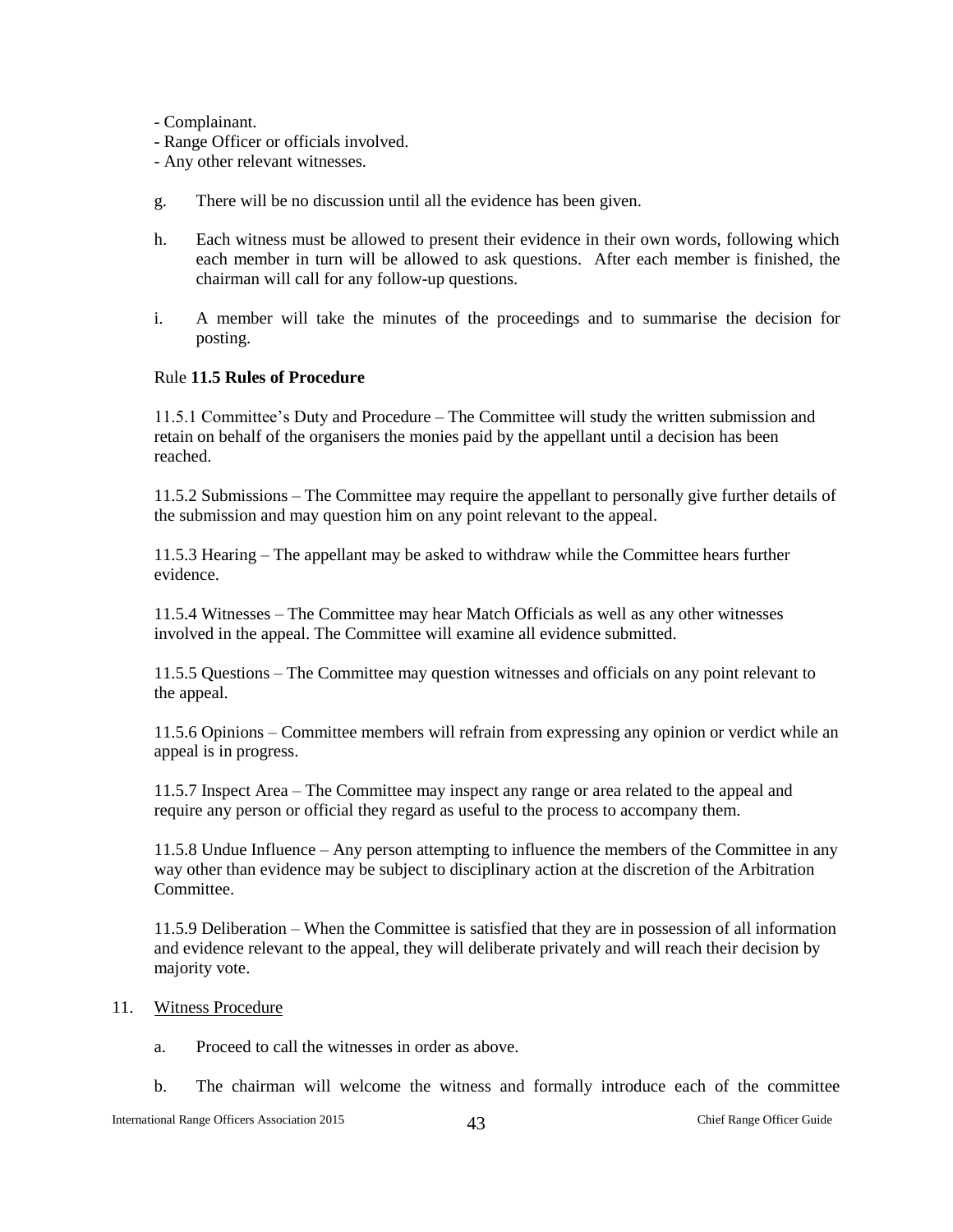- Complainant.

- Range Officer or officials involved.
- Any other relevant witnesses.
- g. There will be no discussion until all the evidence has been given.
- h. Each witness must be allowed to present their evidence in their own words, following which each member in turn will be allowed to ask questions. After each member is finished, the chairman will call for any follow-up questions.
- i. A member will take the minutes of the proceedings and to summarise the decision for posting.

#### Rule **11.5 Rules of Procedure**

11.5.1 Committee's Duty and Procedure – The Committee will study the written submission and retain on behalf of the organisers the monies paid by the appellant until a decision has been reached.

11.5.2 Submissions – The Committee may require the appellant to personally give further details of the submission and may question him on any point relevant to the appeal.

11.5.3 Hearing – The appellant may be asked to withdraw while the Committee hears further evidence.

11.5.4 Witnesses – The Committee may hear Match Officials as well as any other witnesses involved in the appeal. The Committee will examine all evidence submitted.

11.5.5 Questions – The Committee may question witnesses and officials on any point relevant to the appeal.

11.5.6 Opinions – Committee members will refrain from expressing any opinion or verdict while an appeal is in progress.

11.5.7 Inspect Area – The Committee may inspect any range or area related to the appeal and require any person or official they regard as useful to the process to accompany them.

11.5.8 Undue Influence – Any person attempting to influence the members of the Committee in any way other than evidence may be subject to disciplinary action at the discretion of the Arbitration Committee.

11.5.9 Deliberation – When the Committee is satisfied that they are in possession of all information and evidence relevant to the appeal, they will deliberate privately and will reach their decision by majority vote.

#### 11. Witness Procedure

- a. Proceed to call the witnesses in order as above.
- b. The chairman will welcome the witness and formally introduce each of the committee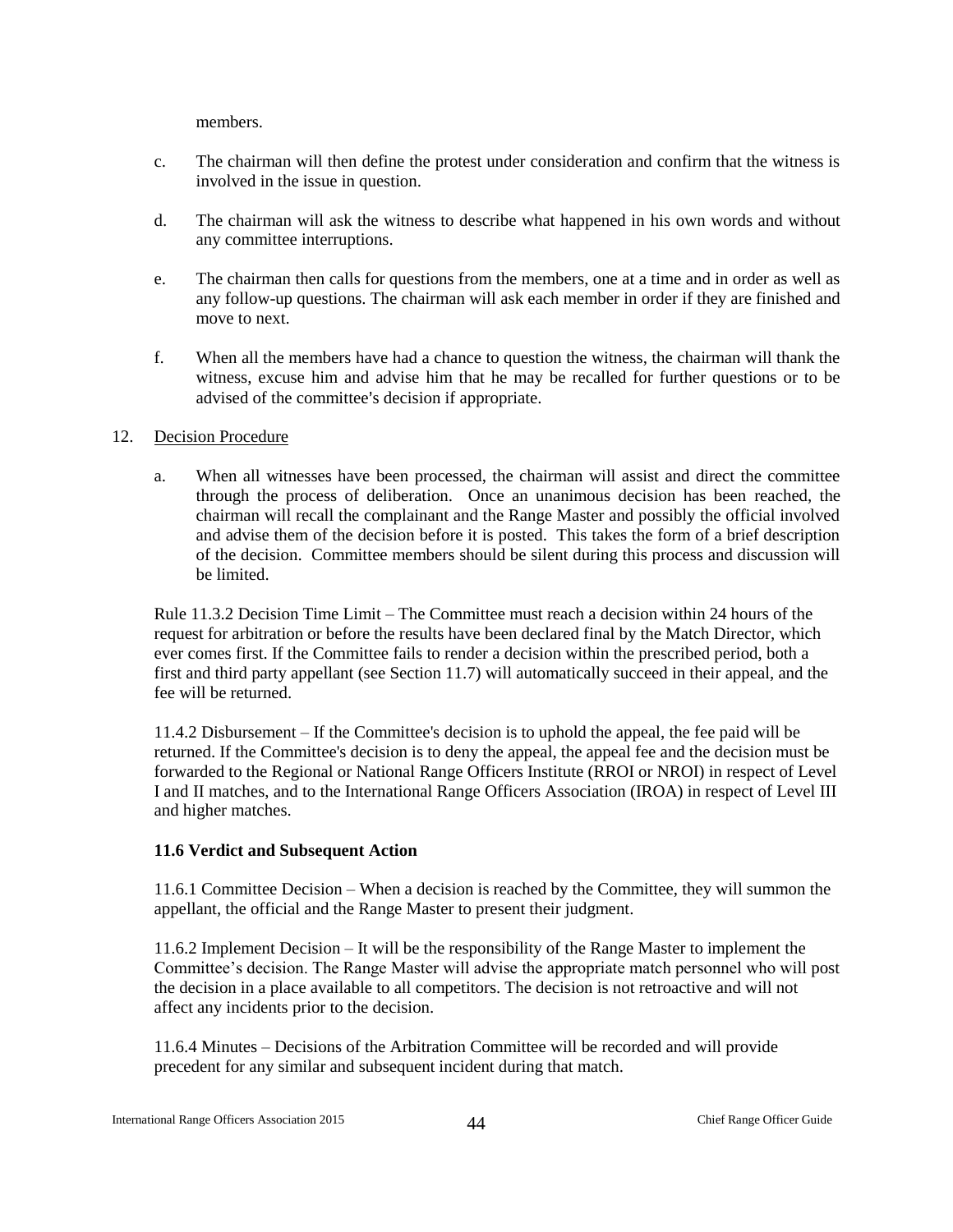members.

- c. The chairman will then define the protest under consideration and confirm that the witness is involved in the issue in question.
- d. The chairman will ask the witness to describe what happened in his own words and without any committee interruptions.
- e. The chairman then calls for questions from the members, one at a time and in order as well as any follow-up questions. The chairman will ask each member in order if they are finished and move to next.
- f. When all the members have had a chance to question the witness, the chairman will thank the witness, excuse him and advise him that he may be recalled for further questions or to be advised of the committee's decision if appropriate.

#### 12. Decision Procedure

a. When all witnesses have been processed, the chairman will assist and direct the committee through the process of deliberation. Once an unanimous decision has been reached, the chairman will recall the complainant and the Range Master and possibly the official involved and advise them of the decision before it is posted. This takes the form of a brief description of the decision. Committee members should be silent during this process and discussion will be limited.

Rule 11.3.2 Decision Time Limit – The Committee must reach a decision within 24 hours of the request for arbitration or before the results have been declared final by the Match Director, which ever comes first. If the Committee fails to render a decision within the prescribed period, both a first and third party appellant (see Section 11.7) will automatically succeed in their appeal, and the fee will be returned.

11.4.2 Disbursement – If the Committee's decision is to uphold the appeal, the fee paid will be returned. If the Committee's decision is to deny the appeal, the appeal fee and the decision must be forwarded to the Regional or National Range Officers Institute (RROI or NROI) in respect of Level I and II matches, and to the International Range Officers Association (IROA) in respect of Level III and higher matches.

#### **11.6 Verdict and Subsequent Action**

11.6.1 Committee Decision – When a decision is reached by the Committee, they will summon the appellant, the official and the Range Master to present their judgment.

11.6.2 Implement Decision – It will be the responsibility of the Range Master to implement the Committee's decision. The Range Master will advise the appropriate match personnel who will post the decision in a place available to all competitors. The decision is not retroactive and will not affect any incidents prior to the decision.

11.6.4 Minutes – Decisions of the Arbitration Committee will be recorded and will provide precedent for any similar and subsequent incident during that match.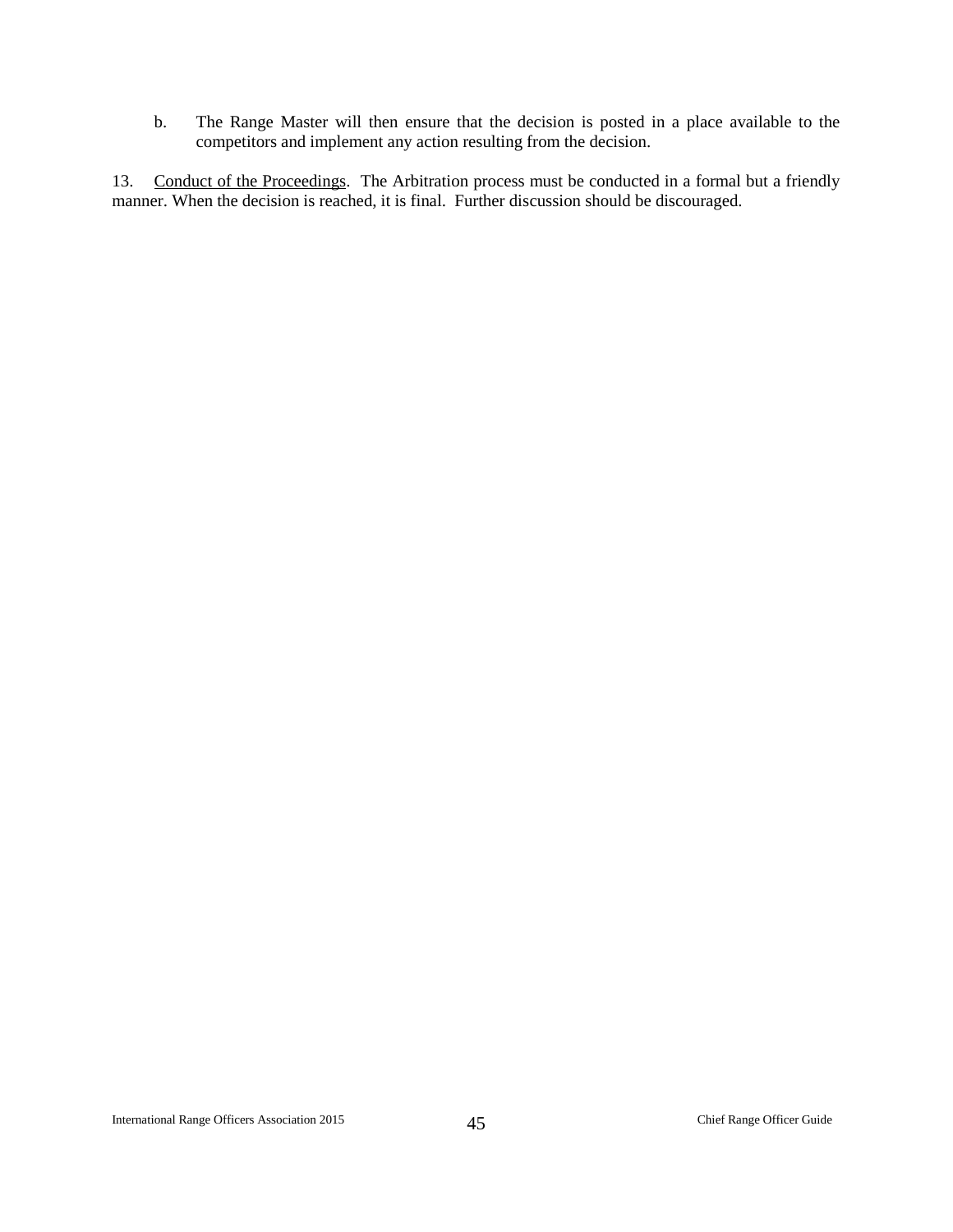b. The Range Master will then ensure that the decision is posted in a place available to the competitors and implement any action resulting from the decision.

13. Conduct of the Proceedings. The Arbitration process must be conducted in a formal but a friendly manner. When the decision is reached, it is final. Further discussion should be discouraged.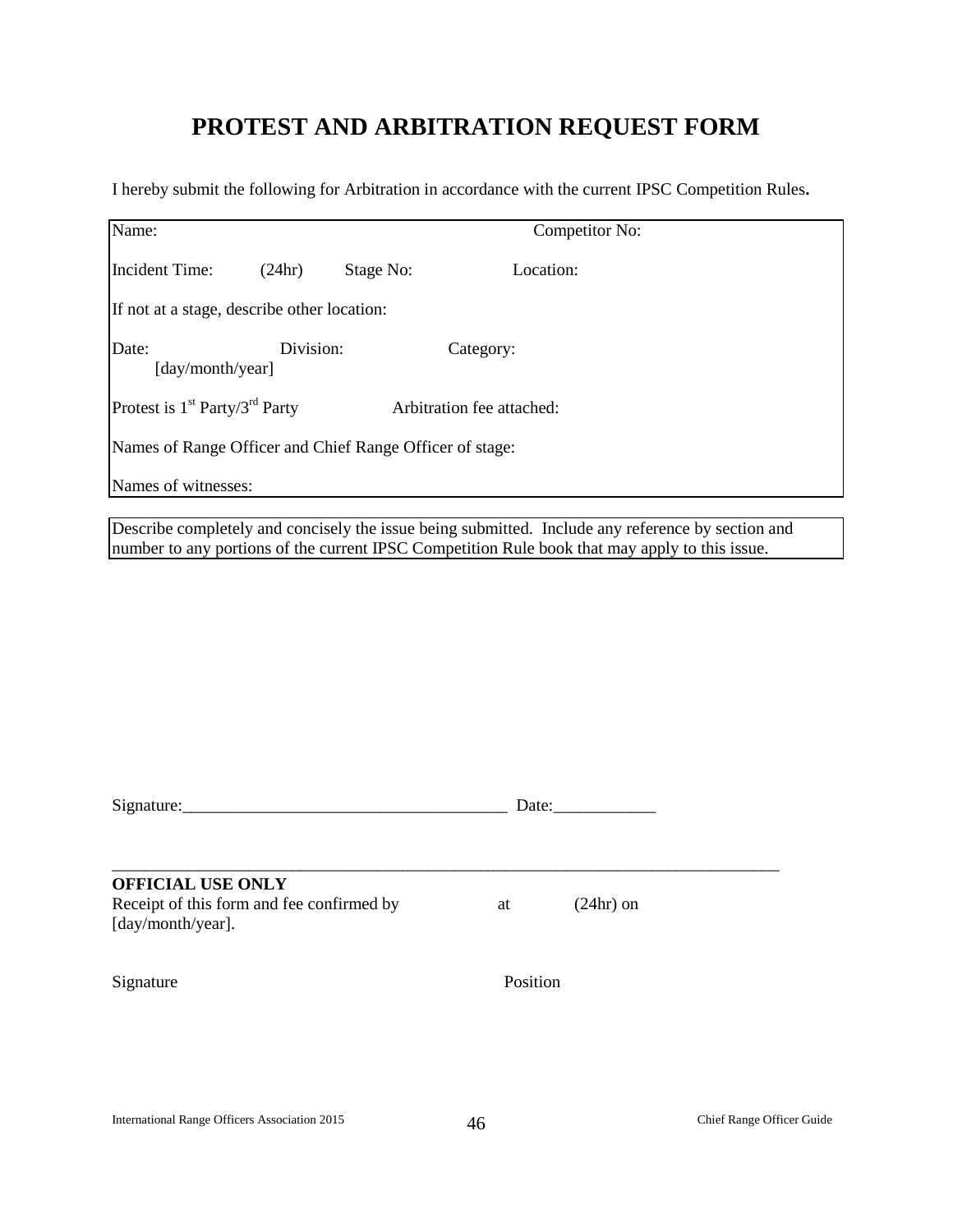## **PROTEST AND ARBITRATION REQUEST FORM**

I hereby submit the following for Arbitration in accordance with the current IPSC Competition Rules**.**

| Name:                                                    |           |           | Competitor No:            |  |
|----------------------------------------------------------|-----------|-----------|---------------------------|--|
| Incident Time:                                           | (24hr)    | Stage No: | Location:                 |  |
| If not at a stage, describe other location:              |           |           |                           |  |
| Date:<br>[day/month/year]                                | Division: |           | Category:                 |  |
| Protest is $1st$ Party/3 <sup>rd</sup> Party             |           |           | Arbitration fee attached: |  |
| Names of Range Officer and Chief Range Officer of stage: |           |           |                           |  |
| Names of witnesses:                                      |           |           |                           |  |

Describe completely and concisely the issue being submitted. Include any reference by section and number to any portions of the current IPSC Competition Rule book that may apply to this issue.

| <b>OFFICIAL USE ONLY</b><br>Receipt of this form and fee confirmed by<br>[day/month/year]. | $(24hr)$ on<br>at |
|--------------------------------------------------------------------------------------------|-------------------|
| Signature                                                                                  | Position          |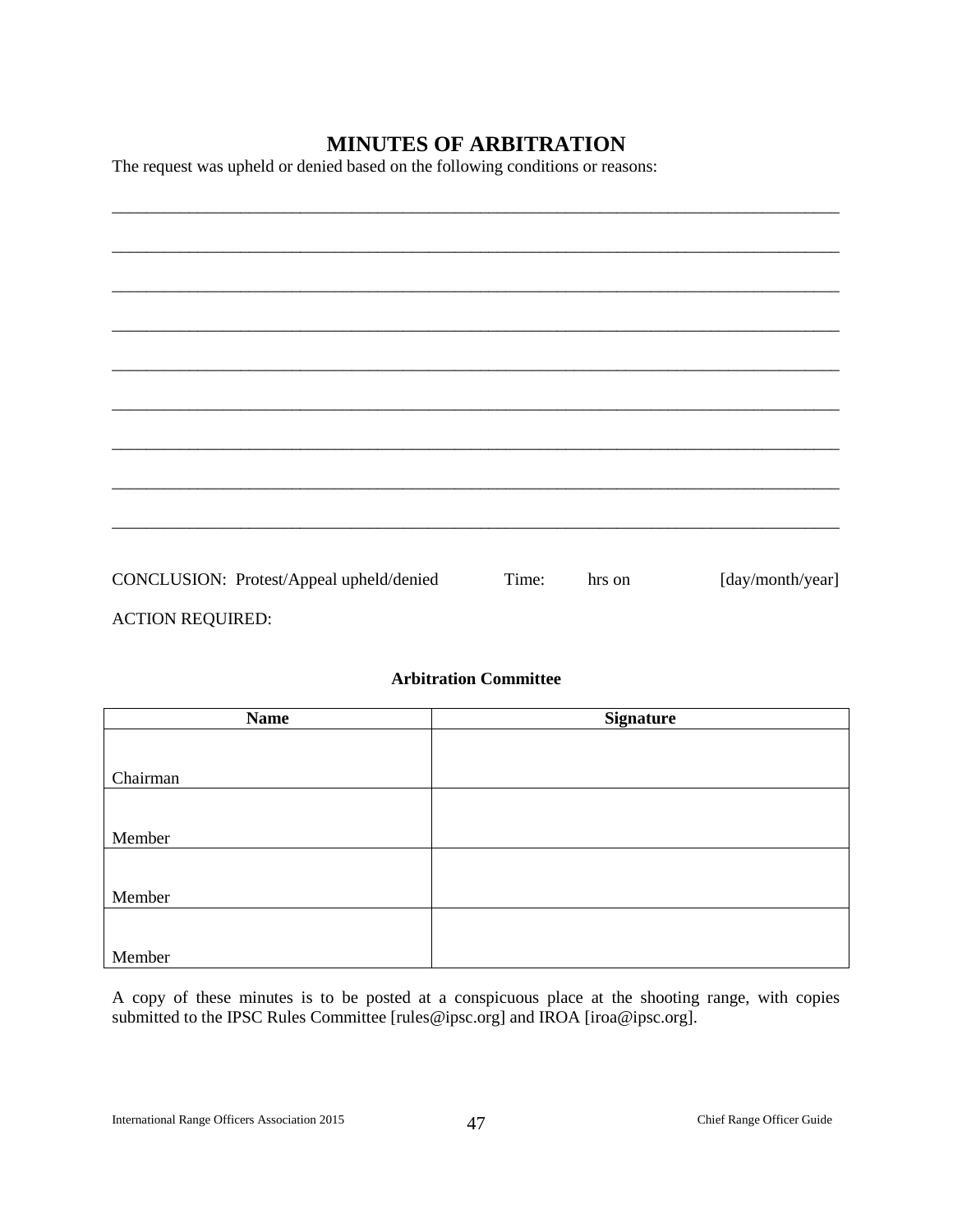## **MINUTES OF ARBITRATION**

The request was upheld or denied based on the following conditions or reasons:

| CONCLUSION: Protest/Appeal upheld/denied | Time: | hrs on | [day/month/year] |
|------------------------------------------|-------|--------|------------------|
|                                          |       |        |                  |

ACTION REQUIRED:

### **Arbitration Committee**

| <b>Name</b> | <b>Signature</b> |
|-------------|------------------|
|             |                  |
|             |                  |
| Chairman    |                  |
|             |                  |
|             |                  |
| Member      |                  |
|             |                  |
| Member      |                  |
|             |                  |
|             |                  |
| Member      |                  |

A copy of these minutes is to be posted at a conspicuous place at the shooting range, with copies submitted to the IPSC Rules Committee [rules@ipsc.org] and IROA [iroa@ipsc.org].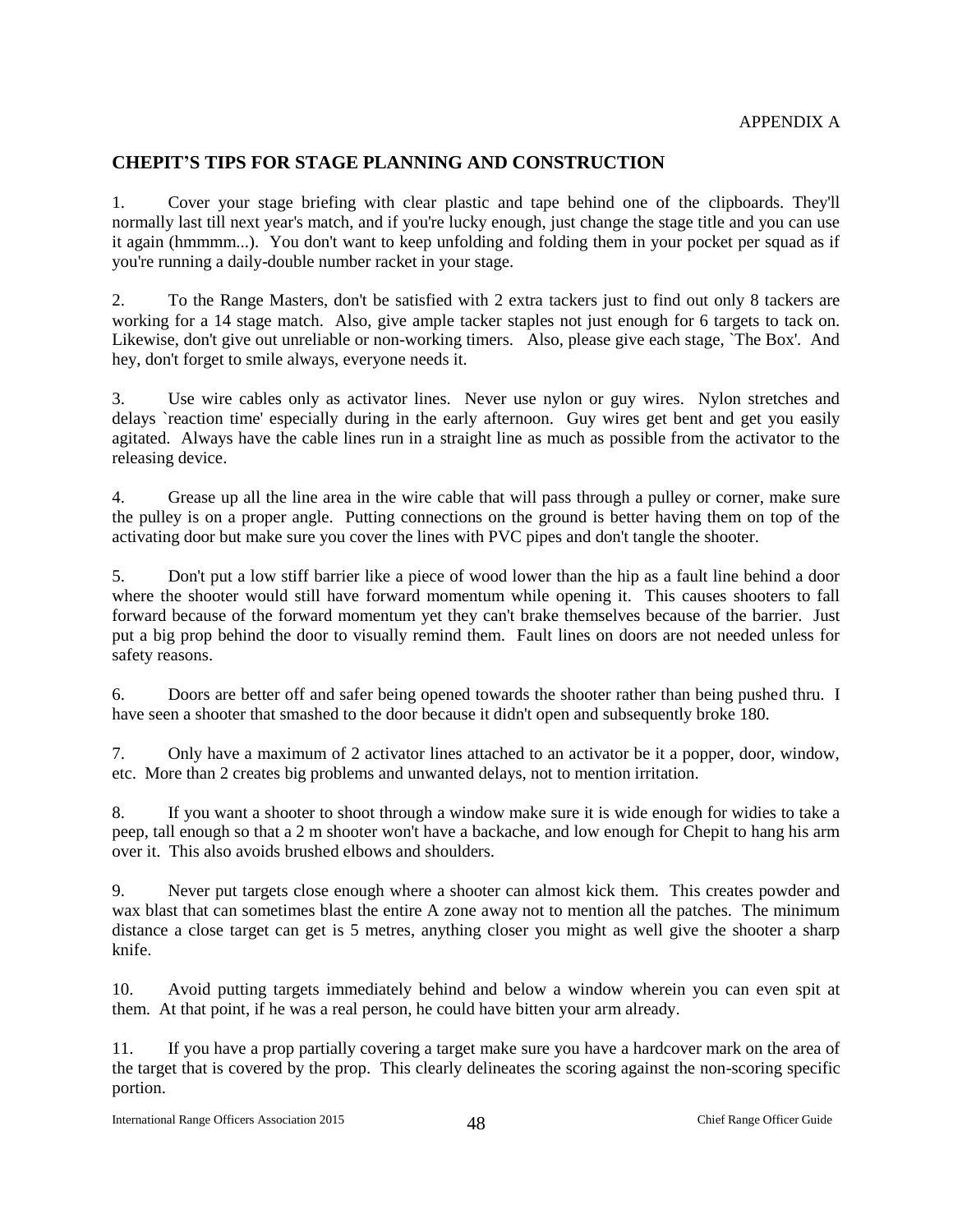## <span id="page-48-1"></span><span id="page-48-0"></span>**CHEPIT'S TIPS FOR STAGE PLANNING AND CONSTRUCTION**

1. Cover your stage briefing with clear plastic and tape behind one of the clipboards. They'll normally last till next year's match, and if you're lucky enough, just change the stage title and you can use it again (hmmmm...). You don't want to keep unfolding and folding them in your pocket per squad as if you're running a daily-double number racket in your stage.

2. To the Range Masters, don't be satisfied with 2 extra tackers just to find out only 8 tackers are working for a 14 stage match. Also, give ample tacker staples not just enough for 6 targets to tack on. Likewise, don't give out unreliable or non-working timers. Also, please give each stage, `The Box'. And hey, don't forget to smile always, everyone needs it.

3. Use wire cables only as activator lines. Never use nylon or guy wires. Nylon stretches and delays `reaction time' especially during in the early afternoon. Guy wires get bent and get you easily agitated. Always have the cable lines run in a straight line as much as possible from the activator to the releasing device.

4. Grease up all the line area in the wire cable that will pass through a pulley or corner, make sure the pulley is on a proper angle. Putting connections on the ground is better having them on top of the activating door but make sure you cover the lines with PVC pipes and don't tangle the shooter.

5. Don't put a low stiff barrier like a piece of wood lower than the hip as a fault line behind a door where the shooter would still have forward momentum while opening it. This causes shooters to fall forward because of the forward momentum yet they can't brake themselves because of the barrier. Just put a big prop behind the door to visually remind them. Fault lines on doors are not needed unless for safety reasons.

6. Doors are better off and safer being opened towards the shooter rather than being pushed thru. I have seen a shooter that smashed to the door because it didn't open and subsequently broke 180.

7. Only have a maximum of 2 activator lines attached to an activator be it a popper, door, window, etc. More than 2 creates big problems and unwanted delays, not to mention irritation.

8. If you want a shooter to shoot through a window make sure it is wide enough for widies to take a peep, tall enough so that a 2 m shooter won't have a backache, and low enough for Chepit to hang his arm over it. This also avoids brushed elbows and shoulders.

9. Never put targets close enough where a shooter can almost kick them. This creates powder and wax blast that can sometimes blast the entire A zone away not to mention all the patches. The minimum distance a close target can get is 5 metres, anything closer you might as well give the shooter a sharp knife.

10. Avoid putting targets immediately behind and below a window wherein you can even spit at them. At that point, if he was a real person, he could have bitten your arm already.

11. If you have a prop partially covering a target make sure you have a hardcover mark on the area of the target that is covered by the prop. This clearly delineates the scoring against the non-scoring specific portion.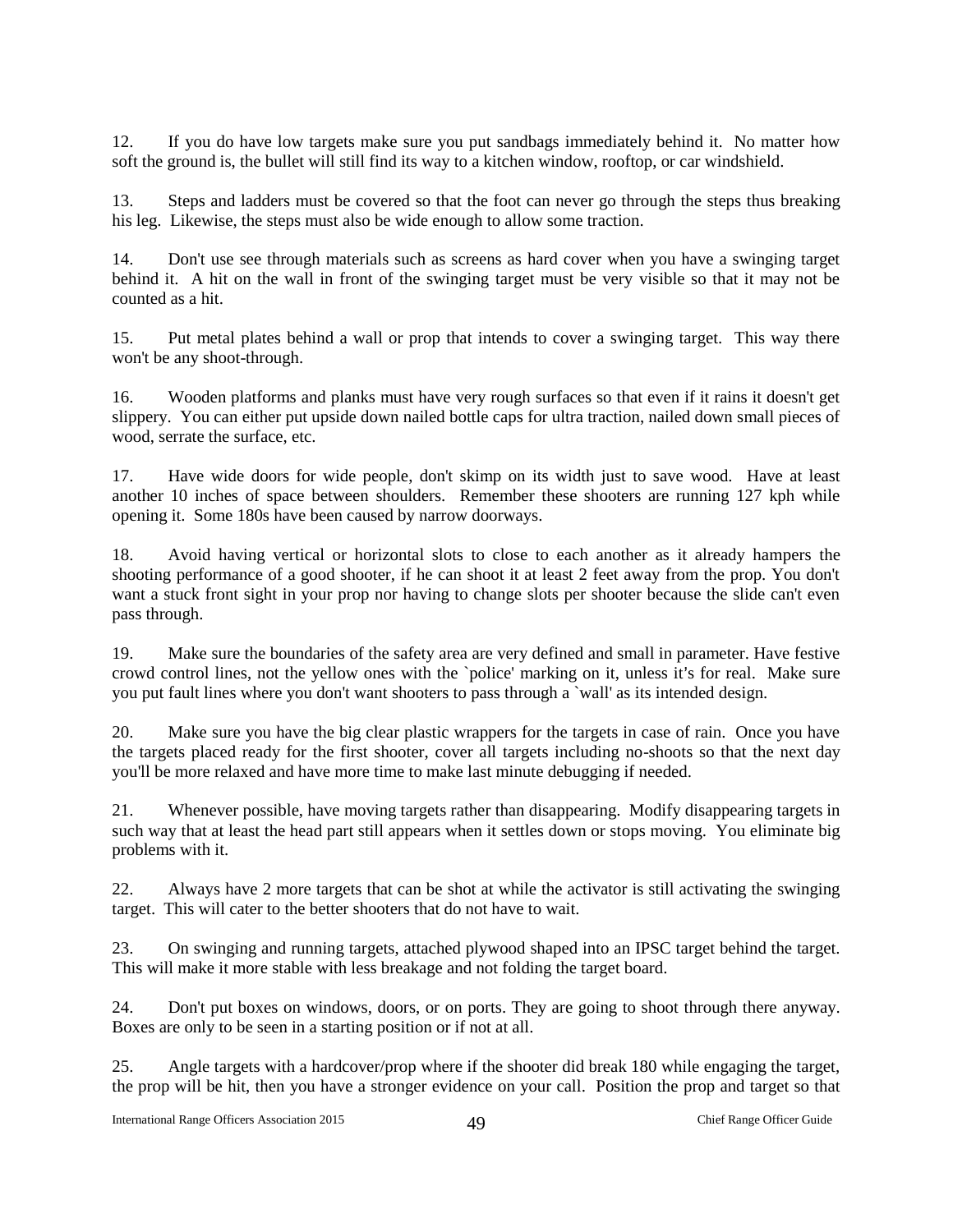12. If you do have low targets make sure you put sandbags immediately behind it. No matter how soft the ground is, the bullet will still find its way to a kitchen window, rooftop, or car windshield.

13. Steps and ladders must be covered so that the foot can never go through the steps thus breaking his leg. Likewise, the steps must also be wide enough to allow some traction.

14. Don't use see through materials such as screens as hard cover when you have a swinging target behind it. A hit on the wall in front of the swinging target must be very visible so that it may not be counted as a hit.

15. Put metal plates behind a wall or prop that intends to cover a swinging target. This way there won't be any shoot-through.

16. Wooden platforms and planks must have very rough surfaces so that even if it rains it doesn't get slippery. You can either put upside down nailed bottle caps for ultra traction, nailed down small pieces of wood, serrate the surface, etc.

17. Have wide doors for wide people, don't skimp on its width just to save wood. Have at least another 10 inches of space between shoulders. Remember these shooters are running 127 kph while opening it. Some 180s have been caused by narrow doorways.

18. Avoid having vertical or horizontal slots to close to each another as it already hampers the shooting performance of a good shooter, if he can shoot it at least 2 feet away from the prop. You don't want a stuck front sight in your prop nor having to change slots per shooter because the slide can't even pass through.

19. Make sure the boundaries of the safety area are very defined and small in parameter. Have festive crowd control lines, not the yellow ones with the 'police' marking on it, unless it's for real. Make sure you put fault lines where you don't want shooters to pass through a `wall' as its intended design.

20. Make sure you have the big clear plastic wrappers for the targets in case of rain. Once you have the targets placed ready for the first shooter, cover all targets including no-shoots so that the next day you'll be more relaxed and have more time to make last minute debugging if needed.

21. Whenever possible, have moving targets rather than disappearing. Modify disappearing targets in such way that at least the head part still appears when it settles down or stops moving. You eliminate big problems with it.

22. Always have 2 more targets that can be shot at while the activator is still activating the swinging target. This will cater to the better shooters that do not have to wait.

23. On swinging and running targets, attached plywood shaped into an IPSC target behind the target. This will make it more stable with less breakage and not folding the target board.

24. Don't put boxes on windows, doors, or on ports. They are going to shoot through there anyway. Boxes are only to be seen in a starting position or if not at all.

25. Angle targets with a hardcover/prop where if the shooter did break 180 while engaging the target, the prop will be hit, then you have a stronger evidence on your call. Position the prop and target so that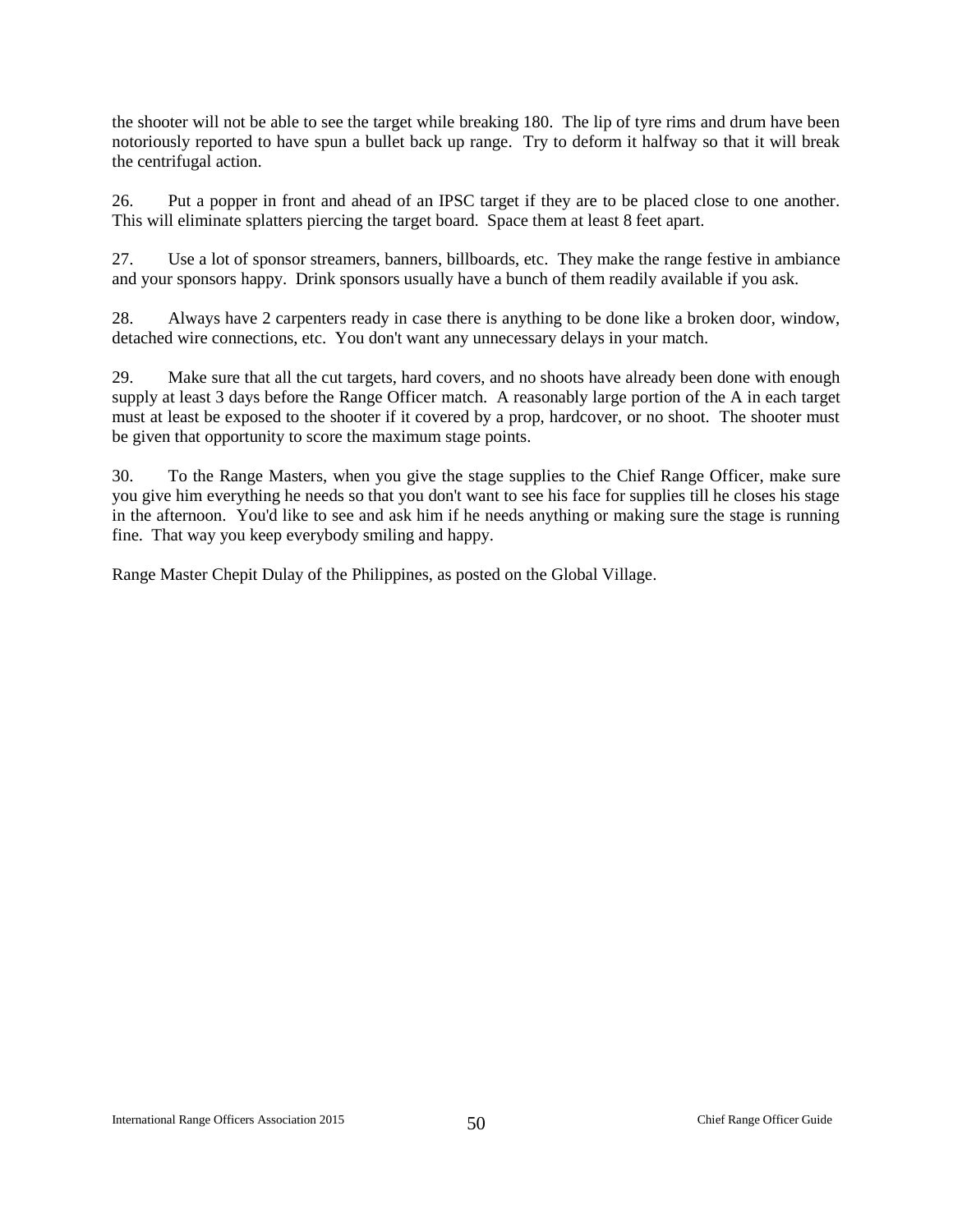the shooter will not be able to see the target while breaking 180. The lip of tyre rims and drum have been notoriously reported to have spun a bullet back up range. Try to deform it halfway so that it will break the centrifugal action.

26. Put a popper in front and ahead of an IPSC target if they are to be placed close to one another. This will eliminate splatters piercing the target board. Space them at least 8 feet apart.

27. Use a lot of sponsor streamers, banners, billboards, etc. They make the range festive in ambiance and your sponsors happy. Drink sponsors usually have a bunch of them readily available if you ask.

28. Always have 2 carpenters ready in case there is anything to be done like a broken door, window, detached wire connections, etc. You don't want any unnecessary delays in your match.

29. Make sure that all the cut targets, hard covers, and no shoots have already been done with enough supply at least 3 days before the Range Officer match. A reasonably large portion of the A in each target must at least be exposed to the shooter if it covered by a prop, hardcover, or no shoot. The shooter must be given that opportunity to score the maximum stage points.

30. To the Range Masters, when you give the stage supplies to the Chief Range Officer, make sure you give him everything he needs so that you don't want to see his face for supplies till he closes his stage in the afternoon. You'd like to see and ask him if he needs anything or making sure the stage is running fine. That way you keep everybody smiling and happy.

Range Master Chepit Dulay of the Philippines, as posted on the Global Village.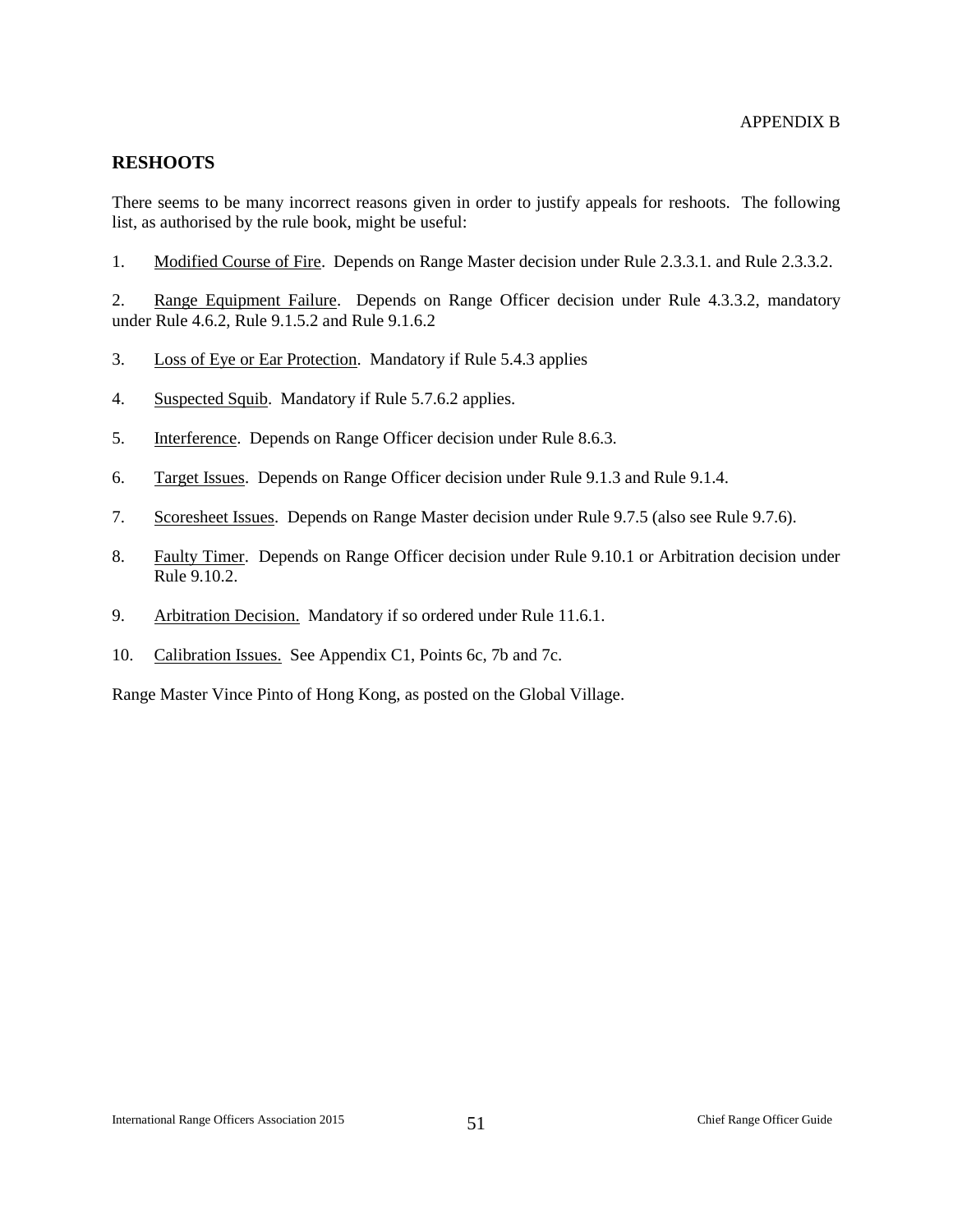#### <span id="page-51-1"></span><span id="page-51-0"></span>**RESHOOTS**

There seems to be many incorrect reasons given in order to justify appeals for reshoots. The following list, as authorised by the rule book, might be useful:

1. Modified Course of Fire. Depends on Range Master decision under Rule 2.3.3.1. and Rule 2.3.3.2.

2. Range Equipment Failure. Depends on Range Officer decision under Rule 4.3.3.2, mandatory under Rule 4.6.2, Rule 9.1.5.2 and Rule 9.1.6.2

- 3. Loss of Eye or Ear Protection. Mandatory if Rule 5.4.3 applies
- 4. Suspected Squib. Mandatory if Rule 5.7.6.2 applies.
- 5. Interference. Depends on Range Officer decision under Rule 8.6.3.
- 6. Target Issues. Depends on Range Officer decision under Rule 9.1.3 and Rule 9.1.4.
- 7. Scoresheet Issues. Depends on Range Master decision under Rule 9.7.5 (also see Rule 9.7.6).
- 8. Faulty Timer. Depends on Range Officer decision under Rule 9.10.1 or Arbitration decision under Rule 9.10.2.
- 9. Arbitration Decision. Mandatory if so ordered under Rule 11.6.1.
- 10. Calibration Issues. See Appendix C1, Points 6c, 7b and 7c.

Range Master Vince Pinto of Hong Kong, as posted on the Global Village.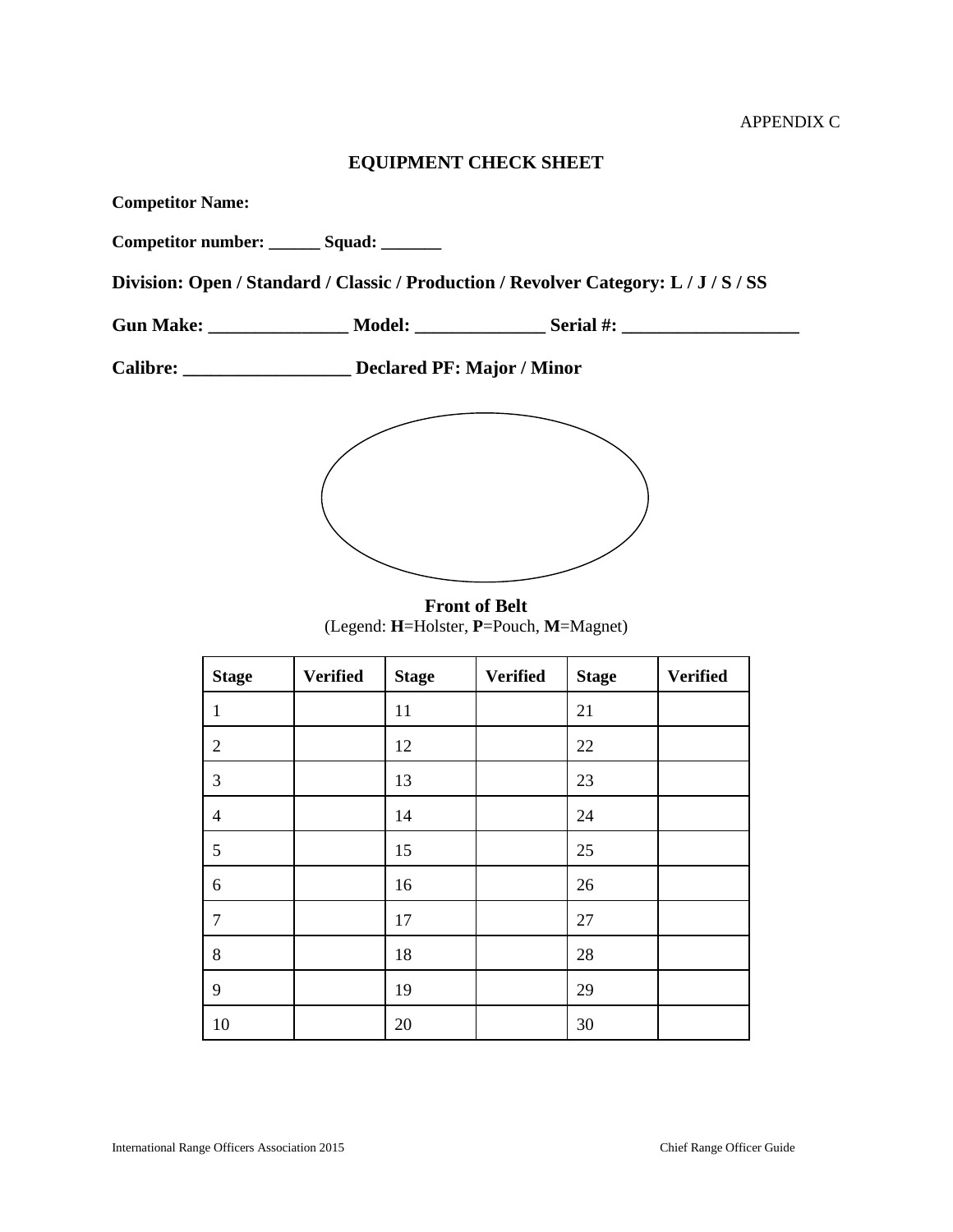## **EQUIPMENT CHECK SHEET**

<span id="page-52-1"></span><span id="page-52-0"></span>

| <b>Competitor Name:</b> |                                           |                                                                                                      |  |
|-------------------------|-------------------------------------------|------------------------------------------------------------------------------------------------------|--|
|                         | Competitor number: _______ Squad: _______ |                                                                                                      |  |
|                         |                                           | Division: Open / Standard / Classic / Production / Revolver Category: L / J / S / SS                 |  |
|                         |                                           | Gun Make: ______________________ Model: ____________________Serial #: ______________________________ |  |
|                         | Declared PF: Major / Minor                |                                                                                                      |  |
|                         |                                           |                                                                                                      |  |

**Front of Belt** (Legend: **H**=Holster, **P**=Pouch, **M**=Magnet)

| <b>Stage</b>   | <b>Verified</b> | <b>Stage</b> | <b>Verified</b> | <b>Stage</b> | <b>Verified</b> |
|----------------|-----------------|--------------|-----------------|--------------|-----------------|
| 1              |                 | 11           |                 | 21           |                 |
| $\overline{2}$ |                 | 12           |                 | 22           |                 |
| 3              |                 | 13           |                 | 23           |                 |
| $\overline{4}$ |                 | 14           |                 | 24           |                 |
| $\mathfrak{S}$ |                 | 15           |                 | 25           |                 |
| 6              |                 | 16           |                 | 26           |                 |
| $\tau$         |                 | 17           |                 | 27           |                 |
| $8\,$          |                 | 18           |                 | 28           |                 |
| 9              |                 | 19           |                 | 29           |                 |
| 10             |                 | 20           |                 | 30           |                 |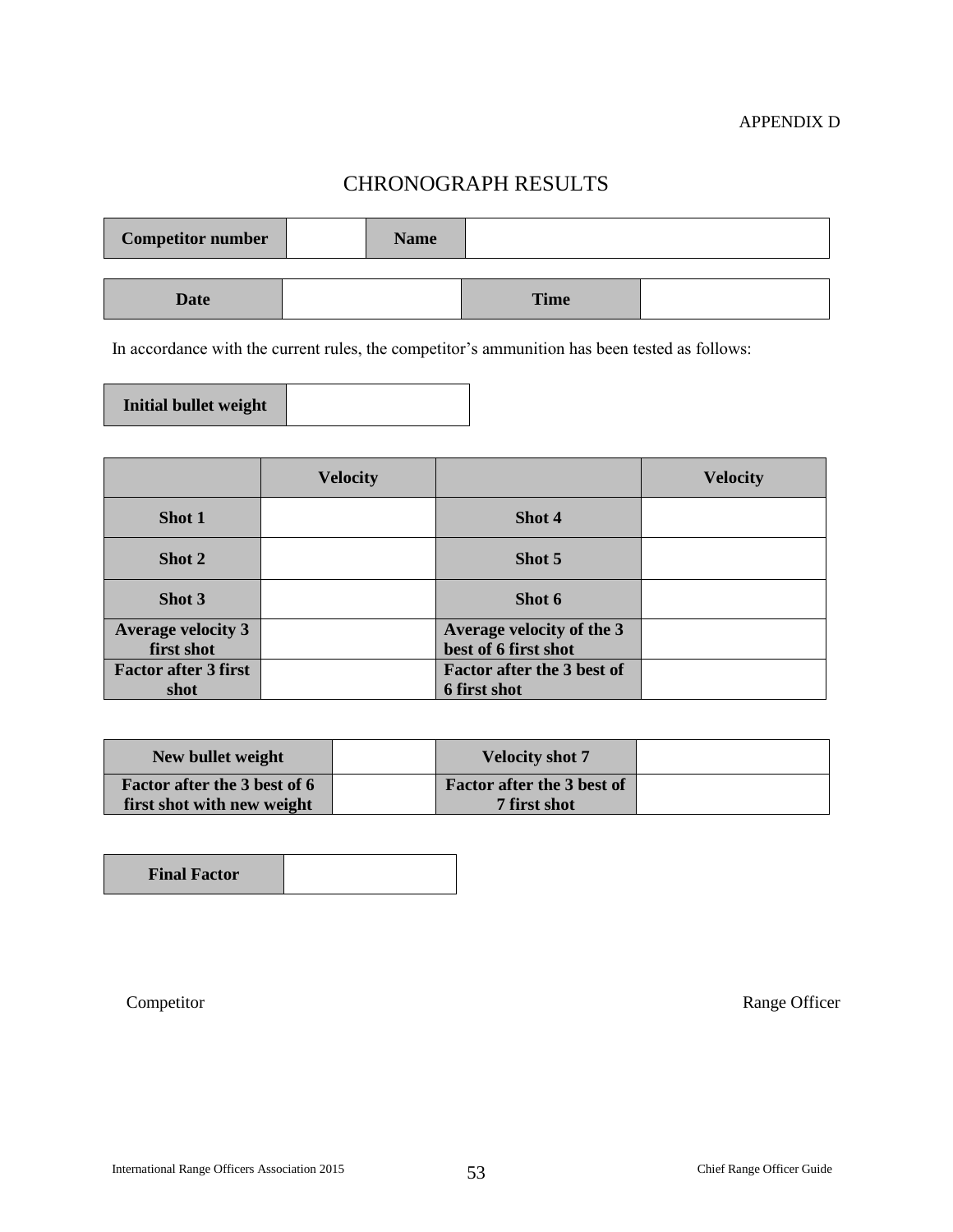## CHRONOGRAPH RESULTS

<span id="page-53-0"></span>

| <b>Competitor number</b> | <b>Name</b> |             |  |
|--------------------------|-------------|-------------|--|
|                          |             |             |  |
| <b>Date</b>              |             | <b>Time</b> |  |

In accordance with the current rules, the competitor's ammunition has been tested as follows:

| Initial bullet weight |  |
|-----------------------|--|
|-----------------------|--|

|                             | <b>Velocity</b> |                                   | <b>Velocity</b> |
|-----------------------------|-----------------|-----------------------------------|-----------------|
| Shot 1                      |                 | Shot 4                            |                 |
| Shot 2                      |                 | Shot 5                            |                 |
| Shot 3                      |                 | Shot 6                            |                 |
| <b>Average velocity 3</b>   |                 | Average velocity of the 3         |                 |
| first shot                  |                 | best of 6 first shot              |                 |
| <b>Factor after 3 first</b> |                 | <b>Factor after the 3 best of</b> |                 |
| shot                        |                 | 6 first shot                      |                 |

| New bullet weight            | <b>Velocity shot 7</b>     |  |
|------------------------------|----------------------------|--|
| Factor after the 3 best of 6 | Factor after the 3 best of |  |
| first shot with new weight   | 7 first shot               |  |

| <b>Final Factor</b> |  |
|---------------------|--|
|                     |  |

Competitor Range Officer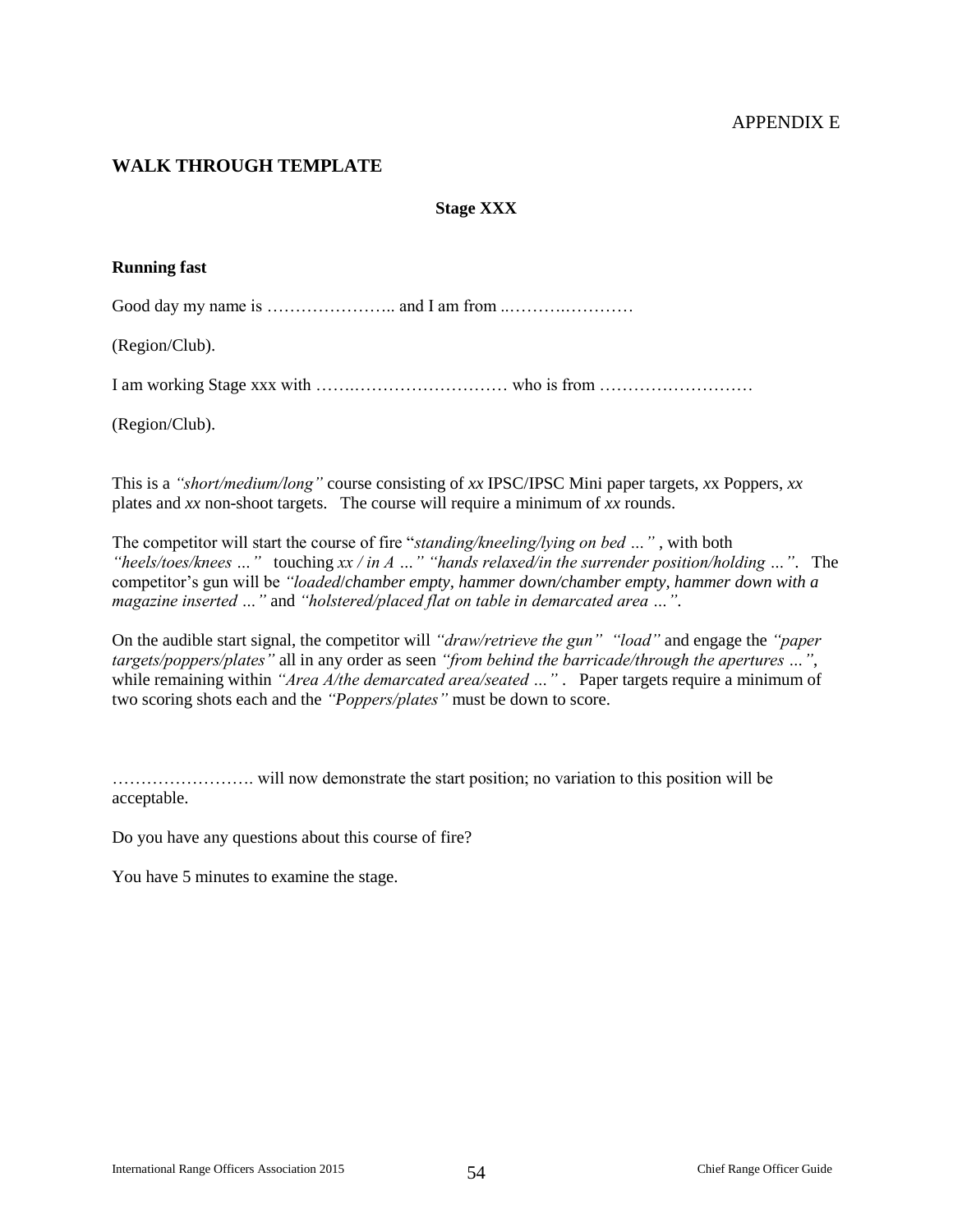#### APPENDIX E

#### <span id="page-54-1"></span><span id="page-54-0"></span>**WALK THROUGH TEMPLATE**

#### **Stage XXX**

#### **Running fast**

Good day my name is ………………….. and I am from ..……….…………

(Region/Club).

I am working Stage xxx with …….……………………… who is from ………………………

(Region/Club).

This is a *"short/medium/long"* course consisting of *xx* IPSC/IPSC Mini paper targets, *x*x Poppers, *xx* plates and *xx* non-shoot targets. The course will require a minimum of *xx* rounds.

The competitor will start the course of fire "*standing/kneeling/lying on bed …"* , with both *"heels/toes/knees …"* touching *xx / in A …" "hands relaxed/in the surrender position/holding …"*. The competitor's gun will be *"loaded*/*chamber empty, hammer down/chamber empty, hammer down with a magazine inserted …"* and *"holstered/placed flat on table in demarcated area …"*.

On the audible start signal, the competitor will *"draw/retrieve the gun" "load"* and engage the *"paper targets/poppers/plates"* all in any order as seen *"from behind the barricade/through the apertures …"*, while remaining within "Area A/the demarcated area/seated ...". Paper targets require a minimum of two scoring shots each and the *"Poppers/plates"* must be down to score.

……………………. will now demonstrate the start position; no variation to this position will be acceptable.

Do you have any questions about this course of fire?

You have 5 minutes to examine the stage.